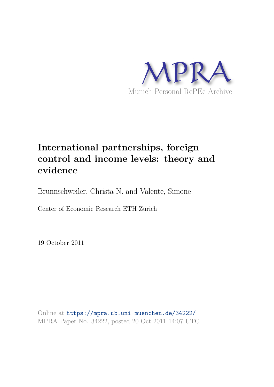

# **International partnerships, foreign control and income levels: theory and evidence**

Brunnschweiler, Christa N. and Valente, Simone

Center of Economic Research ETH Zürich

19 October 2011

Online at https://mpra.ub.uni-muenchen.de/34222/ MPRA Paper No. 34222, posted 20 Oct 2011 14:07 UTC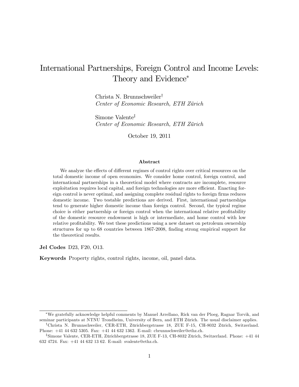## International Partnerships, Foreign Control and Income Levels: Theory and Evidence

Christa N. Brunnschweiler<sup>†</sup> Center of Economic Research, ETH Zürich

Simone Valente<sup>‡</sup> Center of Economic Research, ETH Zürich

October 19, 2011

#### Abstract

We analyze the effects of different regimes of control rights over critical resources on the total domestic income of open economies. We consider home control, foreign control, and international partnerships in a theoretical model where contracts are incomplete, resource exploitation requires local capital, and foreign technologies are more efficient. Enacting foreign control is never optimal, and assigning complete residual rights to foreign firms reduces domestic income. Two testable predictions are derived. First, international partnerships tend to generate higher domestic income than foreign control. Second, the typical regime choice is either partnership or foreign control when the international relative profitability of the domestic resource endowment is high or intermediate, and home control with low relative profitability. We test these predictions using a new dataset on petroleum ownership structures for up to 68 countries between 1867-2008, finding strong empirical support for the theoretical results.

Jel Codes D23, F20, O13.

Keywords Property rights, control rights, income, oil, panel data.

We gratefully acknowledge helpful comments by Manuel Arrellano, Rick van der Ploeg, Ragnar Torvik, and seminar participants at NTNU Trondheim, University of Bern, and ETH Zürich. The usual disclaimer applies.

<sup>&</sup>lt;sup>†</sup>Christa N. Brunnschweiler, CER-ETH, Zürichbergstrasse 18, ZUE F-15, CH-8032 Zürich, Switzerland. Phone: +41 44 632 5305. Fax: +41 44 632 1362. E-mail: cbrunnschweiler@ethz.ch.

<sup>&</sup>lt;sup>‡</sup>Simone Valente, CER-ETH, Zürichbergstrasse 18, ZUE F-13, CH-8032 Zürich, Switzerland. Phone: +41 44 632 4724. Fax: +41 44 632 13 62. E-mail: svalente@ethz.ch.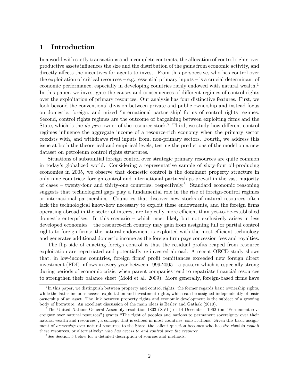## 1 Introduction

In a world with costly transactions and incomplete contracts, the allocation of control rights over productive assets influences the size and the distribution of the gains from economic activity, and directly affects the incentives for agents to invest. From this perspective, who has control over the exploitation of critical resources  $-e.g.,$  essential primary inputs  $-\text{ is a crucial determinant of}$ economic performance, especially in developing countries richly endowed with natural wealth.<sup>1</sup> In this paper, we investigate the causes and consequences of different regimes of control rights over the exploitation of primary resources. Our analysis has four distinctive features. First, we look beyond the conventional division between private and public ownership and instead focus on domestic, foreign, and mixed ëinternational partnershipí forms of control rights regimes. Second, control rights regimes are the outcome of bargaining between exploiting firms and the State, which is the *de jure* owner of the resource stock.<sup>2</sup> Third, we study how different control regimes influence the aggregate income of a resource-rich economy when the primary sector coexists with, and withdraws rival inputs from, non-primary sectors. Fourth, we address this issue at both the theoretical and empirical levels, testing the predictions of the model on a new dataset on petroleum control rights structures.

Situations of substantial foreign control over strategic primary resources are quite common in todayís globalized world. Considering a representative sample of sixty-four oil-producing economies in 2005, we observe that domestic control is the dominant property structure in only nine countries: foreign control and international partnerships prevail in the vast majority of cases – twenty-four and thirty-one countries, respectively.<sup>3</sup> Standard economic reasoning suggests that technological gaps play a fundamental role in the rise of foreign-control regimes or international partnerships. Countries that discover new stocks of natural resources often lack the technological know-how necessary to exploit these endowments, and the foreign firms operating abroad in the sector of interest are typically more efficient than yet-to-be-established domestic enterprises. In this scenario  $-\;$  which most likely but not exclusively arises in less developed economies – the resource-rich country may gain from assigning full or partial control rights to foreign firms: the natural endowment is exploited with the most efficient technology and generates additional domestic income as the foreign firm pays concession fees and royalties.

The flip side of enacting foreign control is that the residual profits reaped from resource exploitation are repatriated and potentially re-invested abroad. A recent OECD study shows that, in low-income countries, foreign firms' profit remittances exceeded new foreign direct investment (FDI) inflows in every year between  $1999-2005$  – a pattern which is especially strong during periods of economic crisis, when parent companies tend to repatriate financial resources to strengthen their balance sheet (Mold et al. 2009). More generally, foreign-based firms have

<sup>&</sup>lt;sup>1</sup>In this paper, we distinguish between property and control rights: the former regards basic ownership rights, while the latter includes access, exploitation and investment rights, which can be assigned independently of basic ownership of an asset. The link between property rights and economic development is the subject of a growing body of literature. An excellent discussion of the main ideas is Besley and Gathak (2010).

<sup>&</sup>lt;sup>2</sup>The United Nations General Assembly resolution 1803 (XVII) of 14 December, 1962 (on "Permanent sovereignty over natural resources") grants "The right of peoples and nations to permanent sovereignty over their natural wealth and resources", a concept that is echoed in most countries' constitutions. Given this basic assignment of *ownership* over natural resources to the State, the salient question becomes who has the right to exploit these resources, or alternatively: who has access to and control over the resource.

<sup>&</sup>lt;sup>3</sup>See Section 5 below for a detailed description of sources and methods.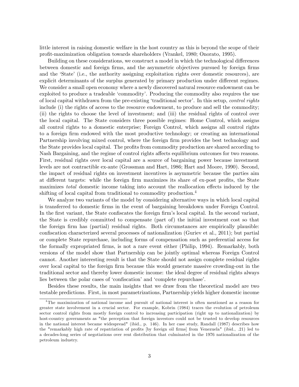little interest in raising domestic welfare in the host country as this is beyond the scope of their proÖt-maximization obligation towards shareholders (Vrankel, 1980; Onorato, 1995).

Building on these considerations, we construct a model in which the technological differences between domestic and foreign firms, and the asymmetric objectives pursued by foreign firms and the 'State' (i.e., the authority assigning exploitation rights over domestic resources), are explicit determinants of the surplus generated by primary production under different regimes. We consider a small open economy where a newly discovered natural resource endowment can be exploited to produce a tradeable 'commodity'. Producing the commodity also requires the use of local capital withdrawn from the pre-existing 'traditional sector'. In this setup, *control rights* include (i) the rights of access to the resource endowment, to produce and sell the commodity; (ii) the rights to choose the level of investment; and (iii) the residual rights of control over the local capital. The State considers three possible regimes: Home Control, which assigns all control rights to a domestic enterprise; Foreign Control, which assigns all control rights to a foreign firm endowed with the most productive technology; or creating an international Partnership involving mixed control, where the foreign firm provides the best technology and the State provides local capital. The profits from commodity production are shared according to Nash Bargaining, and the regime of control rights affects equilibrium outcomes for two reasons. First, residual rights over local capital are a source of bargaining power because investment levels are not contractible ex-ante (Grossman and Hart, 1986; Hart and Moore, 1990). Second, the impact of residual rights on investment incentives is asymmetric because the parties aim at different targets: while the foreign firm maximizes its share of ex-post profits, the State maximizes *total* domestic income taking into account the reallocation effects induced by the shifting of local capital from traditional to commodity production.<sup>4</sup>

We analyze two variants of the model by considering alternative ways in which local capital is transferred to domestic Örms in the event of bargaining breakdown under Foreign Control. In the first variant, the State confiscates the foreign firm's local capital. In the second variant, the State is credibly committed to compensate (part of) the initial investment cost so that the foreign firm has (partial) residual rights. Both circumstances are empirically plausible: confiscation characterized several processes of nationalization (Guriev et al., 2011); but partial or complete State repurchase, including forms of compensation such as preferential access for the formally expropriated Örms, is not a rare event either (Philip, 1994). Remarkably, both versions of the model show that Partnership can be jointly optimal whereas Foreign Control cannot. Another interesting result is that the State should not assign complete residual rights over local capital to the foreign firm because this would generate massive crowding-out in the traditional sector and thereby lower domestic income: the ideal degree of residual rights always lies between the polar cases of 'confiscation' and 'complete repurchase'.

Besides these results, the main insights that we draw from the theoretical model are two testable predictions. First, in most parametrizations, Partnership yields higher domestic income

<sup>4</sup>The maximization of national income and pursuit of national interest is often mentioned as a reason for greater state involvement in a crucial sector. For example, Kobrin (1984) traces the evolution of petroleum sector control rights from mostly foreign control to increasing participation (right up to nationalization) by host-country governments as "the perception that foreign investors could not be trusted to develop resources in the national interest became widespread" (ibid., p. 146). In her case study, Randall (1987) describes how the "remarkably high rate of repatriation of profits [by foreign oil firms] from Venezuela" (ibid., .21) led to a decades-long series of negotiations over rent distribution that culminated in the 1976 nationalization of the petroleum industry.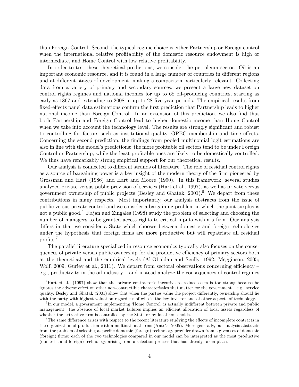than Foreign Control. Second, the typical regime choice is either Partnership or Foreign control when the international relative profitability of the domestic resource endowment is high or intermediate, and Home Control with low relative profitability.

In order to test these theoretical predictions, we consider the petroleum sector. Oil is an important economic resource, and it is found in a large number of countries in different regions and at different stages of development, making a comparison particularly relevant. Collecting data from a variety of primary and secondary sources, we present a large new dataset on control rights regimes and national incomes for up to 68 oil-producing countries, starting as early as 1867 and extending to 2008 in up to 28 five-year periods. The empirical results from fixed-effects panel data estimations confirm the first prediction that Partnership leads to higher national income than Foreign Control. In an extension of this prediction, we also find that both Partnership and Foreign Control lead to higher domestic income than Home Control when we take into account the technology level. The results are strongly significant and robust to controlling for factors such as institutional quality, OPEC membership and time effects. Concerning the second prediction, the findings from pooled multinomial logit estimations are also in line with the model's predictions: the more profitable oil sectors tend to be under Foreign Control or Partnership, while the least profitable ones are likely to be domestically controlled. We thus have remarkably strong empirical support for our theoretical results.

Our analysis is connected to different strands of literature. The role of residual control rights as a source of bargaining power is a key insight of the modern theory of the firm pioneered by Grossman and Hart (1986) and Hart and Moore (1990). In this framework, several studies analyzed private versus public provision of services (Hart et al., 1997), as well as private versus government ownership of public projects (Besley and Ghatak,  $2001$ ).<sup>5</sup> We depart from these contributions in many respects. Most importantly, our analysis abstracts from the issue of public versus private control and we consider a bargaining problem in which the joint surplus is not a public good.<sup>6</sup> Rajan and Zingales (1998) study the problem of selecting and choosing the number of managers to be granted access rights to critical inputs within a firm. Our analysis differs in that we consider a State which chooses between domestic and foreign technologies under the hypothesis that foreign firms are more productive but will repatriate all residual profits. $7$ 

The parallel literature specialized in resource economics typically also focuses on the consequences of private versus public ownership for the productive efficiency of primary sectors both at the theoretical and the empirical levels (Al-Obaidan and Scully, 1992; Megginson, 2005; Wolf, 2009; Guriev et al., 2011). We depart from sectoral observations concerning efficiency  $$ e.g., productivity in the oil industry  $-$  and instead analyze the consequences of control regimes

 ${}^{5}$ Hart et al. (1997) show that the private contractor's incentive to reduce costs is too strong because he ignores the adverse effect on other non-contractible characteristics that matter for the government  $-e.g.,$  service quality. Besley and Ghatak (2001) show that when the parties value the project differently, ownership should lie with the party with highest valuation regardless of who is the key investor and of other aspects of technology.

 ${}^{6}$ In our model, a government implementing 'Home Control' is actually indifferent between private and public management: the absence of local market failures implies an efficient allocation of local assets regardless of whether the extractive firm is controlled by the State or by local households.

 $7$ The same difference arises with respect to the recent literature studying the effects of incomplete contracts in the organization of production within multinational firms (Antràs, 2005). More generally, our analysis abstracts from the problem of selecting a specific domestic (foreign) technology provider drawn from a given set of domestic (foreign) Örms: each of the two technologies compared in our model can be interpreted as the most productive (domestic and foreign) technology arising from a selection process that has already taken place.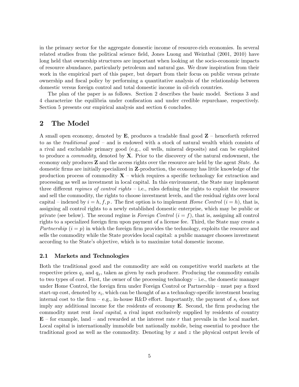in the primary sector for the aggregate domestic income of resource-rich economies. In several related studies from the political science field, Jones Luong and Weinthal (2001, 2010) have long held that ownership structures are important when looking at the socio-economic impacts of resource abundance, particularly petroleum and natural gas. We draw inspiration from their work in the empirical part of this paper, but depart from their focus on public versus private ownership and Öscal policy by performing a quantitative analysis of the relationship between domestic versus foreign control and total domestic income in oil-rich countries.

The plan of the paper is as follows. Section 2 describes the basic model. Sections 3 and 4 characterize the equilibria under confiscation and under credible repurchase, respectively. Section 5 presents our empirical analysis and section 6 concludes.

## 2 The Model

A small open economy, denoted by  $\mathbf{E}$ , produces a tradable final good  $\mathbf{Z}$  – henceforth referred to as the *traditional good* – and is endowed with a stock of natural wealth which consists of a rival and excludable primary good (e.g., oil wells, mineral deposits) and can be exploited to produce a *commodity*, denoted by  $X$ . Prior to the discovery of the natural endowment, the economy only produces **Z** and the access rights over the resource are held by the agent *State*. As domestic firms are initially specialized in **Z**-production, the economy has little knowledge of the production process of commodity  $X$  – which requires a specific technology for extraction and processing as well as investment in local capital. In this environment, the State may implement three different *regimes of control rights*  $-$  i.e., rules defining the rights to exploit the resource and sell the commodity, the rights to choose investment levels, and the residual rights over local capital – indexed by  $i = h$ , f, p. The first option is to implement Home Control  $(i = h)$ , that is, assigning all control rights to a newly established domestic enterprise, which may be public or private (see below). The second regime is Foreign Control  $(i = f)$ , that is, assigning all control rights to a specialized foreign firm upon payment of a license fee. Third, the State may create a Partnership  $(i = p)$  in which the foreign firm provides the technology, exploits the resource and sells the commodity while the State provides local capital: a public manager chooses investment according to the State's objective, which is to maximize total domestic income.

## 2.1 Markets and Technologies

Both the traditional good and the commodity are sold on competitive world markets at the respective prices  $q_z$  and  $q_x$ , taken as given by each producer. Producing the commodity entails to two types of cost. First, the owner of the processing technology  $-$  i.e., the domestic manager under Home Control, the foreign firm under Foreign Control or Partnership – must pay a fixed start-up cost, denoted by  $s_i$ , which can be thought of as a technology-specific investment bearing internal cost to the firm  $-e.g.,$  in-house R&D effort. Importantly, the payment of  $s_i$  does not imply any additional income for the residents of economy  $\bf{E}$ . Second, the firm producing the commodity must rent local capital, a rival input exclusively supplied by residents of country  $E$  – for example, land – and rewarded at the interest rate r that prevails in the local market. Local capital is internationally immobile but nationally mobile, being essential to produce the traditional good as well as the commodity. Denoting by x and z the physical output levels of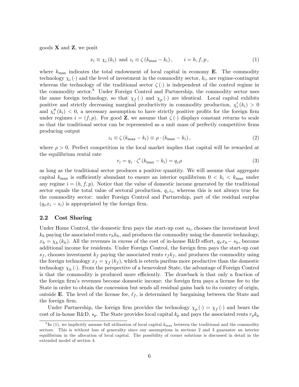goods  $X$  and  $Z$ , we posit

$$
x_i \equiv \chi_i(k_i) \text{ and } z_i \equiv \zeta(k_{\text{max}} - k_i), \qquad i = h, f, p,
$$
\n
$$
(1)
$$

where  $k_{\text{max}}$  indicates the total endowment of local capital in economy **E**. The commodity technology  $\chi_i(\cdot)$  and the level of investment in the commodity sector,  $k_i$ , are regime-contingent whereas the technology of the traditional sector  $\zeta(\cdot)$  is independent of the control regime in the commodity sector.<sup>8</sup> Under Foreign Control and Partnership, the commodity sector uses the same foreign technology, so that  $\chi_f(\cdot)$  and  $\chi_p(\cdot)$  are identical. Local capital exhibits positive and strictly decreasing marginal productivity in commodity production,  $\chi'_{i}(k_{i}) > 0$ and  $\chi''_i(k_i)$  < 0, a necessary assumption to have strictly positive profits for the foreign firm under regimes  $i = (f, p)$ . For good **Z**, we assume that  $\zeta(\cdot)$  displays constant returns to scale so that the traditional sector can be represented as a unit mass of perfectly competitive firms producing output

$$
z_i \equiv \zeta \left( k_{\text{max}} - k_i \right) \equiv \rho \cdot \left( k_{\text{max}} - k_i \right), \tag{2}
$$

where  $\rho > 0$ . Perfect competition in the local market implies that capital will be rewarded at the equilibrium rental rate

$$
r_i = q_z \cdot \zeta' (k_{\text{max}} - k_i) = q_z \rho \tag{3}
$$

as long as the traditional sector produces a positive quantity. We will assume that aggregate capital  $k_{\text{max}}$  is sufficiently abundant to ensure an interior equilibrium  $0 < k_i < k_{\text{max}}$  under any regime  $i = (h, f, p)$ . Notice that the value of domestic income generated by the traditional sector equals the total value of sectoral production,  $q_z z_i$ , whereas this is not always true for the commodity sector: under Foreign Control and Partnership, part of the residual surplus  $(q_x x_i - s_i)$  is appropriated by the foreign firm.

## 2.2 Cost Sharing

Under Home Control, the domestic firm pays the start-up cost  $s_h$ , chooses the investment level  $k_h$  paying the associated rents  $r_h k_h$ , and produces the commodity using the domestic technology,  $x_h = \chi_h(k_h)$ . All the revenues in excess of the cost of in-house R&D effort,  $q_x x_h - s_h$ , become additional income for residents. Under Foreign Control, the foreign firm pays the start-up cost  $s_f$ , chooses investment  $k_f$  paying the associated rents  $r_f k_f$ , and produces the commodity using the foreign technology  $x_f = \chi_f(k_f)$ , which is ceteris paribus more productive than the domestic technology  $\chi_h(\cdot)$ . From the perspective of a benevolent State, the advantage of Foreign Control is that the commodity is produced more efficiently. The drawback is that only a fraction of the foreign firm's revenues become domestic income: the foreign firm pays a license fee to the State in order to obtain the concession but sends all residual gains back to its country of origin, outside **E**. The level of the license fee,  $\ell_f$ , is determined by bargaining between the State and the foreign firm.

Under Partnership, the foreign firm provides the technology  $\chi_p(\cdot) = \chi_f(\cdot)$  and bears the cost of in-house R&D,  $s_p$ . The State provides local capital  $k_p$  and pays the associated rents  $r_p k_p$ 

 ${}^{8}$ In (1), we implicitly assume full utilization of local capital  $k_{\text{max}}$  between the traditional and the commodity sectors. This is without loss of generality since our assumptions in sections 2 and 3 guarantee an interior equilibrium in the allocation of local capital. The possibility of corner solutions is discussed in detail in the extended model of section 4.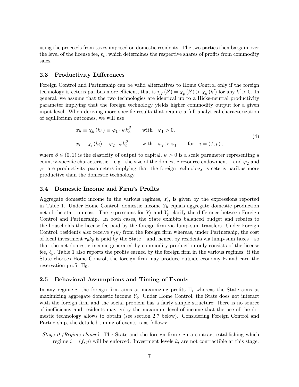using the proceeds from taxes imposed on domestic residents. The two parties then bargain over the level of the license fee,  $\ell_p$ , which determines the respective shares of profits from commodity sales.

## 2.3 Productivity Differences

Foreign Control and Partnership can be valid alternatives to Home Control only if the foreign technology is ceteris paribus more efficient, that is  $\chi_f(k') = \chi_p(k') > \chi_h(k')$  for any  $k' > 0$ . In general, we assume that the two technologies are identical up to a Hicks-neutral productivity parameter implying that the foreign technology yields higher commodity output for a given input level. When deriving more specific results that require a full analytical characterization of equilibrium outcomes, we will use

$$
x_h \equiv \chi_h(k_h) \equiv \varphi_1 \cdot \psi k_h^{\beta} \quad \text{with} \quad \varphi_1 > 0,
$$
  
\n
$$
x_i \equiv \chi_i(k_i) \equiv \varphi_2 \cdot \psi k_i^{\beta} \quad \text{with} \quad \varphi_2 > \varphi_1 \quad \text{for} \quad i = (f, p),
$$
\n(4)

where  $\beta \in (0,1)$  is the elasticity of output to capital,  $\psi > 0$  is a scale parameter representing a country-specific characteristic – e.g., the size of the domestic resource endowment – and  $\varphi_2$  and  $\varphi_1$  are productivity parameters implying that the foreign technology is ceteris paribus more productive than the domestic technology.

#### 2.4 Domestic Income and Firm's Profits

Aggregate domestic income in the various regimes,  $Y_i$ , is given by the expressions reported in Table 1. Under Home Control, domestic income  $Y_h$  equals aggregate domestic production net of the start-up cost. The expressions for  $Y_f$  and  $Y_p$  clarify the difference between Foreign Control and Partnership. In both cases, the State exhibits balanced budget and rebates to the households the license fee paid by the foreign firm via lump-sum transfers. Under Foreign Control, residents also receive  $r_f k_f$  from the foreign firm whereas, under Partnership, the cost of local investment  $r_p k_p$  is paid by the State – and, hence, by residents via lump-sum taxes – so that the net domestic income generated by commodity production only consists of the license fee,  $\ell_p$ . Table 1 also reports the profits earned by the foreign firm in the various regimes: if the State chooses Home Control, the foreign firm may produce outside economy  $\bf{E}$  and earn the reservation profit  $\Pi_0$ .

## 2.5 Behavioral Assumptions and Timing of Events

In any regime i, the foreign firm aims at maximizing profits  $\Pi_i$  whereas the State aims at maximizing aggregate domestic income  $Y_i$ . Under Home Control, the State does not interact with the foreign firm and the social problem has a fairly simple structure: there is no source of inefficiency and residents may enjoy the maximum level of income that the use of the domestic technology allows to obtain (see section 2.7 below). Considering Foreign Control and Partnership, the detailed timing of events is as follows:

Stage 0 (Regime choice). The State and the foreign firm sign a contract establishing which regime  $i = (f, p)$  will be enforced. Investment levels  $k_i$  are not contractible at this stage.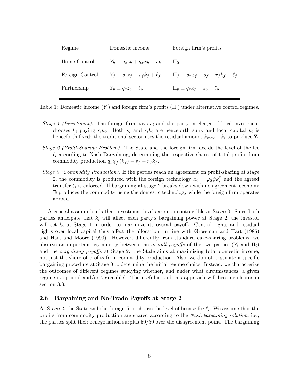| Regime          | Domestic income                         | Foreign firm's profits                          |
|-----------------|-----------------------------------------|-------------------------------------------------|
| Home Control    | $Y_h \equiv q_z z_h + q_x x_h - s_h$    | 11 <sub>0</sub>                                 |
| Foreign Control | $Y_f \equiv q_z z_f + r_f k_f + \ell_f$ | $\Pi_f \equiv q_x x_f - s_f - r_f k_f - \ell_f$ |
| Partnership     | $Y_p \equiv q_z z_p + \ell_p$           | $\Pi_p \equiv q_x x_p - s_p - \ell_p$           |
|                 |                                         |                                                 |

Table 1: Domestic income  $(Y_i)$  and foreign firm's profits  $(\Pi_i)$  under alternative control regimes.

- Stage 1 (Investment). The foreign firm pays  $s_i$  and the party in charge of local investment chooses  $k_i$  paying  $r_i k_i$ . Both  $s_i$  and  $r_i k_i$  are henceforth sunk and local capital  $k_i$  is henceforth fixed: the traditional sector uses the residual amount  $k_{\text{max}} - k_i$  to produce Z.
- Stage 2 (Profit-Sharing Problem). The State and the foreign firm decide the level of the fee  $\ell_i$  according to Nash Bargaining, determining the respective shares of total profits from commodity production  $q_x \chi_f(k_f) - s_f - r_f k_f$ .
- Stage 3 (Commodity Production). If the parties reach an agreement on profit-sharing at stage 2, the commodity is produced with the foreign technology  $x_i = \varphi_2 \psi k_i^{\beta}$  and the agreed transfer  $\ell_i$  is enforced. If bargaining at stage 2 breaks down with no agreement, economy  $E$  produces the commodity using the domestic technology while the foreign firm operates abroad.

A crucial assumption is that investment levels are non-contractible at Stage 0. Since both parties anticipate that  $k_i$  will affect each party's bargaining power at Stage 2, the investor will set  $k_i$  at Stage 1 in order to maximize its overall payoff. Control rights and residual rights over local capital thus affect the allocation, in line with Grossman and Hart (1986) and Hart and Moore (1990). However, differently from standard cake-sharing problems, we observe an important asymmetry between the *overall payoffs* of the two parties  $(Y_i \text{ and } \Pi_i)$ and the bargaining payoffs at Stage 2: the State aims at maximizing total domestic income, not just the share of profits from commodity production. Also, we do not postulate a specific bargaining procedure at Stage 0 to determine the initial regime choice. Instead, we characterize the outcomes of different regimes studying whether, and under what circumstances, a given regime is optimal and/or 'agreeable'. The usefulness of this approach will become clearer in section 3.3.

## 2.6 Bargaining and No-Trade Payoffs at Stage 2

At Stage 2, the State and the foreign firm choose the level of license fee  $\ell_i$ . We assume that the profits from commodity production are shared according to the Nash bargaining solution, i.e., the parties split their renegotiation surplus 50/50 over the disagreement point. The bargaining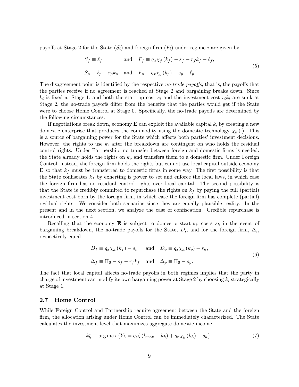payoffs at Stage 2 for the State  $(S_i)$  and foreign firm  $(F_i)$  under regime i are given by

$$
S_f \equiv \ell_f \qquad \text{and} \quad F_f \equiv q_x \chi_f (k_f) - s_f - r_f k_f - \ell_f,
$$
  

$$
S_p \equiv \ell_p - r_p k_p \quad \text{and} \quad F_p \equiv q_x \chi_p (k_p) - s_p - \ell_p.
$$

$$
(5)
$$

The disagreement point is identified by the respective no-trade payoffs, that is, the payoffs that the parties receive if no agreement is reached at Stage 2 and bargaining breaks down. Since  $k_i$  is fixed at Stage 1, and both the start-up cost  $s_i$  and the investment cost  $r_i k_i$  are sunk at Stage 2, the no-trade payoffs differ from the benefits that the parties would get if the State were to choose Home Control at Stage 0. Specifically, the no-trade payoffs are determined by the following circumstances.

If negotiations break down, economy  $\mathbf E$  can exploit the available capital  $k_i$  by creating a new domestic enterprise that produces the commodity using the domestic technology  $\chi_h(\cdot)$ . This is a source of bargaining power for the State which affects both parties' investment decisions. However, the rights to use  $k_i$  after the breakdown are contingent on who holds the residual control rights. Under Partnership, no transfer between foreign and domestic firms is needed: the State already holds the rights on  $k_p$  and transfers them to a domestic firm. Under Foreign Control, instead, the foreign firm holds the rights but cannot use local capital outside economy **E** so that  $k_f$  must be transferred to domestic firms in some way. The first possibility is that the State confiscates  $k_f$  by exherting is power to set and enforce the local laws, in which case the foreign firm has no residual control rights over local capital. The second possibility is that the State is credibly commited to repurchase the rights on  $k_f$  by paying the full (partial) investment cost born by the foreign firm, in which case the foreign firm has complete (partial) residual rights. We consider both scenarios since they are equally plausible reality. In the present and in the next section, we analyze the case of confiscation. Credible repurchase is introduced in section 4.

Recalling that the economy **E** is subject to domestic start-up costs  $s_h$  in the event of bargaining breakdown, the no-trade payoffs for the State,  $D_i$ , and for the foreign firm,  $\Delta_i$ , respectively equal

$$
D_f \equiv q_x \chi_h (k_f) - s_h \quad \text{and} \quad D_p \equiv q_x \chi_h (k_p) - s_h,
$$
  

$$
\Delta_f \equiv \Pi_0 - s_f - r_f k_f \quad \text{and} \quad \Delta_p \equiv \Pi_0 - s_p.
$$
 (6)

The fact that local capital affects no-trade payoffs in both regimes implies that the party in charge of investment can modify its own bargaining power at Stage 2 by choosing  $k_i$  strategically at Stage 1.

#### 2.7 Home Control

While Foreign Control and Partnership require agreement between the State and the foreign firm, the allocation arising under Home Control can be immediately characterized. The State calculates the investment level that maximizes aggregate domestic income,

$$
k_h^{\star} \equiv \arg \max \left\{ Y_h = q_z \zeta \left( k_{\max} - k_h \right) + q_x \chi_h \left( k_h \right) - s_h \right\}.
$$
 (7)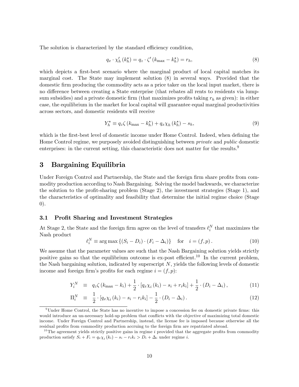The solution is characterized by the standard efficiency condition,

$$
q_x \cdot \chi'_h \left( k_h^{\star} \right) = q_z \cdot \zeta' \left( k_{\text{max}} - k_h^{\star} \right) = r_h,\tag{8}
$$

which depicts a first-best scenario where the marginal product of local capital matches its marginal cost. The State may implement solution (8) in several ways. Provided that the domestic firm producing the commodity acts as a price taker on the local input market, there is no difference between creating a State enterprise (that rebates all rents to residents via lumpsum subsidies) and a private domestic firm (that maximizes profits taking  $r_h$  as given): in either case, the equilibrium in the market for local capital will guarantee equal marginal productivities across sectors, and domestic residents will receive

$$
Y_h^{\star} \equiv q_z \zeta \left( k_{\text{max}} - k_h^{\star} \right) + q_x \chi_h \left( k_h^{\star} \right) - s_h, \tag{9}
$$

which is the first-best level of domestic income under Home Control. Indeed, when defining the Home Control regime, we purposely avoided distinguishing between private and public domestic enterprises: in the current setting, this characteristic does not matter for the results.<sup>9</sup>

## 3 Bargaining Equilibria

Under Foreign Control and Partnership, the State and the foreign firm share profits from commodity production according to Nash Bargaining. Solving the model backwards, we characterize the solution to the profit-sharing problem (Stage 2), the investment strategies (Stage 1), and the characteristics of optimality and feasibility that determine the initial regime choice (Stage 0).

## 3.1 Profit Sharing and Investment Strategies

At Stage 2, the State and the foreign firm agree on the level of transfers  $\ell_i^N$  that maximizes the Nash product

$$
\ell_i^N \equiv \arg \max \left\{ (S_i - D_i) \cdot (F_i - \Delta_i) \right\} \quad \text{for} \quad i = (f, p). \tag{10}
$$

We assume that the parameter values are such that the Nash Bargaining solution yields strictly positive gains so that the equilibrium outcome is ex-post efficient.<sup>10</sup> In the current problem, the Nash bargaining solution, indicated by superscript  $N$ , yields the following levels of domestic income and foreign firm's profits for each regime  $i = (f, p)$ :

$$
Y_i^N \equiv q_z \zeta (k_{\max} - k_i) + \frac{1}{2} \cdot [q_x \chi_i(k_i) - s_i + r_i k_i] + \frac{1}{2} \cdot (D_i - \Delta_i), \qquad (11)
$$

$$
\Pi_i^N \equiv \frac{1}{2} \cdot [q_x \chi_i(k_i) - s_i - r_i k_i] - \frac{1}{2} \cdot (D_i - \Delta_i). \tag{12}
$$

<sup>&</sup>lt;sup>9</sup>Under Home Control, the State has no incentive to impose a concession fee on domestic private firms: this would introduce an un-necessary hold-up problem that conflicts with the objective of maximizing total domestic income. Under Foreign Control and Partnership, instead, the license fee is imposed because otherwise all the residual profits from commodity production accruing to the foreign firm are repatriated abroad.

<sup>&</sup>lt;sup>10</sup>The agreement yields strictly positive gains in regime i provided that the aggregate profits from commodity production satisfy  $S_i + F_i = q_x \chi_i(k_i) - s_i - r_i k_i > D_i + \Delta_i$  under regime i.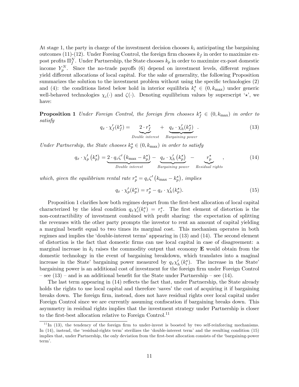At stage 1, the party in charge of the investment decision chooses  $k_i$  anticipating the bargaining outcomes (11)-(12). Under Foreing Control, the foreign firm chooses  $k_f$  in order to maximize expost profits  $\Pi_f^N$ . Under Partnership, the State chooses  $k_p$  in order to maximize ex-post domestic income  $Y_p^N$ . Since the no-trade payoffs (6) depend on investment levels, different regimes yield different allocations of local capital. For the sake of generality, the following Proposition summarizes the solution to the investment problem without using the specific technologies  $(2)$ and (4): the conditions listed below hold in interior equilibria  $k_i^* \in (0, k_{\text{max}})$  under generic well-behaved technologies  $\chi_i(\cdot)$  and  $\zeta(\cdot)$ . Denoting equilibrium values by superscript  $\star$ , we have:

**Proposition 1** Under Foreign Control, the foreign firm chooses  $k_f^* \in (0, k_{\text{max}})$  in order to satisfy

$$
q_x \cdot \chi'_f(k_f^{\star}) = \underbrace{2 \cdot r_f^{\star}}_{Double\ interest} + \underbrace{q_x \cdot \chi'_h(k_f^{\star})}_{Bargaining\ power}.
$$
 (13)

Under Partnership, the State chooses  $k_p^{\star} \in (0, k_{\text{max}})$  in order to satisfy

$$
q_x \cdot \chi_p'(k_p^*) = \underbrace{2 \cdot q_z \zeta'(k_{\text{max}} - k_p^*)}_{Double\text{ interest}} - \underbrace{q_x \cdot \chi_h'(k_p^*)}_{Bargaining\ power} - \underbrace{r_p^*}_{Residual\text{ rights}},\tag{14}
$$

which, given the equilibrium rental rate  $r_p^* = q_z \zeta' (k_{\text{max}} - k_p^*)$ , implies

$$
q_x \cdot \chi_p'(k_p^*) = r_p^* - q_x \cdot \chi_h'(k_p^*). \tag{15}
$$

Proposition 1 clarifies how both regimes depart from the first-best allocation of local capital characterized by the ideal condition  $q_x\chi'_i(k_i^{\star}) = r_i^{\star}$ . The first element of distortion is the non-contractibility of investment combined with profit sharing: the expectation of splitting the revenues with the other party prompts the investor to rent an amount of capital yielding a marginal benefit equal to two times its marginal cost. This mechanism operates in both regimes and implies the 'double-interest terms' appearing in (13) and (14). The second element of distortion is the fact that domestic Örms can use local capital in case of disagreement: a marginal increase in  $k_i$  raises the commodity output that economy  $\bf{E}$  would obtain from the domestic technology in the event of bargaining breakdown, which translates into a maginal increase in the State' bargaining power measured by  $q_x\chi'_h(k_i^{\star})$ . The increase in the State' bargaining power is an additional cost of investment for the foreign Örm under Foreign Control  $\frac{1}{10}$  – see (13) – and is an additional benefit for the State under Partnership – see (14).

The last term appearing in (14) reflects the fact that, under Partnership, the State already holds the rights to use local capital and therefore 'saves' the cost of acquiring it if bargaining breaks down. The foreign firm, instead, does not have residual rights over local capital under Foreign Control since we are currently assuming confiscation if bargaining breaks down. This asymmetry in residual rights implies that the investment strategy under Partnership is closer to the first-best allocation relative to Foreign Control.<sup>11</sup>

 $11$ In (13), the tendency of the foreign firm to under-invest is boosted by two self-reinforcing mechanisms. In (14), instead, the 'residual-rights term' sterilizes the 'double-interest term' and the resulting condition (15) implies that, under Partnership, the only deviation from the first-best allocation consists of the 'bargaining-power term'.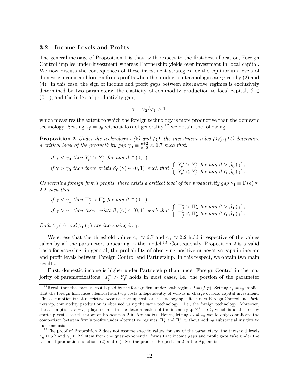#### 3.2 Income Levels and Profits

The general message of Proposition 1 is that, with respect to the first-best allocation, Foreign Control implies under-investment whereas Partnership yields over-investment in local capital. We now discuss the consequences of these investment strategies for the equilibrium levels of domestic income and foreign firm's profits when the production technologies are given by  $(2)$  and  $(4)$ . In this case, the sign of income and profit gaps between alternative regimes is exclusively determined by two parameters: the elasticity of commodity production to local capital,  $\beta \in$  $(0, 1)$ , and the index of productivity gap,

$$
\gamma \equiv \varphi_2/\varphi_1 > 1,
$$

which measures the extent to which the foreign technology is more productive than the domestic technology. Setting  $s_f = s_p$  without loss of generality,<sup>12</sup> we obtain the following

**Proposition 2** Under the technologies (2) and (4), the investment rules (13)-(14) determine a critical level of the productivity gap  $\gamma_0 \equiv \frac{e+2}{e-2} \approx 6.7$  such that:

$$
\begin{aligned}\n\text{if } & \gamma < \gamma_0 \text{ then } Y_p^\star > Y_f^\star \text{ for any } \beta \in (0,1); \\
\text{if } & \gamma > \gamma_0 \text{ then there exists } \beta_0(\gamma) \in (0,1) \text{ such that } \left\{ \begin{array}{l} Y_p^\star > Y_f^\star \text{ for any } \beta > \beta_0(\gamma), \\ Y_p^\star &\leqslant Y_f^\star \text{ for any } \beta \leqslant \beta_0(\gamma). \end{array} \right.\n\end{aligned}
$$

Concerning foreign firm's profits, there exists a critical level of the productivity gap  $\gamma_1 \equiv \Gamma(e) \approx$ 2:2 such that

$$
\begin{aligned}\n\text{if } & \gamma < \gamma_1 \text{ then } \Pi_f^{\star} > \Pi_p^{\star} \text{ for any } \beta \in (0,1);\n\end{aligned}
$$
\n
$$
\text{if } & \gamma > \gamma_1 \text{ then there exists } \beta_1(\gamma) \in (0,1) \text{ such that } \left\{ \begin{array}{l} \Pi_f^{\star} > \Pi_p^{\star} \text{ for any } \beta > \beta_1(\gamma), \\ \Pi_f^{\star} &\leqslant \Pi_p^{\star} \text{ for any } \beta \leqslant \beta_1(\gamma).\n\end{array} \right.
$$

Both  $\beta_0(\gamma)$  and  $\beta_1(\gamma)$  are increasing in  $\gamma$ .

We stress that the threshold values  $\gamma_0 \approx 6.7$  and  $\gamma_1 \approx 2.2$  hold irrespective of the values taken by all the parameters appearing in the model.<sup>13</sup> Consequently, Proposition 2 is a valid basis for assessing, in general, the probability of observing positive or negative gaps in income and profit levels between Foreign Control and Partnership. In this respect, we obtain two main results.

First, domestic income is higher under Partnership than under Foreign Control in the majority of parametrizations:  $Y_p^* > Y_f^*$  holds in most cases, i.e., the portion of the parameter

<sup>&</sup>lt;sup>12</sup>Recall that the start-up cost is paid by the foreign firm under both regimes  $i = (f, p)$ . Setting  $s_f = s_p$  implies that the foreign firm faces identical start-up costs independently of who is in charge of local capital investment. This assumption is not restrictive because start-up costs are technology-specific: under Foreign Control and Partnership, commodity production is obtained using the same technology – i.e., the foreign technology. Moreover, the assumption  $s_f = s_p$  plays no role in the determination of the income gap  $Y_p^{\star} - Y_f^{\star}$ , which is unaffected by start-up costs (see the proof of Proposition 2 in Appendix). Hence, letting  $s_f \neq s_p$  would only complicate the comparison between firm's profits under alternative regimes,  $\Pi_f^*$  and  $\Pi_p^*$ , without adding substantial insights to our conclusions.

 $13$ The proof of Proposition 2 does not assume specific values for any of the parameters: the threshold levels  $\gamma_0 \approx 6.7$  and  $\gamma_1 \approx 2.2$  stem from the quasi-exponential forms that income gaps and profit gaps take under the assumed production functions (2) and (4). See the proof of Proposition 2 in the Appendix.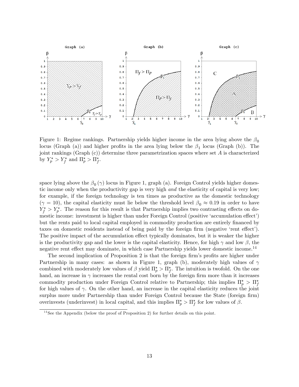

Figure 1: Regime rankings. Partnership yields higher income in the area lying above the  $\beta_0$ locus (Graph (a)) and higher profits in the area lying below the  $\beta_1$  locus (Graph (b)). The joint rankings (Graph  $(c)$ ) determine three parametrization spaces where set A is characterized by  $Y_p^* > Y_f^*$  and  $\Pi_p^* > \Pi_f^*$ .

space lying above the  $\beta_0(\gamma)$  locus in Figure 1, graph (a). Foreign Control yields higher domestic income only when the productivity gap is very high *and* the elasticity of capital is very low; for example, if the foreign technology is ten times as productive as the domestic technology  $(\gamma = 10)$ , the capital elasticity must lie below the threshold level  $\beta_0 \approx 0.19$  in order to have  $Y_f^* > Y_p^*$ . The reason for this result is that Partnership implies two contrasting effects on domestic income: investment is higher than under Foreign Control (positive 'accumulation effect') but the rents paid to local capital employed in commodity production are entirely financed by taxes on domestic residents instead of being paid by the foreign firm (negative 'rent effect'). The positive impact of the accumulation effect typically dominates, but it is weaker the higher is the productivity gap and the lower is the capital elasticity. Hence, for high  $\gamma$  and low  $\beta$ , the negative rent effect may dominate, in which case Partnership yields lower domestic income.<sup>14</sup>

The second implication of Proposition 2 is that the foreign firm's profits are higher under Partnership in many cases: as shown in Figure 1, graph (b), moderately high values of  $\gamma$ combined with moderately low values of  $\beta$  yield  $\Pi_p^* > \Pi_f^*$ . The intuition is twofold. On the one hand, an increase in  $\gamma$  increases the rental cost born by the foreign firm more than it increases commodity production under Foreign Control relative to Partnership; this implies  $\Pi_p^* > \Pi_f^*$ for high values of  $\gamma$ . On the other hand, an increase in the capital elasticity reduces the joint surplus more under Partnership than under Foreign Control because the State (foreign firm) overinvests (underinvest) in local capital, and this implies  $\Pi_p^* > \Pi_f^*$  for low values of  $\beta$ .

<sup>&</sup>lt;sup>14</sup>See the Appendix (below the proof of Proposition 2) for further details on this point.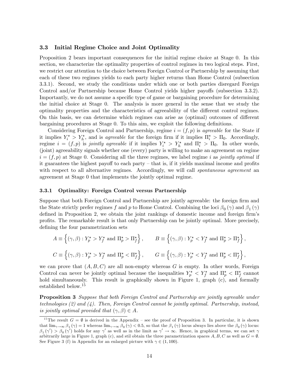## 3.3 Initial Regime Choice and Joint Optimality

Proposition 2 bears important consequences for the initial regime choice at Stage 0. In this section, we characterize the optimality properties of control regimes in two logical steps. First, we restrict our attention to the choice between Foreign Control or Partnership by assuming that each of these two regimes yields to each party higher returns than Home Control (subsection 3.3.1). Second, we study the conditions under which one or both parties disregard Foreign Control and/or Partnership because Home Control yields higher payoffs (subsection  $3.3.2$ ). Importantly, we do not assume a specific type of game or bargaining procedure for determining the initial choice at Stage 0. The analysis is more general in the sense that we study the optimality properties and the characteristics of agreeability of the different control regimes. On this basis, we can determine which regimes can arise as (optimal) outcomes of different bargaining procedures at Stage 0. To this aim, we exploit the following definitions.

Considering Foreign Control and Partnership, regime  $i = (f, p)$  is agreeable for the State if it implies  $Y_i^* > Y_h^*$ , and is *agreeable* for the foreign firm if it implies  $\Pi_i^* > \Pi_0$ . Accordingly, regime  $i = (f, p)$  is jointly agreeable if it implies  $Y_i^* > Y_h^*$  and  $\Pi_i^* > \Pi_0$ . In other words, (joint) agreeability signals whether one (every) party is willing to make an agreement on regime  $i = (f, p)$  at Stage 0. Considering all the three regimes, we label regime i as jointly optimal if it guarantees the highest payoff to each party  $-$  that is, if it yields maximal income and profits with respect to all alternative regimes. Accordingly, we will call *spontaneous agreement* an agreement at Stage 0 that implements the jointly optimal regime.

#### 3.3.1 Optimality: Foreign Control versus Partnership

Suppose that both Foreign Control and Partnership are jointly agreeable: the foreign firm and the State strictly prefer regimes f and p to Home Control. Combining the loci  $\beta_0(\gamma)$  and  $\beta_1(\gamma)$ defined in Proposition 2, we obtain the joint rankings of domestic income and foreign firm's profits. The remarkable result is that only Partnership can be jointly optimal. More precisely, defining the four parametrization sets

$$
A \equiv \left\{ (\gamma, \beta) : Y_p^{\star} > Y_f^{\star} \text{ and } \Pi_p^{\star} > \Pi_f^{\star} \right\}, \qquad B \equiv \left\{ (\gamma, \beta) : Y_p^{\star} < Y_f^{\star} \text{ and } \Pi_p^{\star} > \Pi_f^{\star} \right\},
$$
  

$$
C \equiv \left\{ (\gamma, \beta) : Y_p^{\star} > Y_f^{\star} \text{ and } \Pi_p^{\star} < \Pi_f^{\star} \right\}, \qquad G \equiv \left\{ (\gamma, \beta) : Y_p^{\star} < Y_f^{\star} \text{ and } \Pi_p^{\star} < \Pi_f^{\star} \right\},
$$

we can prove that  $(A, B, C)$  are all non-empty whereas G is empty. In other words, Foreign Control can never be jointly optimal because the inequalities  $Y_p^* \lt Y_f^*$  and  $\Pi_p^* \lt \Pi_f^*$  cannot hold simultaneously. This result is graphically shown in Figure 1, graph  $(c)$ , and formally established below.<sup>15</sup>

**Proposition 3** Suppose that both Foreign Control and Partnership are jointly agreeable under technologies (2) and (4). Then, Foreign Control cannot be jointly optimal. Partnership, instead, is jointly optimal provided that  $(\gamma, \beta) \in A$ .

<sup>&</sup>lt;sup>15</sup>The result  $G = \emptyset$  is derived in the Appendix – see the proof of Proposition 3. In particular, it is shown that  $\lim_{\gamma\to\infty}$   $\beta_1(\gamma) = 1$  whereas  $\lim_{\gamma\to\infty}$   $\beta_0(\gamma) < 0.5$ , so that the  $\beta_1(\gamma)$  locus always lies above the  $\beta_0(\gamma)$  locus:  $\beta_1(\gamma') > \beta_0(\gamma')$  holds for any  $\gamma'$  as well as in the limit as  $\gamma' \to \infty$ . Hence, in graphical terms, we can set  $\gamma$ arbitrarily large in Figure 1, graph (c), and stil obtain the three parametrization spaces  $A, B, C$  as well as  $G = \emptyset$ . See Figure 3 (f) in Appendix for an enlarged picture with  $\gamma \in (1, 100)$ .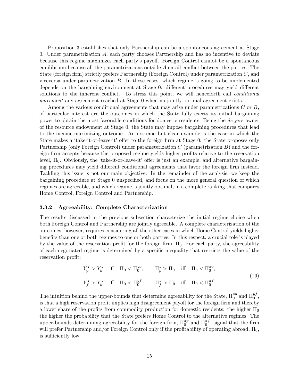Proposition 3 establishes that only Partnership can be a spontaneous agreement at Stage 0. Under parametrization A, each party chooses Partnership and has no incentive to deviate because this regime maximizes each partyís payo§. Foreign Control cannot be a spontaneous equilibrium because all the parametrizations outside  $A$  entail conflict between the parties. The State (foreign firm) strictly prefers Partnership (Foreign Control) under parametrization  $C$ , and viceversa under parametrization  $B$ . In these cases, which regime is going to be implemented depends on the bargaining environment at Stage 0: different procedures may yield different solutions to the inherent conflict. To stress this point, we will henceforth call *conditional* agreement any agreement reached at Stage 0 when no jointly optimal agreement exists.

Among the various conditional agreements that may arise under parametrizations C or B, of particular interest are the outcomes in which the State fully exerts its initial bargaining power to obtain the most favorable conditions for domestic residents. Being the de jure owner of the resource endowment at Stage 0, the State may impose bargaining procedures that lead to the income-maximizing outcome. An extreme but clear example is the case in which the State makes a 'take-it-or-leave-it' offer to the foreign firm at Stage 0: the State proposes only Partnership (only Foreign Control) under parameterization  $C$  (parametrization  $B$ ) and the foreign firm accepts because the proposed regime yields higher profits relative to the reservation level,  $\Pi_0$ . Obviously, the 'take-it-or-leave-it' offer is just an example, and alternative bargaining procedures may yield different conditional agreements that favor the foreign firm instead. Tackling this issue is not our main objective. In the remainder of the analysis, we keep the bargaining procedure at Stage 0 unspecified, and focus on the more general question of which regimes are agreeable, and which regime is jointly optimal, in a complete ranking that compares Home Control, Foreign Control and Partnership.

#### 3.3.2 Agreeability: Complete Characterization

The results discussed in the previous subsection characterize the initial regime choice when both Foreign Control and Partnership are jointly agreeable. A complete characterization of the outcomes, however, requires considering all the other cases in which Home Control yields higher benefits than one or both regimes to one or both parties. In this respect, a crucial role is played by the value of the reservation profit for the foreign firm,  $\Pi_0$ . For each party, the agreeability of each negotiated regime is determined by a specific inequality that restricts the value of the reservation profit:

$$
Y_p^* > Y_h^* \quad \text{iff} \quad \Pi_0 < \Pi_0^{yp}, \qquad \Pi_p^* > \Pi_0 \quad \text{iff} \quad \Pi_0 < \Pi_0^{\pi p},
$$
\n
$$
Y_f^* > Y_h^* \quad \text{iff} \quad \Pi_0 < \Pi_0^{yf}, \qquad \Pi_f^* > \Pi_0 \quad \text{iff} \quad \Pi_0 < \Pi_0^{\pi f}. \tag{16}
$$

The intuition behind the upper-bounds that determine agreeability for the State,  $\Pi_0^{yp}$  $_0^{yp}$  and  $\Pi_0^{yf}$  $\begin{array}{c} y_J\ 0 \end{array}$ is that a high reservation profit implies high disagreement payoff for the foreign firm and thereby a lower share of the profits from commodity production for domestic residents: the higher  $\Pi_0$ the higher the probability that the State prefers Home Control to the alternative regimes. The upper-bounds determining agreeability for the foreign firm,  $\Pi_0^{\pi p}$  $\mathbf{I}_{0}^{\pi p}$  and  $\Pi_{0}^{\pi f}$  $\int_0^{\pi}$ , signal that the firm will prefer Partnership and/or Foreign Control only if the profitability of operating abroad,  $\Pi_0$ , is sufficiently low.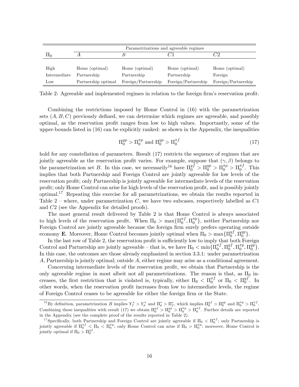|                 | Parametrizations and agreeable regimes |                     |                     |                     |  |  |  |  |  |
|-----------------|----------------------------------------|---------------------|---------------------|---------------------|--|--|--|--|--|
| ΠU              |                                        |                     |                     | 72                  |  |  |  |  |  |
|                 |                                        |                     |                     |                     |  |  |  |  |  |
| High            | Home (optimal)                         | Home (optimal)      | Home (optimal)      | Home (optimal)      |  |  |  |  |  |
| Intermediate    | Partnership                            | Partnership         | Partnership         | Foreign             |  |  |  |  |  |
| $_{\text{Low}}$ | Partnership optimal                    | Foreign/Partnership | Foreign/Partnership | Foreign/Partnership |  |  |  |  |  |

Table 2: Agreeable and implemented regimes in relation to the foreign firm's reservation profit.

Combining the restrictions imposed by Home Control in (16) with the parametrization sets  $(A, B, C)$  previously defined, we can determine which regimes are agreeable, and possibly optimal, as the reservation profit ranges from low to high values. Importantly, some of the upper-bounds listed in (16) can be explicitly ranked: as shown in the Appendix, the inequalities

$$
\Pi_0^{yp} > \Pi_0^{\pi p} \text{ and } \Pi_0^{yp} > \Pi_0^{\pi f} \tag{17}
$$

hold for any constellation of parameters. Result (17) restricts the sequence of regimes that are jointly agreeable as the reservation profit varies. For example, suppose that  $(\gamma, \beta)$  belongs to the parametrization set B. In this case, we necessarily<sup>16</sup> have  $\Pi_0^{y} > \Pi_0^{y} > \Pi_0^{\pi p} > \Pi_0^{\pi f}$  $\int_{0}^{\pi}$ . This implies that both Partnership and Foreign Control are jointly agreeable for low levels of the reservation profit; only Partnership is jointly agreeable for intermediate levels of the reservation profit; only Home Control can arise for high levels of the reservation profit, and is possibly jointly optimal.<sup>17</sup> Repeating this exercise for all parametrizations, we obtain the results reported in Table 2 – where, under parametrization  $C$ , we have two subcases, respectively labelled as  $C1$ and C2 (see the Appendix for detailed proofs).

The most general result delivered by Table 2 is that Home Control is always associated to high levels of the reservation profit. When  $\Pi_0 > \max\{\Pi_0^{\pi f}$  $_{0}^{\pi f},\Pi_{0}^{\pi p}$  $\binom{n}{0}$ , neither Partnership nor Foreign Control are jointly agreeable because the foreign firm surely prefers operating outside economy **E**. Moreover, Home Control becomes jointly optimal when  $\Pi_0 > \max{\{\Pi_0^{yf}}\}$  $_{0}^{yf},\Pi_{0}^{yp}$  $_{0}^{yp}$ .

In the last row of Table 2, the reservation profit is sufficiently low to imply that both Foreign Control and Partnership are jointly agreeable – that is, we have  $\Pi_0 < \min \{\Pi_0^{\pi f}$  $_{0}^{\pi f}, \Pi_{0}^{y f}$  $_{0}^{y f},\Pi_{0}^{\pi p}$  $_{0}^{\pi p},\Pi_{0}^{yp}$  $_{0}^{yp}$ . In this case, the outcomes are those already emphasized in section 3.3.1: under parametrization A, Partnership is jointly optimal; outside A, either regime may arise as a conditional agreement.

Concerning intermediate levels of the reservation profit, we obtain that Partnership is the only agreeable regime in most albeit not all parametrizations. The reason is that, as  $\Pi_0$  increases, the first restriction that is violated is, typically, either  $\Pi_0 < \Pi_0^{\pi f}$  $_{0}^{\pi f}$  or  $\Pi_{0}$   $<$   $\Pi_{0}^{yf}$  $\mathbf{y}_0^y$ . In other words, when the reservation profit increases from low to intermediate levels, the regime of Foreign Control ceases to be agreeable for either the foreign Örm or the State.

<sup>&</sup>lt;sup>16</sup>By definition, parametrization B implies  $Y_f^* > Y_p^*$  and  $\Pi_p^* > \Pi_f^*$ , which implies  $\Pi_0^{yf} > \Pi_0^{yp}$  and  $\Pi_0^{\pi p} > \Pi_0^{\pi f}$ . Combining these inequalities with result (17) we obtain  $\Pi_0^{yf} > \Pi_0^{yp} > \Pi_0^{\pi p} > \Pi_0^{\pi f}$ . Further details are reported in the Appendix (see the complete proof of the results reported in Table 2).

<sup>&</sup>lt;sup>17</sup>Specifically, both Partnership and Foreign Control are jointly agreeable if  $\Pi_0 < \Pi_0^{\pi f}$ ; only Partnership is jointly agreeable if  $\Pi_0^{\pi f} < \Pi_0 < \Pi_0^{\pi p}$ ; only Home Control can arise if  $\Pi_0 > \Pi_0^{\pi p}$ ; moreover, Home Control is jointly optimal if  $\Pi_0 > \Pi_0^{yf}$ .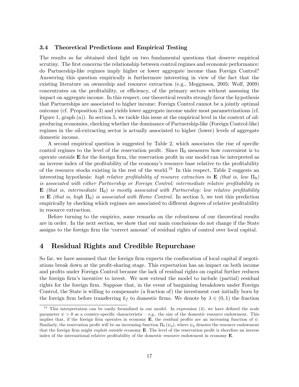## 3.4 Theoretical Predictions and Empirical Testing

The results so far obtained shed light on two fundamental questions that deserve empirical scrutiny. The first concerns the relationship between control regimes and economic performance: do Partnership-like regimes imply higher or lower aggregate income than Foreign Control? Answering this question empirically is furthermore interesting in view of the fact that the existing literature on ownership and resource extraction (e.g., Megginson, 2005; Wolf, 2009) concentrates on the profitability, or efficiency, of the primary sectors without assessing the impact on aggregate income. In this respect, our theoretical results strongly favor the hypothesis that Partnerships are associated to higher income: Foreign Control cannot be a jointly optimal outcome (cf. Proposition 3) and yields lower aggregate income under most parametrizations (cf. Figure 1, graph (a)). In section 5, we tackle this issue at the empirical level in the context of oilproducing economies, checking whether the dominance of Partnership-like (Foreign Control-like) regimes in the oil-extracting sector is actually associated to higher (lower) levels of aggregate domestic income.

A second empirical question is suggested by Table 2, which associates the rise of specific control regimes to the level of the reservation profit. Since  $\Pi_0$  measures how convenient is to operate outside  $E$  for the foreign firm, the reservation profit in our model can be interpreted as an inverse index of the profitability of the economy's resource base relative to the profitability of the resource stocks existing in the rest of the world.<sup>18</sup> In this respect, Table 2 suggests an interesting hypothesis: high relative profitability of resource extraction in  $\mathbf{E}$  (that is, low  $\Pi_0$ ) is associated with either Partnership or Foreign Control; intermediate relative profitability in **E** (that is, intermediate  $\Pi_0$ ) is mostly associated with Partnership; low relative profitability in **E** (that is, high  $\Pi_0$ ) is associated with Home Control. In section 5, we test this prediction empirically by checking which regimes are associated to different degrees of relative profitability in resource extraction.

Before turning to the empirics, some remarks on the robustness of our theoretical results are in order. In the next section, we show that our main conclusions do not change if the State assigns to the foreign firm the 'correct amount' of residual rights of control over local capital.

## 4 Residual Rights and Credible Repurchase

So far, we have assumed that the foreign firm expects the confiscation of local capital if negotiations break down at the profit-sharing stage. This expectation has an impact on both income and profits under Foreign Control because the lack of residual rights on capital further reduces the foreign firm's incentive to invest. We now extend the model to include (partial) residual rights for the foreign firm. Suppose that, in the event of bargaining breakdown under Foreign Control, the State is willing to compensate (a fraction of) the investment cost initially born by the foreign firm before transferring  $k_f$  to domestic firms. We denote by  $\lambda \in (0, 1)$  the fraction

 $18$  This interpretation can be easily formalized in our model. In expression (4), we have defined the scale parameter  $\psi > 0$  as a country-specific characteristic – e.g., the size of the domestic resource endowment. This implies that, if the foreign firm operates in economy E, the residual profits are an increasing function of  $\psi$ . Similarly, the reservation profit will be an increasing function  $\Pi_0$  ( $\psi_0$ ), where  $\psi_0$  denotes the resource endowment that the foreign firm might exploit outside economy  $E$ . The level of the reservation profit is therefore an inverse index of the international relative profitability of the domestic resource endowment in economy  $\bf{E}$ .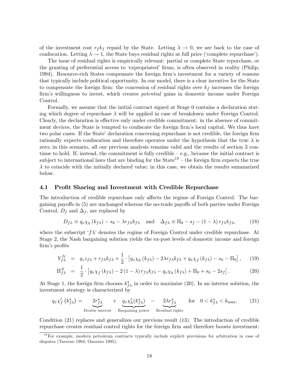of the investment cost  $r_f k_f$  repaid by the State. Letting  $\lambda \to 0$ , we are back to the case of confiscation. Letting  $\lambda \to 1$ , the State buys residual rights at full price ('complete repurchase').

The issue of residual rights is empirically relevant: partial or complete State repurchase, or the granting of preferential access to 'expropriated' firms, is often observed in reality (Philip, 1994). Resource-rich States compensate the foreign firm's investment for a variety of reasons that typically include political opportunity. In our model, there is a clear incentive for the State to compensate the foreign firm: the concession of residual rights over  $k_f$  increases the foreign firm's willingness to invest, which creates *potential* gains in domestic income under Foreign Control.

Formally, we assume that the initial contract signed at Stage 0 contains a declaration stating which degree of repurchase  $\lambda$  will be applied in case of breakdown under Foreign Control. Clearly, the declaration is effective only under credible commitment: in the absence of commitment devices, the State is tempted to confiscate the foreign firm's local capital. We thus have two polar cases. If the State' declaration concerning repurchase is not credible, the foreign firm rationally expects confiscation and therefore operates under the hypothesis that the true  $\lambda$  is zero; in this scenario, all our previous analysis remains valid and the results of section 3 continue to hold. If, instead, the commitment is fully credible  $-e.g.,$  because the initial contract is subject to international laws that are binding for the State<sup>19</sup> – the foreign firm expects the true  $\lambda$  to coincide with the initially declared value; in this case, we obtain the results summarized below.

#### 4.1 Profit Sharing and Investment with Credible Repurchase

The introduction of credible repurchase only affects the regime of Foreign Control. The bargaining payoffs in (5) are unchanged whereas the no-trade payoffs of both parties under Foreign Control,  $D_f$  and  $\Delta_f$ , are replaced by

$$
D_{f\lambda} \equiv q_x \chi_h (k_{f\lambda}) - s_h - \lambda r_{f\lambda} k_{f\lambda} \quad \text{and} \quad \Delta_{f\lambda} \equiv \Pi_0 - s_f - (1 - \lambda) r_{f\lambda} k_{f\lambda}, \tag{18}
$$

where the subscript  $f\lambda$  denotes the regime of Foreign Control under credible repurchase. At Stage 2, the Nash bargaining solution yields the ex-post levels of domestic income and foreign firm's profits

$$
Y_{f\lambda}^N = q_z z_{f\lambda} + r_{f\lambda} k_{f\lambda} + \frac{1}{2} \cdot \left[ q_x \chi_h \left( k_{f\lambda} \right) - 2\lambda r_{f\lambda} k_{f\lambda} + q_x \chi_f \left( k_{f\lambda} \right) - s_h - \Pi_0 \right], \quad (19)
$$

$$
\Pi_{f\lambda}^{N} = \frac{1}{2} \cdot \left[ q_x \chi_f \left( k_{f\lambda} \right) - 2 \left( 1 - \lambda \right) r_{f\lambda} k_{f\lambda} - q_x \chi_h \left( k_{f\lambda} \right) + \Pi_0 + s_h - 2s_f \right]. \tag{20}
$$

At Stage 1, the foreign firm chooses  $k_{f\lambda}^{\star}$  in order to maximize (20). In an interior solution, the investment strategy is characterized by

$$
q_x \chi_f'(k_{f\lambda}^*) = \underbrace{2r_{f\lambda}^*}_{\text{Double interest}} + \underbrace{q_x \chi_h'(k_{f\lambda}^*)}_{\text{Bargaining power}} - \underbrace{2\lambda r_{f\lambda}^*}_{\text{Residual rights}} \quad \text{for} \quad 0 < k_{f\lambda}^* < k_{\text{max}}.\tag{21}
$$

Condition (21) replaces and generalizes our previous result (13). The introduction of credible repurchase creates residual control rights for the foreign firm and therefore boosts investment:

 $19$ For example, modern petroleum contracts typically include explicit provisions for arbitration in case of disputes (Taverne 1994; Onorato 1995).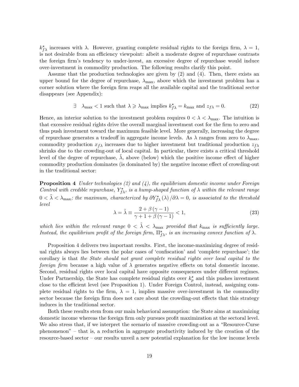$k_{f\lambda}^{\star}$  increases with  $\lambda$ . However, granting complete residual rights to the foreign firm,  $\lambda = 1$ , is not desirable from an efficiency viewpoint: albeit a moderate degree of repurchase contrasts the foreign firm's tendency to under-invest, an excessive degree of repurchase would induce over-investment in commodity production. The following results clarify this point.

Assume that the production technologies are given by (2) and (4). Then, there exists an upper bound for the degree of repurchase,  $\lambda_{\text{max}}$ , above which the investment problem has a corner solution where the foreign firm reaps all the available capital and the traditional sector disappears (see Appendix):

$$
\exists \quad \lambda_{\max} < 1 \text{ such that } \lambda \geqslant \lambda_{\max} \text{ implies } k_{f\lambda}^* = k_{\max} \text{ and } z_{f\lambda} = 0. \tag{22}
$$

Hence, an interior solution to the investment problem requires  $0 < \lambda < \lambda_{\text{max}}$ . The intuition is that excessive residual rights drive the overall marginal investment cost for the firm to zero and thus push investment toward the maximum feasible level. More generally, increasing the degree of repurchase generates a tradeoff in aggregate income levels. As  $\lambda$  ranges from zero to  $\lambda_{\text{max}}$ , commodity production  $x_{f\lambda}$  increases due to higher investment but traditional production  $z_{f\lambda}$ shrinks due to the crowding-out of local capital. In particular, there exists a critical threshold level of the degree of repurchase,  $\lambda$ , above (below) which the positive income effect of higher commodity production dominates (is dominated by) the negative income effect of crowding-out in the traditional sector:

**Proposition 4** Under technologies  $(2)$  and  $(4)$ , the equilibrium domestic income under Foreign Control with credible repurchase,  $Y_{f\lambda}^{\star}$ , is a hump-shaped function of  $\lambda$  within the relevant range  $0 < \tilde{\lambda} < \lambda_{\text{max}}$ ; the maximum, characterized by  $\partial Y^{\star}_{f\lambda}(\lambda)/\partial \lambda = 0$ , is associated to the threshold level

$$
\lambda = \tilde{\lambda} \equiv \frac{2 + \beta (\gamma - 1)}{\gamma + 1 + \beta (\gamma - 1)} < 1,\tag{23}
$$

which lies within the relevant range  $0 < \lambda < \lambda_{\text{max}}$  provided that  $k_{\text{max}}$  is sufficiently large. Instead, the equilibrium profit of the foreign firm,  $\Pi_{f\lambda}^{\star}$ , is an increasing convex function of  $\lambda$ .

Proposition 4 delivers two important results. First, the income-maximizing degree of residual rights always lies between the polar cases of 'confiscation' and 'complete repurchase'; the corollary is that the State should not grant complete residual rights over local capital to the foreign firm because a high value of  $\lambda$  generates negative effects on total domestic income. Second, residual rights over local capital have opposite consequences under different regimes. Under Partnership, the State has complete residual rights over  $k_p^*$  and this pushes investment close to the efficient level (see Proposition 1). Under Foreign Control, instead, assigning complete residual rights to the firm,  $\lambda = 1$ , implies massive over-investment in the commodity sector because the foreign firm does not care about the crowding-out effects that this strategy induces in the traditional sector.

Both these results stem from our main behavioral assumption: the State aims at maximizing domestic income whereas the foreign firm only pursues profit maximization at the sectoral level. We also stress that, if we interpret the scenario of massive crowding-out as a "Resource-Curse"  $phenomenon<sup>n</sup> - that is, a reduction in aggregate productivity induced by the creation of the$ resource-based sector – our results unveil a new potential explanation for the low income levels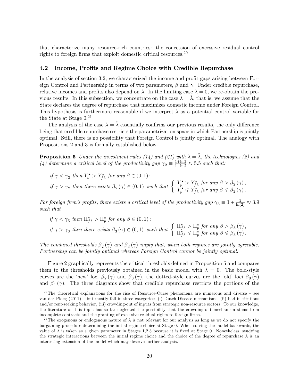that characterize many resource-rich countries: the concession of excessive residual control rights to foreign firms that exploit domestic critical resources.<sup>20</sup>

#### 4.2 Income, Profits and Regime Choice with Credible Repurchase

In the analysis of section 3.2, we characterized the income and profit gaps arising between Foreign Control and Partnership in terms of two parameters,  $\beta$  and  $\gamma$ . Under credible repurchase, relative incomes and profits also depend on  $\lambda$ . In the limiting case  $\lambda = 0$ , we re-obtain the previous results. In this subsection, we concentrate on the case  $\lambda = \lambda$ , that is, we assume that the State declares the degree of repurchase that maximizes domestic income under Foreign Control. This hypothesis is furthermore reasonable if we interpret  $\lambda$  as a potential control variable for the State at Stage  $0.^{21}$ 

The analysis of the case  $\lambda = \tilde{\lambda}$  essentially confirms our previous results, the only difference being that credible repurchase restricts the parametrization space in which Partnership is jointly optimal. Still, there is no possibility that Foreign Control is jointly optimal. The analogy with Propositions 2 and 3 is formally established below.

**Proposition 5** Under the investment rules (14) and (21) with  $\lambda = \tilde{\lambda}$ , the technologies (2) and (4) determine a critical level of the productivity gap  $\gamma_2 \equiv \frac{1 + \ln 2}{1 - \ln 2} \approx 5.5$  such that:

$$
\begin{aligned}\n\text{if } &\gamma < \gamma_2 \text{ then } Y_p^\star > Y_{f\lambda}^\star \text{ for any } \beta \in (0,1);\n\end{aligned}
$$
\n
$$
\text{if } \gamma > \gamma_2 \text{ then there exists } \beta_2(\gamma) \in (0,1) \text{ such that } \left\{ \begin{array}{l} Y_p^\star > Y_{f\lambda}^\star \text{ for any } \beta > \beta_2(\gamma), \\ Y_p^\star &\leq Y_{f\lambda}^\star \text{ for any } \beta \leqslant \beta_2(\gamma). \end{array} \right.
$$

For foreign firm's profits, there exists a critical level of the productivity gap  $\gamma_3 \equiv 1 + \frac{2}{\ln(2)} \approx 3.9$ such that

$$
\begin{aligned}\n\text{if } & \gamma < \gamma_3 \text{ then } \Pi_{f\lambda}^{\star} > \Pi_p^{\star} \text{ for any } \beta \in (0,1); \\
\text{if } & \gamma > \gamma_3 \text{ then there exists } \beta_3(\gamma) \in (0,1) \text{ such that } \left\{ \begin{array}{l} \Pi_{f\lambda}^{\star} > \Pi_p^{\star} \text{ for any } \beta > \beta_3(\gamma), \\
\Pi_{f\lambda}^{\star} &\leqslant \Pi_p^{\star} \text{ for any } \beta \leqslant \beta_3(\gamma).\n\end{array} \right.\n\end{aligned}
$$

The combined thresholds  $\beta_2(\gamma)$  and  $\beta_3(\gamma)$  imply that, when both regimes are jointly agreeable, Partnership can be jointly optimal whereas Foreign Control cannot be jointly optimal.

Figure 2 graphically represents the critical thresholds defined in Proposition 5 and compares them to the thresholds previously obtained in the basic model with  $\lambda = 0$ . The bold-style curves are the 'new' loci  $\beta_2(\gamma)$  and  $\beta_3(\gamma)$ , the dotted-style curves are the 'old' loci  $\beta_0(\gamma)$ and  $\beta_1(\gamma)$ . The three diagrams show that credible repurchase restricts the portions of the

<sup>&</sup>lt;sup>20</sup>The theoretical explanations for the rise of Resource-Curse phenomena are numerous and diverse  $-$  see van der Ploeg (2011) – but mostly fall in three categories: (i) Dutch-Disease mechanisms, (ii) bad institutions and/or rent-seeking behavior, (iii) crowding-out of inputs from strategic non-resource sectors. To our knowledge, the literature on this topic has so far neglected the possibility that the crowding-out mechanism stems from incomplete contracts and the granting of excessive residual rights to foreign firms.

<sup>&</sup>lt;sup>21</sup>The exogenous or endogenous nature of  $\lambda$  is not relevant for our analysis as long as we do not specify the bargaining procedure determining the initial regime choice at Stage 0. When solving the model backwards, the value of  $\lambda$  is taken as a given parameter in Stages 1,2,3 because it is fixed at Stage 0. Nonetheless, studying the strategic interactions between the initial regime choice and the choice of the degree of repurchase  $\lambda$  is an interesting extension of the model which may deserve further analysis.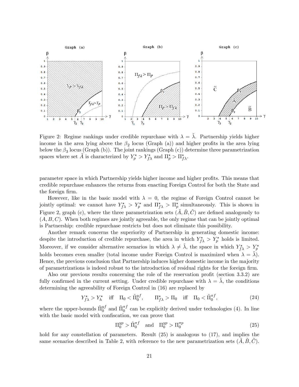

Figure 2: Regime rankings under credible repurchase with  $\lambda = \lambda$ . Partnership yields higher income in the area lying above the  $\beta_2$  locus (Graph (a)) and higher profits in the area lying below the  $\beta_3$  locus (Graph (b)). The joint rankings (Graph (c)) determine three parametrization spaces where set  $\tilde{A}$  is characterized by  $Y_p^{\star} > Y_{f\lambda}^{\star}$  and  $\Pi_p^{\star} > \Pi_{f\lambda}^{\star}$ .

parameter space in which Partnership yields higher income and higher profits. This means that credible repurchase enhances the returns from enacting Foreign Control for both the State and the foreign firm.

However, like in the basic model with  $\lambda = 0$ , the regime of Foreign Control cannot be jointly optimal: we cannot have  $Y_{f\lambda}^* > Y_p^*$  and  $\Pi_{f\lambda}^* > \Pi_p^*$  simultaneously. This is shown in Figure 2, graph (c), where the three parametrization sets  $(\tilde{A}, \tilde{B}, \tilde{C})$  are defined analogously to  $(A, B, C)$ . When both regimes are jointly agreeable, the only regime that can be jointly optimal is Partnership: credible repurchase restricts but does not eliminate this possibility.

Another remark concerns the superiority of Partnership in generating domestic income: despite the introduction of credible repurchase, the area in which  $Y^*_{f\lambda} > Y^*_{p}$  holds is limited. Moreover, if we consider alternative scenarios in which  $\lambda \neq \tilde{\lambda}$ , the space in which  $Y^*_{f\lambda} > Y^*_{p}$ holds becomes even smaller (total income under Foreign Control is maximized when  $\lambda = \lambda$ ). Hence, the previous conclusion that Partnership induces higher domestic income in the majority of parametrizations is indeed robust to the introduction of residual rights for the foreign firm.

Also our previous results concerning the role of the reservation profit (section  $3.3.2$ ) are fully confirmed in the current setting. Under credible repurchase with  $\lambda = \lambda$ , the conditions determining the agreeability of Foreign Control in (16) are replaced by

$$
Y_{f\lambda}^{\star} > Y_h^{\star} \quad \text{iff} \quad \Pi_0 < \tilde{\Pi}_0^{yf}, \qquad \Pi_{f\lambda}^{\star} > \Pi_0 \quad \text{iff} \quad \Pi_0 < \tilde{\Pi}_0^{\pi f}, \tag{24}
$$

where the upper-bounds  $\tilde{\Pi}_{0}^{y}$  and  $\tilde{\Pi}_{0}^{\pi f}$  can be explicitly derived under technologies (4). In line with the basic model with confiscation, we can prove that

$$
\Pi_0^{yp} > \tilde{\Pi}_0^{\pi f} \quad \text{and} \quad \Pi_0^{yp} > \Pi_0^{\pi p} \tag{25}
$$

hold for any constellation of parameters. Result  $(25)$  is analogous to  $(17)$ , and implies the same scenarios described in Table 2, with reference to the new parametrization sets  $(A, B, C)$ .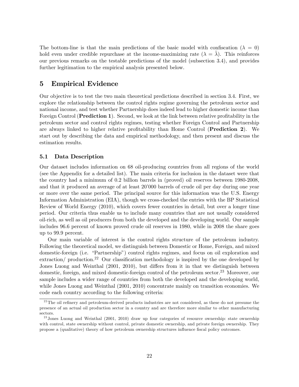The bottom-line is that the main predictions of the basic model with confiscation ( $\lambda = 0$ ) hold even under credible repurchase at the income-maximizing rate  $(\lambda = \lambda)$ . This reinforces our previous remarks on the testable predictions of the model (subsection 3.4), and provides further legitimation to the empirical analysis presented below.

## 5 Empirical Evidence

Our objective is to test the two main theoretical predictions described in section 3.4. First, we explore the relationship between the control rights regime governing the petroleum sector and national income, and test whether Partnership does indeed lead to higher domestic income than Foreign Control (**Prediction 1**). Second, we look at the link between relative profitability in the petroleum sector and control rights regimes, testing whether Foreign Control and Partnership are always linked to higher relative profitability than Home Control (Prediction 2). We start out by describing the data and empirical methodology, and then present and discuss the estimation results.

## 5.1 Data Description

Our dataset includes information on 68 oil-producing countries from all regions of the world (see the Appendix for a detailed list). The main criteria for inclusion in the dataset were that the country had a minimum of 0.2 billion barrels in (proved) oil reserves between 1980-2008, and that it produced an average of at least 20'000 barrels of crude oil per day during one year or more over the same period. The principal source for this information was the U.S. Energy Information Administration (EIA), though we cross-checked the entries with the BP Statistical Review of World Energy (2010), which covers fewer countries in detail, but over a longer time period. Our criteria thus enable us to include many countries that are not usually considered oil-rich, as well as oil producers from both the developed and the developing world. Our sample includes 96.6 percent of known proved crude oil reserves in 1980, while in 2008 the share goes up to 99.9 percent.

Our main variable of interest is the control rights structure of the petroleum industry. Following the theoretical model, we distinguish between Domestic or Home, Foreign, and mixed domestic-foreign (i.e. "Partnership") control rights regimes, and focus on oil exploration and extraction/ production.<sup>22</sup> Our classification methodology is inspired by the one developed by Jones Luong and Weinthal (2001, 2010), but differs from it in that we distinguish between domestic, foreign, and mixed domestic-foreign control of the petroleum sector.<sup>23</sup> Moreover, our sample includes a wider range of countries from both the developed and the developing world, while Jones Luong and Weinthal (2001, 2010) concentrate mainly on transition economies. We code each country according to the following criteria:

 $22$ <sup>22</sup>The oil refinery and petroleum-derived products industries are not considered, as these do not presume the presence of an actual oil production sector in a country and are therefore more similar to other manufacturing sectors.

<sup>&</sup>lt;sup>23</sup> Jones Luong and Weinthal (2001, 2010) draw up four categories of resource ownership: state ownership with control, state ownership without control, private domestic ownership, and private foreign ownership. They propose a (qualitative) theory of how petroleum ownership structures influence fiscal policy outcomes.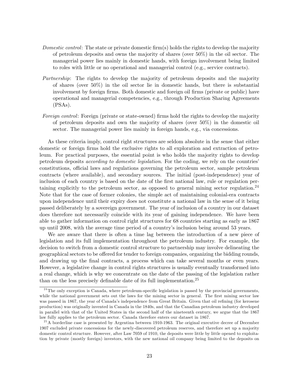- Domestic control: The state or private domestic firm(s) holds the rights to develop the majority of petroleum deposits and owns the majority of shares (over 50%) in the oil sector. The managerial power lies mainly in domestic hands, with foreign involvement being limited to roles with little or no operational and managerial control (e.g., service contracts).
- Partnership: The rights to develop the majority of petroleum deposits and the majority of shares (over 50%) in the oil sector lie in domestic hands, but there is substantial involvement by foreign firms. Both domestic and foreign oil firms (private or public) have operational and managerial competencies, e.g., through Production Sharing Agreements (PSAs).
- Foreign control: Foreign (private or state-owned) firms hold the rights to develop the majority of petroleum deposits and own the majority of shares (over 50%) in the domestic oil sector. The managerial power lies mainly in foreign hands, e.g., via concessions.

As these criteria imply, control right structures are seldom absolute in the sense that either domestic or foreign firms hold the exclusive rights to all exploration and extraction of petroleum. For practical purposes, the essential point is who holds the majority rights to develop petroleum deposits *according to domestic legislation*. For the coding, we rely on the countries' constitutions, official laws and regulations governing the petroleum sector, sample petroleum contracts (where available), and secondary sources. The initial (post-independence) year of inclusion of each country is based on the date of the first national law, rule or regulation pertaining explicitly to the petroleum sector, as opposed to general mining sector regulation.<sup>24</sup> Note that for the case of former colonies, the simple act of maintaining colonial-era contracts upon independence until their expiry does not constitute a national law in the sense of it being passed deliberately by a sovereign government. The year of inclusion of a country in our dataset does therefore not necessarily coincide with its year of gaining independence. We have been able to gather information on control right structures for 68 countries starting as early as 1867 up until 2008, with the average time period of a countryís inclusion being around 53 years.

We are aware that there is often a time lag between the introduction of a new piece of legislation and its full implementation throughout the petroleum industry. For example, the decision to switch from a domestic control structure to partnership may involve delineating the geographical sectors to be offered for tender to foreign companies, organizing the bidding rounds, and drawing up the final contracts, a process which can take several months or even years. However, a legislative change in control rights structures is usually eventually transformed into a real change, which is why we concentrate on the date of the passing of the legislation rather than on the less precisely definable date of its full implementation.<sup>25</sup>

 $24$ The only exception is Canada, where petroleum-specific legislation is passed by the provincial governments, while the national government sets out the laws for the mining sector in general. The first mining sector law was passed in 1867, the year of Canada's independence from Great Britain. Given that oil refining (for kerosene production) was originally invented in Canada in the 1840s, and that the Canadian petroleum industry developed in parallel with that of the United States in the second half of the nineteenth century, we argue that the 1867 law fully applies to the petroleum sector. Canada therefore enters our dataset in 1867.

 $^{25}$ A borderline case is presented by Argentina between 1910-1963. The original executive decree of December 1907 excluded private concessions for the newly-discovered petroleum reserves, and therefore set up a majority domestic control structure. However, after Law 7059 of 1910, the deposits were little by little opened to exploitation by private (mostly foreign) investors, with the new national oil company being limited to the deposits on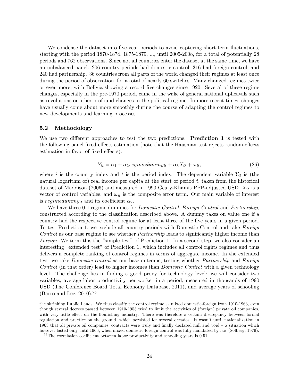We condense the dataset into five-year periods to avoid capturing short-term fluctuations, starting with the period  $1870-1874$ ,  $1875-1879$ , ..., until  $2005-2008$ , for a total of potentially  $28$ periods and 762 observations. Since not all countries enter the dataset at the same time, we have an unbalanced panel. 206 country-periods had domestic control; 316 had foreign control; and 240 had partnership. 36 countries from all parts of the world changed their regimes at least once during the period of observation, for a total of nearly 60 switches. Many changed regimes twice or even more, with Bolivia showing a record Öve changes since 1920. Several of these regime changes, especially in the pre-1970 period, came in the wake of general national upheavals such as revolutions or other profound changes in the political regime. In more recent times, changes have usually come about more smoothly during the course of adapting the control regimes to new developments and learning processes.

## 5.2 Methodology

We use two different approaches to test the two predictions. **Prediction 1** is tested with the following panel fixed-effects estimation (note that the Hausman test rejects random-effects estimation in favor of fixed effects):

$$
Y_{it} = \alpha_1 + \alpha_2 \text{regimedum} \, m y_{it} + \alpha_3 X_{it} + \omega_{it}, \tag{26}
$$

where i is the country index and t is the period index. The dependent variable  $Y_{it}$  is (the natural logarithm of) real income per capita at the start of period  $t$ , taken from the historical dataset of Maddison (2006) and measured in 1990 Geary-Khamis PPP-adjusted USD.  $X_{it}$  is a vector of control variables, and  $\omega_{it}$  is the composite error term. Our main variable of interest is regimedum my<sub>it</sub> and its coefficient  $\alpha_2$ .

We have three 0-1 regime dummies for *Domestic Control, Foreign Control* and *Partnership*, constructed according to the classification described above. A dummy takes on value one if a country had the respective control regime for at least three of the five years in a given period. To test Prediction 1, we exclude all country-periods with Domestic Control and take Foreign Control as our base regime to see whether *Partnership* leads to significantly higher income than Foreign. We term this the "simple test" of Prediction 1. In a second step, we also consider an interesting "extended test" of Prediction 1, which includes all control rights regimes and thus delivers a complete ranking of control regimes in terms of aggregate income. In the extended test, we take *Domestic control* as our base outcome, testing whether *Partnership* and *Foreign* Control (in that order) lead to higher incomes than Domestic Control with a given technology level. The challenge lies in finding a good proxy for technology level: we will consider two variables, average labor productivity per worker in a period, measured in thousands of 1990 USD (The Conference Board Total Economy Database, 2011), and average years of schooling (Barro and Lee,  $2010$ ).<sup>26</sup>

the shrinking Public Lands. We thus classify the control regime as mixed domestic-foreign from 1910-1963, even though several decrees passed between 1910-1955 tried to limit the activities of (foreign) private oil companies, with very little effect on the flourishing industry. There was therefore a certain discrepancy between formal regulation and practice on the ground, which persisted for several decades. It wasnít until nationalization in 1963 that all private oil companies' contracts were truly and finally declared null and void – a situation which however lasted only until 1966, when mixed domestic-foreign control was fully mandated by law (Solberg, 1979).

 $^{26}$ The correlation coefficient between labor productivity and schooling years is 0.51.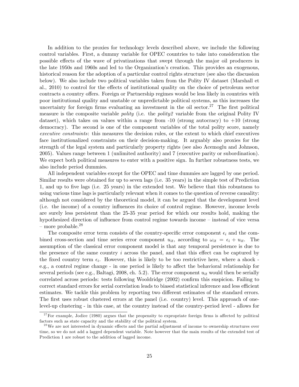In addition to the proxies for technology levels described above, we include the following control variables. First, a dummy variable for OPEC countries to take into consideration the possible effects of the wave of privatizations that swept through the major oil producers in the late 1950s and 1960s and led to the Organization's creation. This provides an exogenous, historical reason for the adoption of a particular control rights structure (see also the discussion below). We also include two political variables taken from the Polity IV dataset (Marshall et al., 2010) to control for the effects of institutional quality on the choice of petroleum sector contracts a country offers. Foreign or Partnership regimes would be less likely in countries with poor institutional quality and unstable or unpredictable political systems, as this increases the uncertainty for foreign firms evaluating an investment in the oil sector.<sup>27</sup> The first political measure is the composite variable *polity* (i.e. the *polity* 2 variable from the original Polity IV dataset), which takes on values within a range from  $-10$  (strong autocracy) to  $+10$  (strong democracy). The second is one of the component variables of the total polity score, namely executive constraints: this measures the decision rules, or the extent to which chief executives face institutionalized constraints on their decision-making. It arguably also proxies for the strength of the legal system and particularly property rights (see also Acemoglu and Johnson, 2005). Values range between 1 (unlimited authority) and 7 (executive parity or subordination). We expect both political measures to enter with a positive sign. In further robustness tests, we also include period dummies.

All independent variables except for the OPEC and time dummies are lagged by one period. Similar results were obtained for up to seven lags (i.e. 35 years) in the simple test of Prediction 1, and up to Öve lags (i.e. 25 years) in the extended test. We believe that this robustness to using various time lags is particularly relevant when it comes to the question of reverse causality: although not considered by the theoretical model, it can be argued that the development level (i.e. the income) of a country influences its choice of control regime. However, income levels are surely less persistent than the 25-35 year period for which our results hold, making the hypothesized direction of influence from control regime towards income – instead of vice versa  $-$  more probable.<sup>28</sup>

The composite error term consists of the country-specific error component  $\epsilon_i$  and the combined cross-section and time series error component  $u_{it}$ , according to  $\omega_{it} = \epsilon_i + u_{it}$ . The assumption of the classical error component model is that any temporal persistence is due to the presence of the same country i across the panel, and that this effect can be captured by the fixed country term  $\epsilon_i$ . However, this is likely to be too restrictive here, where a shock e.g., a control regime change - in one period is likely to affect the behavioral relationship for several periods (see e.g., Baltagi, 2008, ch. 5.2). The error component  $u_{it}$  would then be serially correlated across periods: tests following Wooldridge (2002) confirm this suspicion. Failing to correct standard errors for serial correlation leads to biased statistical inference and less efficient estimates. We tackle this problem by reporting two different estimates of the standard errors. The first uses robust clustered errors at the panel (i.e. country) level. This approach of onelevel-up clustering - in this case, at the country instead of the country-period level - allows for

 $27$  For example, Jodice (1980) argues that the propensity to expropriate foreign firms is affected by political factors such as state capacity and the stability of the political system.

<sup>&</sup>lt;sup>28</sup>We are not interested in dynamic effects and the partial adjustment of income to ownership structures over time, so we do not add a lagged dependent variable. Note however that the main results of the extended test of Prediction 1 are robust to the addition of lagged income.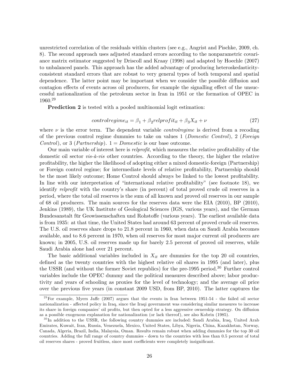unrestricted correlation of the residuals within clusters (see e.g., Angrist and Pischke, 2009, ch. 8). The second approach uses adjusted standard errors according to the nonparametric covariance matrix estimator suggested by Driscoll and Kraay (1998) and adapted by Hoechle (2007) to unbalanced panels. This approach has the added advantage of producing heteroskedasticityconsistent standard errors that are robust to very general types of both temporal and spatial dependence. The latter point may be important when we consider the possible diffusion and contagion effects of events across oil producers, for example the signalling effect of the unsuccessful nationalization of the petroleum sector in Iran in 1951 or the formation of OPEC in 1960.<sup>29</sup>

Prediction 2 is tested with a pooled multinomial logit estimation:

$$
controlregime_{it} = \beta_1 + \beta_2 relprofit_{it} + \beta_3 X_{it} + \nu \tag{27}
$$

where  $\nu$  is the error term. The dependent variable *controlregime* is derived from a recoding of the previous control regime dummies to take on values 1 (Domestic Control), 2 (Foreign *Control*), or 3 (*Partnership*).  $1 = Domestic$  is our base outcome.

Our main variable of interest here is *relprofit*, which measures the relative profitability of the domestic oil sector  $vis-\hat{a}-vis$  other countries. According to the theory, the higher the relative profitability, the higher the likelihood of adopting either a mixed domestic-foreign (Partnership) or Foreign control regime; for intermediate levels of relative profitability, Partnership should be the most likely outcome; Home Control should always be linked to the lowest profitability. In line with our interpretation of "international relative profitability" (see footnote 18), we identify relprofit with the country's share (in percent) of total proved crude oil reserves in a period, where the total oil reserves is the sum of all known and proved oil reserves in our sample of 68 oil producers. The main sources for the reserves data were the EIA (2010), BP (2010), Jenkins (1989), the UK Institute of Geological Sciences (IGS, various years), and the German Bundesanstalt für Geowissenschaften und Rohstoffe (various years). The earliest available data is from 1935: at that time, the United States had around 63 percent of proved crude oil reserves. The U.S. oil reserves share drops to 21.8 percent in 1960, when data on Saudi Arabia becomes available, and to 8.6 percent in 1970, when oil reserves for most major current oil producers are known; in 2005, U.S. oil reserves made up for barely 2.5 percent of proved oil reserves, while Saudi Arabia alone had over 21 percent.

The basic additional variables included in  $X_{it}$  are dummies for the top 20 oil countries, defined as the twenty countries with the highest relative oil shares in 1995 (and later), plus the USSR (and without the former Soviet republics) for the pre-1995 period.<sup>30</sup> Further control variables include the OPEC dummy and the political measures described above; labor productivity and years of schooling as proxies for the level of technology; and the average oil price over the previous five years (in constant 2009 USD, from BP, 2010). The latter captures the

 $^{29}$  For example, Myers Jaffe (2007) argues that the events in Iran between 1951-54 - the failed oil sector nationalization - affected policy in Iraq, since the Iraqi government was considering similar measures to increase its share in foreign companies' oil profits, but then opted for a less aggressive ownership strategy. On diffusion as a possible exogenous explanation for nationalization (or lack thereof), see also Kobrin (1985).

<sup>&</sup>lt;sup>30</sup>In addition to the USSR, the following country dummies are included: Saudi Arabia, Iraq, United Arab Emirates, Kuwait, Iran, Russia, Venezuela, Mexico, United States, Libya, Nigeria, China, Kazakhstan, Norway, Canada, Algeria, Brazil, India, Malaysia, Oman. Results remain robust when adding dummies for the top 30 oil countries. Adding the full range of country dummies - down to the countries with less than 0.5 percent of total oil reserves shares - proved fruitless, since most coefficients were completely insignificant.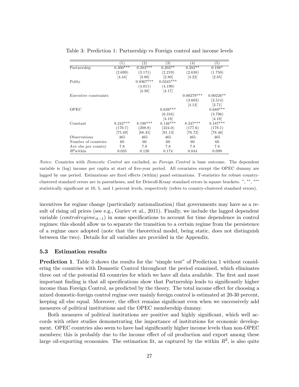|                       | $\left(1\right)$ | $^{'}2)$            | $\left(3\right)$ | $^{(4)}$     | (5)         |
|-----------------------|------------------|---------------------|------------------|--------------|-------------|
| Partnership           | $0.300***$       | $0.283***$          | $0.203**$        | $0.282**$    | $0.198*$    |
|                       | (2.699)          | (3.171)             | (2.219)          | (2.638)      | (1.750)     |
|                       | [4.44]           | $\left[3.80\right]$ | [2.80]           | [4.22]       | [2.85]      |
| Polity                |                  | $0.0367***$         | $0.0345***$      |              |             |
|                       |                  | (4.011)             | (4.190)          |              |             |
|                       |                  | [4.38]              | [4.17]           |              |             |
| Executive constraints |                  |                     |                  | $0.00279***$ | $0.00226**$ |
|                       |                  |                     |                  | (3.603)      | (2.514)     |
|                       |                  |                     |                  | [4.12]       | [2.71]      |
| OPEC                  |                  |                     | $0.639***$       |              | $0.689***$  |
|                       |                  |                     | (6.316)          |              | (3.796)     |
|                       |                  |                     | [4.18]           |              | [4.18]      |
| Constant              | $8.242***$       | $8.198***$          | $8.146***$       | $8.247***$   | $8.187***$  |
|                       | (170.7)          | (208.8)             | (224.0)          | (177.6)      | (178.1)     |
|                       | [75.49]          | [88.45]             | [91.13]          | [76.72]      | [78.46]     |
| Observations          | 465              | 465                 | 465              | 465          | 465         |
| Number of countries   | 60               | 60                  | 60               | 60           | 60          |
| Ave obs per country   | 7.8              | 7.8                 | 7.8              | 7.8          | 7.8         |
| $R^2$ within          | 0.035            | 0.126               | 0.174            | 0.044        | 0.099       |

Table 3: Prediction 1: Partnership vs Foreign control and income levels

Notes: Countries with *Domestic Control* are excluded, so Foreign Control is base outcome. The dependent variable is (log) income per capita at start of five-year period. All covariates except the OPEC dummy are lagged by one period. Estimations are fixed effects (within) panel estimations. T-statistics for robust countryclustered standard errors are in parentheses, and for Driscoll-Kraay standard errors in square brackets. \*, \*\*, \*\*\* statistically significant at 10, 5, and 1 percent levels, respectively (refers to country-clustered standard errors).

incentives for regime change (particularly nationalization) that governments may have as a result of rising oil prices (see e.g., Guriev et al., 2011). Finally, we include the lagged dependent variable (*controlregime<sub>it-1</sub>*) in some specifications to account for time dependence in control regimes: this should allow us to separate the transition to a certain regime from the persistence of a regime once adopted (note that the theoretical model, being static, does not distinguish between the two). Details for all variables are provided in the Appendix.

#### 5.3 Estimation results

**Prediction 1.** Table 3 shows the results for the "simple test" of Prediction 1 without considering the countries with Domestic Control throughout the period examined, which eliminates three out of the potential 63 countries for which we have all data available. The first and most important finding is that all specifications show that Partnership leads to significantly higher income than Foreign Control, as predicted by the theory. The total income effect for choosing a mixed domestic-foreign control regime over mainly foreign control is estimated at 20-30 percent, keeping all else equal. Moreover, the effect remains significant even when we successively add measures of political institutions and the OPEC membership dummy.

Both measures of political institutions are positive and highly significant, which well accords with other studies demonstrating the importance of institutions for economic development. OPEC countries also seem to have had significantly higher income levels than non-OPEC members; this is probably due to the income effect of oil production and export among these large oil-exporting economies. The estimation fit, as captured by the within  $R^2$ , is also quite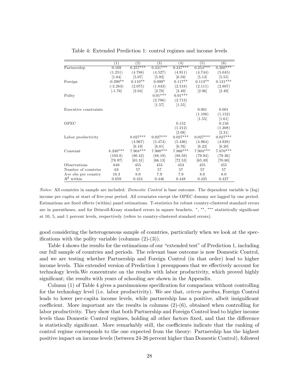|                       | (1)        | $\left( 2\right)$ | (3)        | (4)        | $\left(5\right)$ | (6)                 |
|-----------------------|------------|-------------------|------------|------------|------------------|---------------------|
| Partnership           | 0.169      | $0.257***$        | $0.241***$ | $0.247***$ | $0.254***$       | $0.260***$          |
|                       | (1.251)    | (4.788)           | (4.527)    | (4.911)    | (4.744)          | (5.045)             |
|                       | [1.64]     | [5.07]            | [5.92]     | [6.59]     | [5.13]           | [5.55]              |
| Foreign               | $-0.290**$ | $0.110**$         | $0.099*$   | $0.117**$  | $0.113**$        | $0.131***$          |
|                       | $(-2.283)$ | (2.075)           | (1.843)    | (2.518)    | (2.111)          | (2.807)             |
|                       | $[-1.76]$  | [2.04]            | [2.70]     | [3.49]     | $[2.06]$         | [2.49]              |
| Polity                |            |                   | $0.01***$  | $0.01***$  |                  |                     |
|                       |            |                   | (2.786)    | (2.713)    |                  |                     |
|                       |            |                   | [1.57]     | [1.55]     |                  |                     |
| Executive constraints |            |                   |            |            | 0.001            | 0.001               |
|                       |            |                   |            |            | (1.108)          | (1.152)             |
|                       |            |                   |            |            | [1.55]           | $\left[1.61\right]$ |
| OPEC                  |            |                   |            | 0.152      |                  | 0.156               |
|                       |            |                   |            | (1.212)    |                  | (1.308)             |
|                       |            |                   |            | [2.08]     |                  | [2.31]              |
| Labor productivity    |            | $0.027***$        | $0.027***$ | $0.027***$ | $0.027***$       | $0.027***$          |
|                       |            | (4.967)           | (5.474)    | (5.436)    | (4.964)          | (4.928)             |
|                       |            | [6.19]            | [6.81]     | [6.76]     | [6.23]           | [6.20]              |
| Constant              | $8.330***$ | 7.904***          | $7.900***$ | 7.866***   | $7.904***$       | $7.870***$          |
|                       | (103.8)    | (80.42)           | (88.19)    | (88.59)    | (79.94)          | (79.36)             |
|                       | [78.97]    | [65.31]           | [66.13]    | [72.53]    | [65.49]          | [70.80]             |
| Observations          | 648        | 455               | 453        | 453        | 455              | 455                 |
| Number of countries   | 63         | 57                | 57         | 57         | 57               | 57                  |
| Ave obs per country   | 10.3       | 8.0               | 7.9        | 7.9        | 8.0              | 8.0                 |
| $R^2$ within          | 0.059      | 0.424             | 0.446      | 0.448      | 0.425            | 0.427               |

Table 4: Extended Prediction 1: control regimes and income levels

Notes: All countries in sample are included. Domestic Control is base outcome. The dependent variable is (log) income per capita at start of Öve-year period. All covariates except the OPEC dummy are lagged by one period. Estimations are fixed effects (within) panel estimations. T-statistics for robust country-clustered standard errors are in parentheses, and for Driscoll-Kraay standard errors in square brackets. \*, \*\*, \*\*\* statistically significant at 10, 5, and 1 percent levels, respectively (refers to country-clustered standard errors).

good considering the heterogeneous sample of countries, particularly when we look at the specifications with the polity variable (columns  $(2)-(3)$ ).

Table 4 shows the results for the estimations of our "extended test" of Prediction 1, including our full sample of countries and periods. The relevant base outcome is now Domestic Control, and we are testing whether Partnership and Foreign Control (in that order) lead to higher income levels. This extended version of Prediction 1 presupposes that we effectively account for technology levels.We concentrate on the results with labor productivity, which proved highly significant; the results with years of schooling are shown in the Appendix.

Column  $(1)$  of Table 4 gives a parsimonious specification for comparison without controlling for the technology level (i.e. labor productivity). We see that, ceteris paribus, Foreign Control leads to lower per-capita income levels, while partnership has a positive, albeit insignificant coefficient. More important are the results in columns  $(2)-(6)$ , obtained when controlling for labor productivity. They show that both Partnership and Foreign Control lead to higher income levels than Domestic Control regimes, holding all other factors fixed, and that the difference is statistically significant. More remarkably still, the coefficients indicate that the ranking of control regime corresponds to the one expected from the theory: Partnership has the highest positive impact on income levels (between 24-26 percent higher than Domestic Control), followed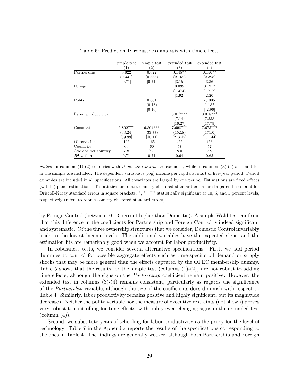|                     | simple test | simple test | extended test | extended test     |
|---------------------|-------------|-------------|---------------|-------------------|
|                     | (1)         | (2)         | (3)           | $\left( 4\right)$ |
| Partnership         | 0.022       | 0.022       | $0.145**$     | $0.156**$         |
|                     | (0.331)     | (0.333)     | (2.162)       | (2.398)           |
|                     | [0.71]      | [0.71]      | [3.15]        | [3.36]            |
| Foreign             |             |             | 0.099         | $0.121*$          |
|                     |             |             | (1.374)       | (1.717)           |
|                     |             |             | [1.92]        | [2.20]            |
| Polity              |             | 0.001       |               | $-0.005$          |
|                     |             | (0.13)      |               | (1.182)           |
|                     |             | [0.10]      |               | $[-2.96]$         |
| Labor productivity  |             |             | $0.017***$    | $0.018***$        |
|                     |             |             | (7.14)        | (7.538)           |
|                     |             |             | [16.27]       | $[17.79]$         |
| Constant            | $6.802***$  | $6.804***$  | $7.698***$    | $7.673***$        |
|                     | (33.24)     | (33.77)     | (152.8)       | (171.0)           |
|                     | [39.99]     | [40.11]     | [213.42]      | [171.44]          |
| Observations        | 465         | 465         | 455           | 453               |
| Countries           | 60          | 60          | 57            | 57                |
| Ave obs per country | 7.8         | 7.8         | 8.0           | 7.9               |
| $R^2$ within        | 0.71        | 0.71        | 0.64          | 0.65              |

Table 5: Prediction 1: robustness analysis with time effects

Notes: In columns (1)-(2) countries with *Domestic Control* are excluded, while in columns (3)-(4) all countries in the sample are included. The dependent variable is (log) income per capita at start of five-year period. Period dummies are included in all specifications. All covariates are lagged by one period. Estimations are fixed effects (within) panel estimations. T-statistics for robust country-clustered standard errors are in parentheses, and for Driscoll-Kraay standard errors in square brackets. \*,\*\*,\*\*\* statistically significant at 10, 5, and 1 percent levels, respectively (refers to robust country-clustered standard errors).

by Foreign Control (between 10-13 percent higher than Domestic). A simple Wald test confirms that this difference in the coefficients for Partnership and Foreign Control is indeed significant and systematic. Of the three ownership structures that we consider, Domestic Control invariably leads to the lowest income levels. The additional variables have the expected signs, and the estimation fits are remarkably good when we account for labor productivity.

In robustness tests, we consider several alternative specifications. First, we add period dummies to control for possible aggregate effects such as time-specific oil demand or supply shocks that may be more general than the effects captured by the OPEC membership dummy. Table 5 shows that the results for the simple test (columns  $(1)-(2)$ ) are not robust to adding time effects, although the signs on the *Partnership* coefficient remain positive. However, the extended test in columns  $(3)-(4)$  remains consistent, particularly as regards the significance of the *Partnership* variable, although the size of the coefficients does diminish with respect to Table 4. Similarly, labor productivity remains positive and highly significant, but its magnitude decreases. Neither the polity variable nor the measure of executive restraints (not shown) proves very robust to controlling for time effects, with polity even changing signs in the extended test  $\text{(column (4))}.$ 

Second, we substitute years of schooling for labor productivity as the proxy for the level of technology: Table 7 in the Appendix reports the results of the specifications corresponding to the ones in Table 4. The findings are generally weaker, although both Partnership and Foreign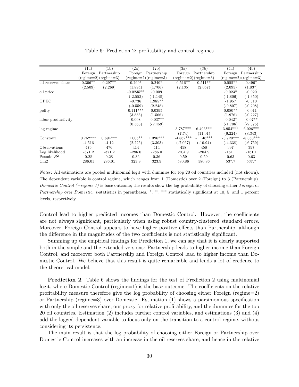|                    | (1a)       | (1b)                                 | (2a)        | (2b)                                 | (3a)        | (3b)                                 | (4a)        | (4b)                                 |
|--------------------|------------|--------------------------------------|-------------|--------------------------------------|-------------|--------------------------------------|-------------|--------------------------------------|
|                    | Foreign    | Partnership                          |             | Foreign Partnership                  | Foreign     | Partnership                          | Foreign     | Partnership                          |
|                    |            | $(\text{regime}=2)(\text{regime}=3)$ |             | $(\text{regime}=2)(\text{regime}=3)$ |             | $(\text{regime}=2)(\text{regime}=3)$ |             | $(\text{regime}=2)(\text{regime}=3)$ |
| oil reserves share | $0.306**$  | $0.297**$                            | $0.260*$    | $0.240*$                             | $0.516**$   | $0.511**$                            | $0.555**$   | $0.496*$                             |
|                    | (2.509)    | (2.269)                              | (1.894)     | (1.706)                              | (2.135)     | (2.057)                              | (2.095)     | (1.837)                              |
| oil price          |            |                                      | $-0.0235**$ | $-0.009$                             |             |                                      | $-0.023*$   | $-0.020$                             |
|                    |            |                                      | $(-2.553)$  | $(-1.148)$                           |             |                                      | $(-1.806)$  | $(-1.350)$                           |
| OPEC               |            |                                      | $-0.736$    | $1.985**$                            |             |                                      | $-1.957$    | $-0.510$                             |
|                    |            |                                      | $(-0.559)$  | (2.248)                              |             |                                      | $(-0.807)$  | $(-0.208)$                           |
| polity             |            |                                      | $0.111***$  | 0.0395                               |             |                                      | $0.080**$   | $-0.011$                             |
|                    |            |                                      | (3.885)     | (1.566)                              |             |                                      | (1.976)     | $(-0.227)$                           |
| labor productivity |            |                                      | 0.008       | $-0.037**$                           |             |                                      | $-0.042*$   | $-0.07**$                            |
|                    |            |                                      | (0.563)     | $(-2.459)$                           |             |                                      | $(-1.706)$  | $(-2.375)$                           |
| lag regime         |            |                                      |             |                                      | $3.787***$  | $6.496***$                           | $3.954***$  | $6.026***$                           |
|                    |            |                                      |             |                                      | (7.74)      | (11.01)                              | (6.224)     | (8.343)                              |
| Constant           | $0.752***$ | $0.694***$                           | $1.005**$   | $1.396***$                           | $-4.862***$ | $-11.46***$                          | $-3.720***$ | $-8.080***$                          |
|                    | $-4.516$   | $-4.12$                              | (2.225)     | (3.303)                              | $(-7.067)$  | $(-10.94)$                           | $(-4.338)$  | $(-6.759)$                           |
| Observations       | 476        | 476                                  | 414         | 414                                  | 458         | 458                                  | 397         | 397                                  |
| Log likelihood     | $-371.2$   | $-371.2$                             | $-286.0$    | $-286.0$                             | $-204.9$    | $-204.9$                             | $-161.1$    | $-161.1$                             |
| Pseudo $R^2$       | 0.28       | 0.28                                 | 0.36        | 0.36                                 | 0.59        | 0.59                                 | 0.63        | 0.63                                 |
| Chi2               | 286.01     | 286.01                               | 323.9       | 323.9                                | 580.86      | 580.86                               | 537.7       | 537.7                                |

Table 6: Prediction 2: profitability and control regimes

Notes: All estimations are pooled multinomial logit with dummies for top 20 oil countries included (not shown). The dependent variable is control regime, which ranges from 1 (Domestic) over 2 (Foreign) to 3 (Partnership). Domestic Control (=regime 1) is base outcome; the results show the log probability of choosing either Foreign or Partnership over Domestic. z-statistics in parentheses. \*, \*\*, \*\*\* statistically significant at 10, 5, and 1 percent levels, respectively.

Control lead to higher predicted incomes than Domestic Control. However, the coefficients are not always significant, particularly when using robust country-clustered standard errors. Moreover, Foreign Control appears to have higher positive effects than Partnership, although the difference in the magnitudes of the two coefficients is not statistically significant.

Summing up the empirical findings for Prediction 1, we can say that it is clearly supported both in the simple and the extended versions: Partnership leads to higher income than Foreign Control, and moreover both Partnership and Foreign Control lead to higher income than Domestic Control. We believe that this result is quite remarkable and lends a lot of credence to the theoretical model.

**Prediction 2.** Table 6 shows the findings for the test of Prediction 2 using multinomial logit, where Domestic Control (regime=1) is the base outcome. The coefficients on the relative profitability measure therefore give the log probability of choosing either Foreign (regime=2) or Partnership (regime=3) over Domestic. Estimation  $(1)$  shows a parsimonious specification with only the oil reserves share, our proxy for relative profitability, and the dummies for the top 20 oil countries. Estimation (2) includes further control variables, and estimations (3) and (4) add the lagged dependent variable to focus only on the transition to a control regime, without considering its persistence.

The main result is that the log probability of choosing either Foreign or Partnership over Domestic Control increases with an increase in the oil reserves share, and hence in the relative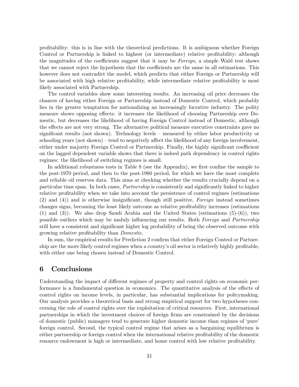profitability: this is in line with the theoretical predictions. It is ambiguous whether Foreign Control or Partnership is linked to highest (or intermediate) relative profitability: although the magnitudes of the coefficients suggest that it may be Foreign, a simple Wald test shows that we cannot reject the hypothesis that the coefficients are the same in all estimations. This however does not contradict the model, which predicts that either Foreign or Partnership will be associated with high relative profitability, while intermediate relative profitability is most likely associated with Partnership.

The control variables show some interesting results. An increasing oil price decreases the chances of having either Foreign or Partnership instead of Domestic Control, which probably lies in the greater temptation for nationalizing an increasingly lucrative industry. The polity measure shows opposing effects: it increases the likelihood of choosing Partnership over Domestic, but decreases the likelihood of having Foreign Control instead of Domestic, although the effects are not very strong. The alternative political measure executive constraints gave no significant results (not shown). Technology levels  $-$  measured by either labor productivity or schooling years (not shown) – tend to negatively affect the likelihood of any foreign involvement, either under majority Foreign Control or Partnership. Finally, the highly significant coefficient on the lagged dependent variable shows that there is indeed path dependency in control rights regimes: the likelihood of switching regimes is small.

In additional robustness tests in Table 8 (see the Appendix), we first confine the sample to the post-1970 period, and then to the post-1980 period, for which we have the most complete and reliable oil reserves data. This aims at checking whether the results crucially depend on a particular time span. In both cases, *Partnership* is consistently and significantly linked to higher relative profitability when we take into account the persistence of control regimes (estimations  $(2)$  and  $(4)$ ) and is otherwise insignificant, though still positive. Foreign instead sometimes changes signs, becoming the least likely outcome as relative profitability increases (estimations  $(1)$  and  $(3)$ ). We also drop Saudi Arabia and the United States (estimations  $(5)-(6)$ ), two possible outliers which may be unduly influencing our results. Both Foreign and Partnership still have a consistent and significant higher log probability of being the observed outcome with growing relative profitability than *Domestic*.

In sum, the empirical results for Prediction 2 confirm that either Foreign Control or Partnership are the more likely control regimes when a country's oil sector is relatively highly profitable, with either one being chosen instead of Domestic Control.

## 6 Conclusions

Understanding the impact of different regimes of property and control rights on economic performance is a fundamental question in economics. The quantitative analysis of the effects of control rights on income levels, in particular, has substantial implications for policymaking. Our analysis provides a theoretical basis and strong empirical support for two hypotheses concerning the role of control rights over the exploitation of critical resources. First, international partnerships in which the investment choices of foreign firms are constrained by the decisions of domestic (public) managers tend to generate higher domestic income than regimes of 'pure' foreign control. Second, the typical control regime that arises as a bargaining equilibrium is either partnership or foreign control when the international relative profitability of the domestic resource endowment is high or intermediate, and home control with low relative profitability.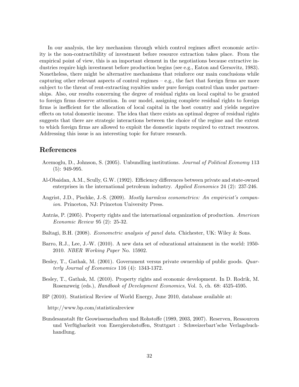In our analysis, the key mechanism through which control regimes affect economic activity is the non-contractibility of investment before resource extraction takes place. From the empirical point of view, this is an important element in the negotiations because extractive industries require high investment before production begins (see e.g., Eaton and Gersovitz, 1983). Nonetheless, there might be alternative mechanisms that reinforce our main conclusions while capturing other relevant aspects of control regimes  $-$  e.g., the fact that foreign firms are more subject to the threat of rent-extracting royalties under pure foreign control than under partnerships. Also, our results concerning the degree of residual rights on local capital to be granted to foreign firms deserve attention. In our model, assigning complete residual rights to foreign firms is inefficient for the allocation of local capital in the host country and yields negative effects on total domestic income. The idea that there exists an optimal degree of residual rights suggests that there are strategic interactions between the choice of the regime and the extent to which foreign Örms are allowed to exploit the domestic inputs required to extract resources. Addressing this issue is an interesting topic for future research.

## References

- Acemoglu, D., Johnson, S. (2005). Unbundling institutions. Journal of Political Economy 113 (5): 949-995.
- Al-Obaidan, A.M., Scully, G.W. (1992). Efficiency differences between private and state-owned enterprises in the international petroleum industry. Applied Economics 24 (2): 237-246.
- Angrist, J.D., Pischke, J.-S. (2009). *Mostly harmless econometrics: An empiricist's compan*ion. Princeton, NJ: Princeton University Press.
- Antràs, P.  $(2005)$ . Property rights and the international organization of production. American Economic Review 95 (2): 25-32.
- Baltagi, B.H. (2008). *Econometric analysis of panel data*. Chichester, UK: Wiley & Sons.
- Barro, R.J., Lee, J.-W. (2010). A new data set of educational attainment in the world: 1950- 2010. NBER Working Paper No. 15902.
- Besley, T., Gathak, M. (2001). Government versus private ownership of public goods. Quarterly Journal of Economics 116 (4): 1343-1372.
- Besley, T., Gathak, M. (2010). Property rights and economic development. In D. Rodrik, M. Rosenzweig (eds.), Handbook of Development Economics, Vol. 5, ch. 68: 4525-4595.
- BP (2010). Statistical Review of World Energy, June 2010, database available at:
	- http://www.bp.com/statisticalreview
- Bundesanstalt für Geowissenschaften und Rohstoffe (1989, 2003, 2007). Reserven, Ressourcen und Verfügbarkeit von Energierohstoffen, Stuttgart : Schweizerbart'sche Verlagsbuchhandlung.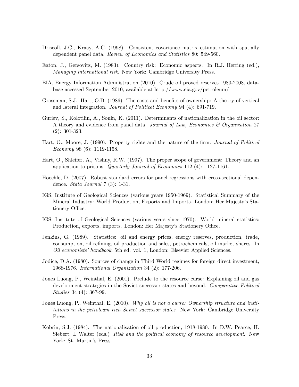- Driscoll, J.C., Kraay, A.C. (1998). Consistent covariance matrix estimation with spatially dependent panel data. Review of Economics and Statistics 80: 549-560.
- Eaton, J., Gersovitz, M. (1983). Country risk: Economic aspects. In R.J. Herring (ed.), Managing international risk. New York: Cambridge University Press.
- EIA, Energy Information Administration (2010). Crude oil proved reserves 1980-2008, database accessed September 2010, available at http://www.eia.gov/petroleum/
- Grossman, S.J., Hart, O.D. (1986). The costs and benefits of ownership: A theory of vertical and lateral integration. Journal of Political Economy 94 (4): 691-719.
- Guriev, S., Kolotilin, A., Sonin, K. (2011). Determinants of nationalization in the oil sector: A theory and evidence from panel data. Journal of Law, Economics  $\mathcal C$  Organization 27 (2): 301-323.
- Hart, O., Moore, J. (1990). Property rights and the nature of the firm. *Journal of Political* Economy 98 (6): 1119-1158.
- Hart, O., Shleifer, A., Vishny, R.W. (1997). The proper scope of government: Theory and an application to prisons. Quarterly Journal of Economics 112 (4): 1127-1161.
- Hoechle, D. (2007). Robust standard errors for panel regressions with cross-sectional dependence. Stata Journal 7 (3): 1-31.
- IGS, Institute of Geological Sciences (various years 1950-1969). Statistical Summary of the Mineral Industry: World Production, Exports and Imports. London: Her Majestyís Stationery Office.
- IGS, Institute of Geological Sciences (various years since 1970). World mineral statistics: Production, exports, imports. London: Her Majesty's Stationery Office.
- Jenkins, G. (1989). Statistics: oil and energy prices, energy reserves, production, trade, consumption, oil refining, oil production and sales, petrochemicals, oil market shares. In Oil economists' handbook, 5th ed. vol. 1, London: Elsevier Applied Sciences.
- Jodice, D.A. (1980). Sources of change in Third World regimes for foreign direct investment, 1968-1976. International Organization 34 (2): 177-206.
- Jones Luong, P., Weinthal, E. (2001). Prelude to the resource curse: Explaining oil and gas development strategies in the Soviet successor states and beyond. Comparative Political Studies 34 (4): 367-99.
- Jones Luong, P., Weinthal, E. (2010). Why oil is not a curse: Ownership structure and institutions in the petroleum rich Soviet successor states. New York: Cambridge University Press.
- Kobrin, S.J. (1984). The nationalisation of oil production, 1918-1980. In D.W. Pearce, H. Siebert, I. Walter (eds.) Risk and the political economy of resource development. New York: St. Martin's Press.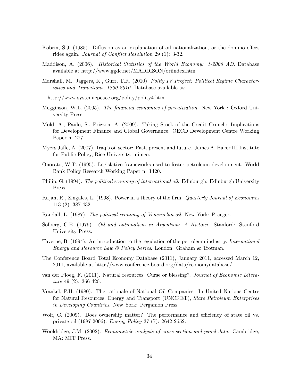- Kobrin, S.J. (1985). Diffusion as an explanation of oil nationalization, or the domino effect rides again. *Journal of Conflict Resolution* 29 (1):  $3-32$ .
- Maddison, A. (2006). Historical Statistics of the World Economy: 1-2006 AD. Database available at http://www.ggdc.net/MADDISON/oriindex.htm
- Marshall, M., Jaggers, K., Gurr, T.R. (2010). Polity IV Project: Political Regime Characteristics and Transitions, 1800-2010. Database available at:
	- http://www.systemicpeace.org/polity/polity4.htm
- Megginson, W.L. (2005). The financial economics of privatization. New York : Oxford University Press.
- Mold, A., Paulo, S., Prizzon, A. (2009). Taking Stock of the Credit Crunch: Implications for Development Finance and Global Governance. OECD Development Centre Working Paper n. 277.
- Myers Jaffe, A. (2007). Iraq's oil sector: Past, present and future. James A. Baker III Institute for Public Policy, Rice University, mimeo.
- Onorato, W.T. (1995). Legislative frameworks used to foster petroleum development. World Bank Policy Research Working Paper n. 1420.
- Philip, G. (1994). The political economy of international oil. Edinburgh: Edinburgh University Press.
- Rajan, R., Zingales, L. (1998). Power in a theory of the firm. *Quarterly Journal of Economics* 113 (2): 387-432.
- Randall, L. (1987). The political economy of Venezuelan oil. New York: Praeger.
- Solberg, C.E. (1979). Oil and nationalism in Argentina: A History. Stanford: Stanford University Press.
- Taverne, B. (1994). An introduction to the regulation of the petroleum industry. *International* Energy and Resource Law  $\mathcal B$  Policy Series. London: Graham & Trotman.
- The Conference Board Total Economy Database (2011), January 2011, accessed March 12, 2011, available at http://www.conference-board.org/data/economydatabase/
- van der Ploeg, F. (2011). Natural resources: Curse or blessing?. Journal of Economic Literature 49 (2): 366-420.
- Vrankel, P.H. (1980). The rationale of National Oil Companies. In United Nations Centre for Natural Resources, Energy and Transport (UNCRET), State Petroleum Enterprises in Developing Countries. New York: Pergamon Press.
- Wolf, C. (2009). Does ownership matter? The performance and efficiency of state oil vs. private oil (1987-2006). Energy Policy 37 (7): 2642-2652.
- Wooldridge, J.M. (2002). Econometric analysis of cross-section and panel data. Cambridge, MA: MIT Press.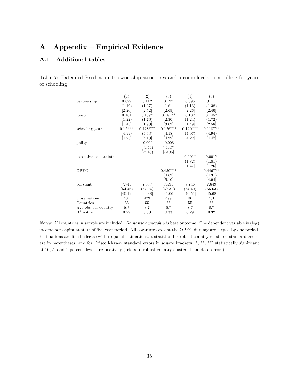## A Appendix – Empirical Evidence

## A.1 Additional tables

Table 7: Extended Prediction 1: ownership structures and income levels, controlling for years of schooling

|                       | (1)       | $\left( 2\right)$ | $\left( 3\right)$   | (4)        | (5)                 |
|-----------------------|-----------|-------------------|---------------------|------------|---------------------|
| partnership           | 0.099     | 0.112             | 0.127               | 0.096      | 0.111               |
|                       | (1.19)    | (1.37)            | (1.61)              | (1.16)     | (1.38)              |
|                       | [2.20]    | [2.52]            | [2.69]              | [2.26]     | [2.40]              |
| foreign               | 0.101     | $0.137*$          | $0.181**$           | 0.102      | $0.145*$            |
|                       | (1.22)    | (1.76)            | (2.30)              | (1.24)     | (1.72)              |
|                       | $[1.45]$  | [1.90]            | $\left[3.02\right]$ | [1.49]     | [2.58]              |
| schooling years       | $0.12***$ | $0.128***$        | $0.126***$          | $0.120***$ | $0.118***$          |
|                       | (4.99)    | (4.63)            | (4.58)              | (4.97)     | (4.94)              |
|                       | [4.23]    | [4.10]            | [4.29]              | [4.22]     | 4.47                |
| polity                |           | $-0.009$          | $-0.008$            |            |                     |
|                       |           | $(-1.54)$         | $(-1.47)$           |            |                     |
|                       |           | $(-2.13)$         | $[-2.06]$           |            |                     |
| executive constraints |           |                   |                     | $0.001*$   | $0.001*$            |
|                       |           |                   |                     | (1.82)     | (1.81)              |
|                       |           |                   |                     | 1.47       | $\left[1.26\right]$ |
| OPEC                  |           |                   | $0.450***$          |            | $0.446***$          |
|                       |           |                   | (4.62)              |            | (4.31)              |
|                       |           |                   | [5.10]              |            | [4.94]              |
| constant              | 7.745     | 7.687             | 7.591               | 7.746      | 7.649               |
|                       | (64.46)   | (54.94)           | (57.31)             | (64.40)    | (66.63)             |
|                       | [40.19]   | [36.88]           | [41.06]             | [40.51]    | [45.68]             |
| Observations          | 481       | 479               | 479                 | 481        | 481                 |
| Countries             | 55        | 55                | 55                  | 55         | 55                  |
| Ave obs per country   | 8.7       | 8.7               | 8.7                 | 8.7        | 8.7                 |
| $R^2$ within          | 0.29      | 0.30              | 0.33                | 0.29       | 0.32                |

Notes: All countries in sample are included. Domestic ownership is base outcome. The dependent variable is (log) income per capita at start of five-year period. All covariates except the OPEC dummy are lagged by one period. Estimations are fixed effects (within) panel estimations. t-statistics for robust country-clustered standard errors are in parentheses, and for Driscoll-Kraay standard errors in square brackets. \*, \*\*, \*\*\* statistically significant at 10, 5, and 1 percent levels, respectively (refers to robust country-clustered standard errors).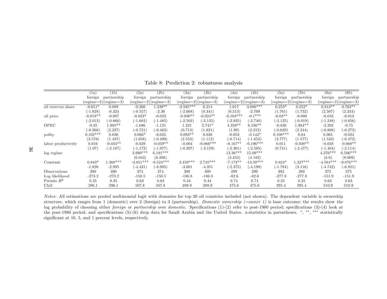|                    | (1a)       | (1b)                                 | (2a)        | (2b)                                 | (3a)        | (3b)                                 | (4a)        | (4b)                                 | (5a)       | (5b)                                 | (6a)        | (6b)                                 |
|--------------------|------------|--------------------------------------|-------------|--------------------------------------|-------------|--------------------------------------|-------------|--------------------------------------|------------|--------------------------------------|-------------|--------------------------------------|
|                    | foreign    | partnership                          | foreign     | partnership                          | foreign     | partnership                          | foreign     | partnership                          | foreign    | partnership                          | foreign     | partnership                          |
|                    |            | $(\text{regime}=2)(\text{regime}=3)$ |             | $(\text{regime}=2)(\text{regime}=3)$ |             | $(\text{regime}=2)(\text{regime}=3)$ |             | $(\text{regime}=2)(\text{regime}=3)$ |            | $(\text{regime}=2)(\text{regime}=3)$ |             | $(\text{regime}=2)(\text{regime}=3)$ |
| oil reserves share | $-0.651*$  | 0.089                                | $-0.266$    | $1.239**$                            | $-3.595***$ | 0.214                                | 1.017       | $3.006***$                           | $0.253*$   | $0.252*$                             | $0.813**$   | $0.763**$                            |
|                    | $(-1.828)$ | $-0.324$                             | $(-0.557)$  | $-2.36$                              | $(-2.668)$  | (0.341)                              | (0.513)     | $-2.709$                             | (1.761)    | (1.732)                              | (2.507)     | (2.334)                              |
| oil price          | $-0.019**$ | $-0.007$                             | $-0.023*$   | $-0.023$                             | $-0.030**$  | $-0.024**$                           | $-0.104***$ | $-0.1***$                            | $-0.02**$  | $-0.008$                             | $-0.016$    | $-0.013$                             |
|                    | $(-2.013)$ | $(-0.866)$                           | $(-1.682)$  | $(-1.485)$                           | $(-2.502)$  | $(-2.135)$                           | $(-2.935)$  | $(-2.740)$                           | $(-2.125)$ | $(-0.919)$                           | $(-1.248)$  | $(-0.856)$                           |
| OPEC               | $-0.35$    | $1.985**$                            | $-1.686$    | $-1.121$                             | 1.221       | $2.741*$                             | $4.359**$   | $6.536**$                            | $-0.826$   | $1.984**$                            | $-2.202$    | $-0.75$                              |
|                    | $(-0.266)$ | (2.237)                              | $(-0.721)$  | $(-0.463)$                           | (0.713)     | (1.921)                              | (1.99)      | (2.212)                              | $(-0.620)$ | (2.244)                              | $(-0.808)$  | $(-0.273)$                           |
| polity             | $0.102***$ | 0.036                                | $0.066*$    | $-0.025$                             | $0.093**$   | 0.038                                | $-0.053$    | $-0.142*$                            | $0.108***$ | 0.04                                 | 0.065       | $-0.024$                             |
|                    | (3.578)    | (1.437)                              | (1.658)     | (-0.499)                             | (2.553)     | (1.112)                              | $(-0.714)$  | $(-1.653)$                           | (3.777)    | (1.577)                              | (1.533)     | $(-0.472)$                           |
| labor productivity | 0.016      | $-0.034**$                           | $-0.029$    | $-0.059**$                           | $-0.004$    | $-0.066***$                          | $-0.167**$  | $-0.196***$                          | 0.011      | $-0.038**$                           | $-0.038$    | $-0.068**$                           |
|                    | (1.07)     | $(-2.187)$                           | $(-1.172)$  | (-1.977)                             | $(-0.207)$  | $(-3.159)$                           | $(-2.301)$  | $(-2.595)$                           | (0.741)    | $(-2.477)$                           | $(-1.404)$  | $(-2.114)$                           |
| lag regime         |            |                                      | $3.990***$  | $6.191***$                           |             |                                      | $12.36***$  | $15.09***$                           |            |                                      | $4.376***$  | $6.506***$                           |
|                    |            |                                      | (6.043)     | (8.206)                              |             |                                      | (3.452)     | (4.182)                              |            |                                      | (6.0)       | (8.009)                              |
| Constant           | $0.843*$   | $1.268***$                           | $-3.851***$ | $-8.524***$                          | $2.459***$  | $2.745***$                           | $-7.172**$  | $-13.59***$                          | $0.824*$   | $.327***$                            | $-4.584***$ | $-9.076***$                          |
|                    | $-1.826$   | $-2.995$                             | $(-4.431)$  | $-6.905)$                            | $-3.601$    | $-4.351$                             | $(-2.375)$  | $(-4.199)$                           | $(-1.784)$ | (3.116)                              | $(-4.742)$  | $(-6.921)$                           |
| Observations       | 390        | 390                                  | 374         | 374                                  | 309         | 309                                  | 299         | 299                                  | 392        | 392                                  | 375         | 375                                  |
| Log likelihood     | $-273.2$   | $-273.2$                             | $-150.5$    | $-150.5$                             | $-186.8$    | $-186.8$                             | $-82.6$     | $-82.6$                              | $-277.8$   | $-277.8$                             | $-151.9$    | $-151.9$                             |
| Pseudo $R^2$       | 0.35       | 0.35                                 | 0.63        | 0.63                                 | 0.44        | 0.44                                 | 0.74        | 0.74                                 | 0.35       | 0.35                                 | 0.63        | 0.63                                 |
| Chi <sub>2</sub>   | 296.1      | 296.1                                | 507.8       | 507.8                                | 289.9       | 289.9                                | 475.6       | 475.6                                | 295.4      | 295.4                                | 510.9       | 510.9                                |

Table 8: Prediction 2: robustness analysis

Notes: All estimations are pooled multinomial logit with dummies for top <sup>20</sup> oil countries included (not shown). The dependent variable is ownership structure, which ranges from 1 (domestic) over 2 (foreign) to 3 (partnership). Domestic ownership (=owner 1) is base outcome; the results show the log probability of choosing either *foreign* or *partnership* over domestic. Specifications (1)-(2) refer to post-1980 period; specifications (3)-(4) look at the post-1980 period, and specifications (5)-(6) drop data for Saudi Arabia and the United States. z-statistics in parentheses. \*, \*\*, \*\*\* statistically significant at 10, 5, and 1 percent levels, respectively.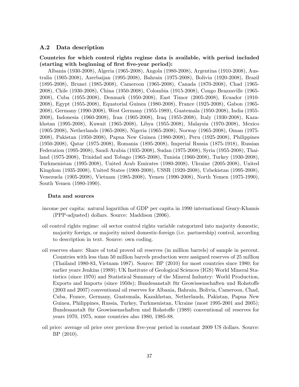## A.2 Data description

## Countries for which control rights regime data is available, with period included (starting with beginning of first five-year period):

Albania (1930-2008), Algeria (1965-2008), Angola (1980-2008), Argentina (1910-2008), Australia (1905-2008), Azerbaijan (1995-2008), Bahrain (1975-2008), Bolivia (1920-2008), Brazil (1895-2008), Brunei (1985-2008), Cameroon (1965-2008), Canada (1870-2008), Chad (1965- 2008), Chile (1930-2008), China (1950-2008), Colombia (1915-2008), Congo Brazzaville (1965- 2008), Cuba (1955-2008), Denmark (1950-2008), East Timor (2005-2008), Ecuador (1910- 2008), Egypt (1955-2008), Equatorial Guinea (1980-2008), France (1925-2008), Gabon (1965- 2008), Germany (1990-2008), West Germany (1955-1989), Guatemala (1950-2008), India (1955- 2008), Indonesia (1960-2008), Iran (1905-2008), Iraq (1955-2008), Italy (1930-2008), Kazakhstan (1995-2008), Kuwait (1965-2008), Libya (1955-2008), Malaysia (1970-2008), Mexico (1905-2008), Netherlands (1965-2008), Nigeria (1965-2008), Norway (1965-2008), Oman (1975- 2008), Pakistan (1950-2008), Papua New Guinea (1980-2008), Peru (1925-2008), Philippines (1950-2008), Qatar (1975-2008), Romania (1895-2008), Imperial Russia (1875-1918), Russian Federation (1995-2008), Saudi Arabia (1935-2008), Sudan (1975-2008), Syria (1955-2008), Thailand (1975-2008), Trinidad and Tobago (1965-2008), Tunisia (1960-2008), Turkey (1930-2008), Turkmenistan (1995-2008), United Arab Emirates (1980-2008), Ukraine (2005-2008), United Kingdom (1935-2008), United States (1900-2008), USSR (1920-2008), Uzbekistan (1995-2008), Venezuela (1905-2008), Vietnam (1985-2008), Yemen (1990-2008), North Yemen (1975-1990), South Yemen (1980-1990).

#### Data and sources

- income per capita: natural logarithm of GDP per capita in 1990 international Geary-Khamis (PPP-adjusted) dollars. Source: Maddison (2006).
- oil control rights regime: oil sector control rights variable categorized into majority domestic, majority foreign, or majority mixed domestic-foreign (i.e. partnership) control, according to description in text. Source: own coding.
- oil reserves share: Share of total proved oil reserves (in million barrels) of sample in percent. Countries with less than 50 million barrels production were assigned reserves of 25 million (Thailand 1980-83, Vietnam 1987). Source: BP (2010) for most countries since 1980; for earlier years Jenkins (1989); UK Institute of Geological Sciences (IGS) World Mineral Statistics (since 1970) and Statistical Summary of the Mineral Industry: World Production, Exports and Imports (since 1950s); Bundesanstalt für Geowissenschaften und Rohstoffe (2003 and 2007) conventional oil reserves for Albania, Bahrain, Bolivia, Cameroon, Chad, Cuba, France, Germany, Guatemala, Kazakhstan, Netherlands, Pakistan, Papua New Guinea, Philippines, Russia, Turkey, Turkmenistan, Ukraine (most 1995-2001 and 2005); Bundesanstalt für Geowissenschaften und Rohstoffe (1989) conventional oil reserves for years 1970, 1975, some countries also 1980, 1985-88.
- oil price: average oil price over previous Öve-year period in constant 2009 US dollars. Source: BP (2010).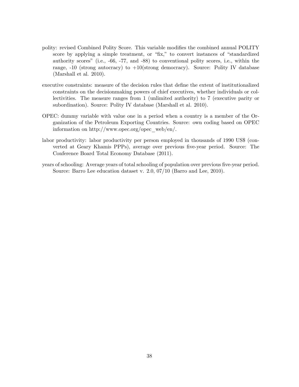- polity: revised Combined Polity Score. This variable modifies the combined annual POLITY score by applying a simple treatment, or "fix," to convert instances of "standardized authority scoresî (i.e., -66, -77, and -88) to conventional polity scores, i.e., within the range,  $-10$  (strong autocracy) to  $+10$ (strong democracy). Source: Polity IV database (Marshall et al. 2010).
- executive constraints: measure of the decision rules that define the extent of institutionalized constraints on the decisionmaking powers of chief executives, whether individuals or collectivities. The measure ranges from 1 (unlimited authority) to 7 (executive parity or subordination). Source: Polity IV database (Marshall et al. 2010).
- OPEC: dummy variable with value one in a period when a country is a member of the Organization of the Petroleum Exporting Countries. Source: own coding based on OPEC information on http://www.opec.org/opec\_web/en/.
- labor productivity: labor productivity per person employed in thousands of 1990 US\$ (converted at Geary Khamis PPPs), average over previous Öve-year period. Source: The Conference Board Total Economy Database (2011).
- years of schooling: Average years of total schooling of population over previous five-year period. Source: Barro Lee education dataset v. 2.0, 07/10 (Barro and Lee, 2010).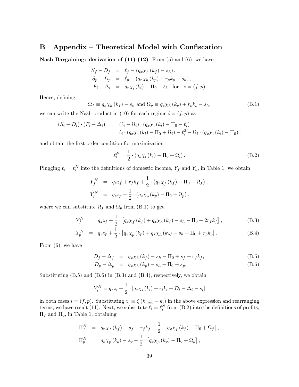## $B$  Appendix – Theoretical Model with Confiscation

**Nash Bargaining: derivation of (11)-(12)**. From  $(5)$  and  $(6)$ , we have

$$
S_f - D_f = \ell_f - (q_x \chi_h (k_f) - s_h),
$$
  
\n
$$
S_p - D_p = \ell_p - (q_x \chi_h (k_p) + r_p k_p - s_h),
$$
  
\n
$$
F_i - \Delta_i = q_x \chi_i (k_i) - \Pi_0 - \ell_i \text{ for } i = (f, p).
$$

Hence, defining

$$
\Omega_f \equiv q_x \chi_h (k_f) - s_h \text{ and } \Omega_p \equiv q_x \chi_h (k_p) + r_p k_p - s_h,
$$
\n(B.1)

we can write the Nash product in (10) for each regime  $i = (f, p)$  as

$$
(S_i - D_i) \cdot (F_i - \Delta_i) = (\ell_i - \Omega_i) \cdot (q_x \chi_i(k_i) - \Pi_0 - \ell_i) =
$$
  
=  $\ell_i \cdot (q_x \chi_i(k_i) - \Pi_0 + \Omega_i) - \ell_i^2 - \Omega_i \cdot (q_x \chi_i(k_i) - \Pi_0),$ 

and obtain the first-order condition for maximization

$$
\ell_i^N = \frac{1}{2} \cdot (q_x \chi_i(k_i) - \Pi_0 + \Omega_i). \tag{B.2}
$$

Plugging  $\ell_i = \ell_i^N$  into the definitions of domestic income,  $Y_f$  and  $Y_p$ , in Table 1, we obtain

$$
Y_f^N = q_z z_f + r_f k_f + \frac{1}{2} \cdot (q_x \chi_f (k_f) - \Pi_0 + \Omega_f),
$$
  
\n
$$
Y_p^N = q_z z_p + \frac{1}{2} \cdot (q_x \chi_p (k_p) - \Pi_0 + \Omega_p),
$$

where we can substitute  $\Omega_f$  and  $\Omega_p$  from (B.1) to get

$$
Y_f^N = q_z z_f + \frac{1}{2} \cdot \left[ q_x \chi_f(k_f) + q_x \chi_h(k_f) - s_h - \Pi_0 + 2r_f k_f \right],
$$
 (B.3)

$$
Y_p^N = q_z z_p + \frac{1}{2} \cdot \left[ q_x \chi_p(k_p) + q_x \chi_h(k_p) - s_h - \Pi_0 + r_p k_p \right]. \tag{B.4}
$$

From (6), we have

$$
D_f - \Delta_f = q_x \chi_h (k_f) - s_h - \Pi_0 + s_f + r_f k_f,
$$
 (B.5)

$$
D_p - \Delta_p = q_x \chi_h (k_p) - s_h - \Pi_0 + s_p.
$$
 (B.6)

Substituting  $(B.5)$  and  $(B.6)$  in  $(B.3)$  and  $(B.4)$ , respectively, we obtain

$$
Y_i^N = q_z z_i + \frac{1}{2} \cdot [q_x \chi_i(k_i) + r_i k_i + D_i - \Delta_i - s_i]
$$

in both cases  $i = (f, p)$ . Substituting  $z_i \equiv \zeta (k_{\text{max}} - k_i)$  in the above expression and rearranging terms, we have result (11). Next, we substitute  $\ell_i = \ell_i^N$  from (B.2) into the definitions of profits,  $\Pi_f$  and  $\Pi_p,$  in Table 1, obtaining

$$
\Pi_f^N = q_x \chi_f (k_f) - s_f - r_f k_f - \frac{1}{2} \cdot [q_x \chi_f (k_f) - \Pi_0 + \Omega_f],
$$
  
\n
$$
\Pi_p^N = q_x \chi_p (k_p) - s_p - \frac{1}{2} \cdot [q_x \chi_p (k_p) - \Pi_0 + \Omega_p],
$$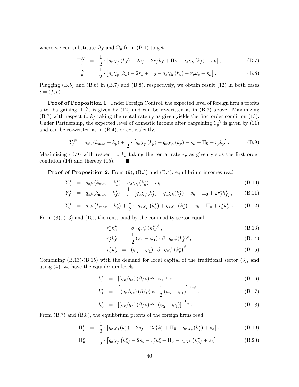where we can substitute  $\Omega_f$  and  $\Omega_p$  from (B.1) to get

$$
\Pi_f^N = \frac{1}{2} \cdot \left[ q_x \chi_f(k_f) - 2s_f - 2r_f k_f + \Pi_0 - q_x \chi_h(k_f) + s_h \right],
$$
\n(B.7)

$$
\Pi_p^N = \frac{1}{2} \cdot \left[ q_x \chi_p(k_p) - 2s_p + \Pi_0 - q_x \chi_h(k_p) - r_p k_p + s_h \right].
$$
 (B.8)

Plugging  $(B.5)$  and  $(B.6)$  in  $(B.7)$  and  $(B.8)$ , respectively, we obtain result  $(12)$  in both cases  $i = (f, p).$ 

**Proof of Proposition 1.** Under Foreign Control, the expected level of foreign firm's profits after bargaining,  $\Pi_f^N$ , is given by (12) and can be re-written as in (B.7) above. Maximizing (B.7) with respect to  $k_f$  taking the rental rate  $r_f$  as given yields the first order condition (13). Under Partnership, the expected level of domestic income after bargaining  $Y_p^N$  is given by (11) and can be re-written as in (B.4), or equivalently,

$$
Y_p^N = q_z \zeta (k_{\text{max}} - k_p) + \frac{1}{2} \cdot [q_x \chi_p(k_p) + q_x \chi_h(k_p) - s_h - \Pi_0 + r_p k_p].
$$
 (B.9)

Maximizing (B.9) with respect to  $k_p$  taking the rental rate  $r_p$  as given yields the first order condition (14) and thereby (15).

**Proof of Proposition 2.** From (9), (B.3) and (B.4), equilibrium incomes read

$$
Y_h^{\star} = q_z \rho \left( k_{\text{max}} - k_h^{\star} \right) + q_x \chi_h \left( k_h^{\star} \right) - s_h, \tag{B.10}
$$

$$
Y_f^{\star} = q_z \rho(k_{\text{max}} - k_f^{\star}) + \frac{1}{2} \cdot \left[ q_x \chi_f(k_f^{\star}) + q_x \chi_h(k_f^{\star}) - s_h - \Pi_0 + 2r_f^{\star} k_f^{\star} \right], \tag{B.11}
$$

$$
Y_p^{\star} = q_z \rho \left( k_{\text{max}} - k_p^{\star} \right) + \frac{1}{2} \cdot \left[ q_x \chi_p \left( k_p^{\star} \right) + q_x \chi_h \left( k_p^{\star} \right) - s_h - \Pi_0 + r_p^{\star} k_p^{\star} \right]. \tag{B.12}
$$

From (8), (13) and (15), the rents paid by the commodity sector equal

$$
r_h^{\star} k_h^{\star} = \beta \cdot q_x \psi \left( k_h^{\star} \right)^{\beta}, \tag{B.13}
$$

$$
r_f^{\star} k_f^{\star} = \frac{1}{2} (\varphi_2 - \varphi_1) \cdot \beta \cdot q_x \psi (k_f^{\star})^{\beta}, \qquad (B.14)
$$

$$
r_p^{\star} k_p^{\star} = (\varphi_2 + \varphi_1) \cdot \beta \cdot q_x \psi \left(k_p^{\star}\right)^{\beta}.
$$
 (B.15)

Combining (B.13)-(B.15) with the demand for local capital of the traditional sector (3), and using (4), we have the equilibrium levels

$$
k_h^* = \left[ \left( q_x / q_z \right) \left( \beta / \rho \right) \psi \cdot \varphi_1 \right]^{\frac{1}{1-\beta}}, \tag{B.16}
$$

$$
k_f^{\star} = \left[ \left( q_x/q_z \right) \left( \frac{\beta}{\rho} \right) \psi \cdot \frac{1}{2} \left( \varphi_2 - \varphi_1 \right) \right]^{\frac{1}{1-\beta}}, \tag{B.17}
$$

$$
k_p^* = [(q_x/q_z) (\beta/\rho) \psi \cdot (\varphi_2 + \varphi_1)]^{\frac{1}{1-\beta}}.
$$
 (B.18)

From  $(B.7)$  and  $(B.8)$ , the equilibrium profits of the foreign firms read

$$
\Pi_f^* = \frac{1}{2} \cdot \left[ q_x \chi_f(k_f^*) - 2s_f - 2r_f^* k_f^* + \Pi_0 - q_x \chi_h(k_f^*) + s_h \right],
$$
\n(B.19)

$$
\Pi_p^{\star} = \frac{1}{2} \cdot \left[ q_x \chi_p \left( k_p^{\star} \right) - 2s_p - r_p^{\star} k_p^{\star} + \Pi_0 - q_x \chi_h \left( k_p^{\star} \right) + s_h \right]. \tag{B.20}
$$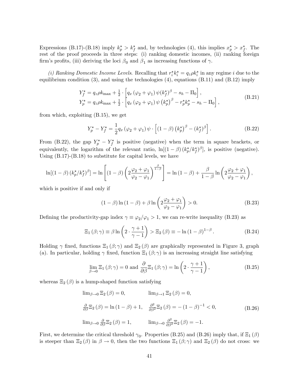Expressions (B.17)-(B.18) imply  $k_p^* > k_f^*$  and, by technologies (4), this implies  $x_p^* > x_f^*$ . The rest of the proof proceeds in three steps: (i) ranking domestic incomes, (ii) ranking foreign firm's profits, (iii) deriving the loci  $\beta_0$  and  $\beta_1$  as increasing functions of  $\gamma$ .

(*i*) Ranking Domestic Income Levels. Recalling that  $r_i^* k_i^* = q_z \rho k_i^*$  in any regime *i* due to the equilibrium condition  $(3)$ , and using the technologies  $(4)$ , equations  $(B.11)$  and  $(B.12)$  imply

$$
Y_{f}^{\star} = q_{z}\rho k_{\text{max}} + \frac{1}{2} \cdot \left[ q_{x} \left( \varphi_{2} + \varphi_{1} \right) \psi(k_{f}^{\star})^{\beta} - s_{h} - \Pi_{0} \right],
$$
  
\n
$$
Y_{p}^{\star} = q_{z}\rho k_{\text{max}} + \frac{1}{2} \cdot \left[ q_{x} \left( \varphi_{2} + \varphi_{1} \right) \psi \left( k_{p}^{\star} \right)^{\beta} - r_{p}^{\star} k_{p}^{\star} - s_{h} - \Pi_{0} \right],
$$
\n(B.21)

from which, exploiting (B.15), we get

$$
Y_p^* - Y_f^* = \frac{1}{2} q_x \left( \varphi_2 + \varphi_1 \right) \psi \cdot \left[ \left( 1 - \beta \right) \left( k_p^* \right)^\beta - \left( k_f^* \right)^\beta \right]. \tag{B.22}
$$

From (B.22), the gap  $Y_p^* - Y_f^*$  is positive (negative) when the term in square brackets, or equivalently, the logarithm of the relevant ratio,  $\ln[(1-\beta)(k_p^{\star}/k_f^{\star})^{\beta}]$ , is positive (negative). Using  $(B.17)$ - $(B.18)$  to substitute for capital levels, we have

$$
\ln[(1-\beta)(k_p^{\star}/k_f^{\star})^{\beta}] = \ln\left[(1-\beta)\left(2\frac{\varphi_2+\varphi_1}{\varphi_2-\varphi_1}\right)^{\frac{\beta}{1-\beta}}\right] = \ln(1-\beta) + \frac{\beta}{1-\beta}\ln\left(2\frac{\varphi_2+\varphi_1}{\varphi_2-\varphi_1}\right),
$$

which is positive if and only if

$$
(1 - \beta) \ln(1 - \beta) + \beta \ln\left(2\frac{\varphi_2 + \varphi_1}{\varphi_2 - \varphi_1}\right) > 0.
$$
 (B.23)

Defining the productivity-gap index  $\gamma \equiv \varphi_2/\varphi_1 > 1$ , we can re-write inequality (B.23) as

$$
\Xi_1(\beta;\gamma) \equiv \beta \ln \left(2 \cdot \frac{\gamma+1}{\gamma-1}\right) > \Xi_2(\beta) \equiv -\ln \left(1-\beta\right)^{1-\beta}.
$$
 (B.24)

Holding  $\gamma$  fixed, functions  $\Xi_1(\beta;\gamma)$  and  $\Xi_2(\beta)$  are graphically represented in Figure 3, graph (a). In particular, holding  $\gamma$  fixed, function  $\Xi_1(\beta;\gamma)$  is an increasing straight line satisfying

$$
\lim_{\beta \to 0} \Xi_1(\beta; \gamma) = 0 \text{ and } \frac{\partial}{\partial \beta} \Xi_1(\beta; \gamma) = \ln \left( 2 \cdot \frac{\gamma + 1}{\gamma - 1} \right),\tag{B.25}
$$

whereas  $\Xi_2(\beta)$  is a hump-shaped function satisfying

$$
\lim_{\beta \to 0} \Xi_2(\beta) = 0, \qquad \lim_{\beta \to 1} \Xi_2(\beta) = 0,
$$
  

$$
\frac{\partial}{\partial \beta} \Xi_2(\beta) = \ln(1 - \beta) + 1, \quad \frac{\partial^2}{\partial \beta^2} \Xi_2(\beta) = -(1 - \beta)^{-1} < 0,
$$
  

$$
\lim_{\beta \to 0} \frac{\partial}{\partial \beta} \Xi_2(\beta) = 1, \qquad \lim_{\beta \to 0} \frac{\partial^2}{\partial \beta^2} \Xi_2(\beta) = -1.
$$
 (B.26)

First, we determine the critical threshold  $\gamma_0$ . Properties (B.25) and (B.26) imply that, if  $\Xi_1(\beta)$ is steeper than  $\Xi_2(\beta)$  in  $\beta \to 0$ , then the two functions  $\Xi_1(\beta;\gamma)$  and  $\Xi_2(\beta)$  do not cross: we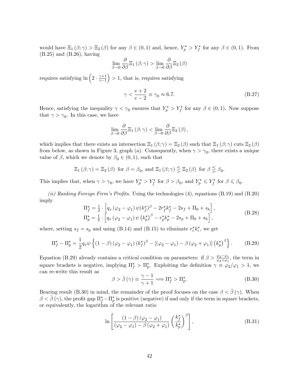would have  $\Xi_1(\beta;\gamma) > \Xi_2(\beta)$  for any  $\beta \in (0,1)$  and, hence,  $Y_p^* > Y_f^*$  for any  $\beta \in (0,1)$ . From (B.25) and (B.26), having

$$
\lim_{\beta \to 0} \frac{\partial}{\partial \beta} \Xi_1 (\beta; \gamma) > \lim_{\beta \to 0} \frac{\partial}{\partial \beta} \Xi_2 (\beta)
$$

requires satisfying  $\ln\left(2 \cdot \frac{\gamma+1}{\gamma-1}\right)$  $\overline{\gamma-1}$  $\big) > 1$ , that is, requires satisfying

$$
\gamma < \frac{e+2}{e-2} \equiv \gamma_0 \approx 6.7. \tag{B.27}
$$

Hence, satisfying the inequality  $\gamma < \gamma_0$  ensures that  $Y_p^* > Y_f^*$  for any  $\beta \in (0,1)$ . Now suppose that  $\gamma > \gamma_0$ . In this case, we have

$$
\lim_{\beta \to 0} \frac{\partial}{\partial \beta} \Xi_1 (\beta; \gamma) < \lim_{\beta \to 0} \frac{\partial}{\partial \beta} \Xi_2 (\beta),
$$

which implies that there exists an intersection  $\Xi_1(\beta;\gamma) = \Xi_2(\beta)$  such that  $\Xi_1(\beta;\gamma)$  cuts  $\Xi_2(\beta)$ from below, as shown in Figure 3, graph (a). Consequently, when  $\gamma > \gamma_0$ , there exists a unique value of  $\beta$ , which we denote by  $\beta_0 \in (0,1)$ , such that

$$
\Xi_1(\beta;\gamma) = \Xi_2(\beta) \text{ for } \beta = \beta_0 \text{, and } \Xi_1(\beta;\gamma) \leq \Xi_2(\beta) \text{ for } \beta \leq \beta_0.
$$

This implies that, when  $\gamma > \gamma_0$ , we have  $Y_p^* > Y_f^*$  for  $\beta > \beta_0$ , and  $Y_p^* \leq Y_f^*$  for  $\beta \leq \beta_0$ .

(ii) Ranking Foreign Firm's Profits. Using the technologies  $(4)$ , equations  $(B.19)$  and  $(B.20)$ imply

$$
\Pi_{f}^{\star} = \frac{1}{2} \cdot \left[ q_{x} \left( \varphi_{2} - \varphi_{1} \right) \psi(k_{f}^{\star})^{\beta} - 2r_{f}^{\star} k_{f}^{\star} - 2s_{f} + \Pi_{0} + s_{h} \right],
$$
\n
$$
\Pi_{p}^{\star} = \frac{1}{2} \cdot \left[ q_{x} \left( \varphi_{2} - \varphi_{1} \right) \psi \left( k_{p}^{\star} \right)^{\beta} - r_{p}^{\star} k_{p}^{\star} - 2s_{p} + \Pi_{0} + s_{h} \right],
$$
\n(B.28)

where, setting  $s_f = s_p$  and using (B.14) and (B.15) to eliminate  $r_i^* k_i^*$ , we get

$$
\Pi_f^{\star} - \Pi_p^{\star} = \frac{1}{2} q_x \psi \left\{ (1 - \beta) \left( \varphi_2 - \varphi_1 \right) (k_f^{\star})^{\beta} - \left[ \left( \varphi_2 - \varphi_1 \right) - \beta \left( \varphi_2 + \varphi_1 \right) \right] (k_p^{\star})^{\beta} \right\}.
$$
 (B.29)

Equation (B.29) already contains a critical condition on parameters: if  $\beta > \frac{\varphi_2 - \varphi_1}{\varphi_2 + \varphi_1}$ , the term in square brackets is negative, implying  $\Pi_f^* > \Pi_p^*$ . Exploiting the definition  $\gamma \equiv \varphi_2/\varphi_1 > 1$ , we can re-write this result as

$$
\beta > \bar{\beta}(\gamma) \equiv \frac{\gamma - 1}{\gamma + 1} \Longrightarrow \Pi_f^{\star} > \Pi_p^{\star}.
$$
 (B.30)

Bearing result (B.30) in mind, the remainder of the proof focuses on the case  $\beta < \overline{\beta}(\gamma)$ . When  $\beta < \bar{\beta}(\gamma)$ , the profit gap  $\Pi_f^{\star} - \Pi_p^{\star}$  is positive (negative) if and only if the term in square brackets, or equivalently, the logarithm of the relevant ratio

$$
\ln\left[\frac{\left(1-\beta\right)\left(\varphi_2-\varphi_1\right)}{\left(\varphi_2-\varphi_1\right)-\beta\left(\varphi_2+\varphi_1\right)}\left(\frac{k_f^*}{k_p^*}\right)^\beta\right],\tag{B.31}
$$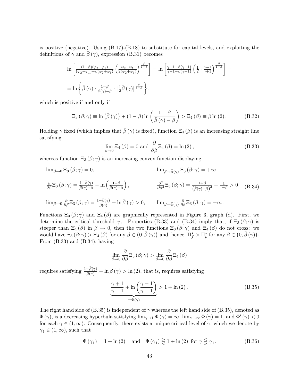is positive (negative). Using (B.17)-(B.18) to substitute for capital levels, and exploiting the definitions of  $\gamma$  and  $\beta(\gamma)$ , expression (B.31) becomes

$$
\ln\left[\frac{(1-\beta)(\varphi_2-\varphi_1)}{(\varphi_2-\varphi_1)-\beta(\varphi_2+\varphi_1)}\left(\frac{\varphi_2-\varphi_1}{2(\varphi_2+\varphi_1)}\right)^{\frac{\beta}{1-\beta}}\right] = \ln\left[\frac{\gamma-1-\beta(\gamma-1)}{\gamma-1-\beta(\gamma+1)}\left(\frac{1}{2}\cdot\frac{\gamma-1}{\gamma+1}\right)^{\frac{\beta}{1-\beta}}\right] =
$$
  
= 
$$
\ln\left\{\bar{\beta}\left(\gamma\right)\cdot\frac{1-\beta}{\beta(\gamma)-\beta}\cdot\left[\frac{1}{2}\bar{\beta}\left(\gamma\right)\right]^{\frac{\beta}{1-\beta}}\right\},\right.
$$

which is positive if and only if

$$
\Xi_3(\beta;\gamma) \equiv \ln\left(\bar{\beta}(\gamma)\right) + (1-\beta)\ln\left(\frac{1-\beta}{\bar{\beta}(\gamma)-\beta}\right) > \Xi_4(\beta) \equiv \beta\ln(2). \tag{B.32}
$$

Holding  $\gamma$  fixed (which implies that  $\bar{\beta}(\gamma)$  is fixed), function  $\Xi_4(\beta)$  is an increasing straight line satisfying

$$
\lim_{\beta \to 0} \Xi_4(\beta) = 0 \text{ and } \frac{\partial}{\partial \beta} \Xi_4(\beta) = \ln(2), \tag{B.33}
$$

whereas function  $\Xi_3(\beta;\gamma)$  is an increasing convex function displaying

$$
\lim_{\beta \to 0} \Xi_3(\beta; \gamma) = 0, \qquad \lim_{\beta \to \bar{\beta}(\gamma)} \Xi_3(\beta; \gamma) = +\infty,
$$
  

$$
\frac{\partial}{\partial \beta} \Xi_3(\beta; \gamma) = \frac{1 - \bar{\beta}(\gamma)}{\bar{\beta}(\gamma) - \beta} - \ln\left(\frac{1 - \beta}{\bar{\beta}(\gamma) - \beta}\right), \qquad \frac{\partial^2}{\partial \beta^2} \Xi_3(\beta; \gamma) = \frac{1 + \beta}{(\bar{\beta}(\gamma) - \beta)^2} + \frac{1}{1 - \beta} > 0 \qquad (B.34)
$$
  

$$
\lim_{\beta \to 0} \frac{\partial}{\partial \beta} \Xi_3(\beta; \gamma) = \frac{1 - \bar{\beta}(\gamma)}{\bar{\beta}(\gamma)} + \ln \bar{\beta}(\gamma) > 0, \qquad \lim_{\beta \to \bar{\beta}(\gamma)} \frac{\partial}{\partial \beta} \Xi_3(\beta; \gamma) = +\infty.
$$

Functions  $\Xi_3(\beta;\gamma)$  and  $\Xi_4(\beta)$  are graphically represented in Figure 3, graph (d). First, we determine the critical threshold  $\gamma_1$ . Properties (B.33) and (B.34) imply that, if  $\Xi_3(\beta;\gamma)$  is steeper than  $\Xi_4(\beta)$  in  $\beta \to 0$ , then the two functions  $\Xi_3(\beta;\gamma)$  and  $\Xi_4(\beta)$  do not cross: we would have  $\Xi_3(\beta;\gamma) > \Xi_4(\beta)$  for any  $\beta \in (0,\bar{\beta}(\gamma))$  and, hence,  $\Pi_f^* > \Pi_p^*$  for any  $\beta \in (0,\bar{\beta}(\gamma))$ . From (B.33) and (B.34), having

$$
\lim_{\beta \to 0} \frac{\partial}{\partial \beta} \Xi_3 (\beta; \gamma) > \lim_{\beta \to 0} \frac{\partial}{\partial \beta} \Xi_4 (\beta)
$$

requires satisfying  $\frac{1-\bar{\beta}(\gamma)}{\bar{\beta}(\gamma)} + \ln \bar{\beta}(\gamma) > \ln(2)$ , that is, requires satisfying

$$
\underbrace{\frac{\gamma+1}{\gamma-1} + \ln\left(\frac{\gamma-1}{\gamma+1}\right)}_{\equiv \Phi(\gamma)} > 1 + \ln(2). \tag{B.35}
$$

The right hand side of  $(B.35)$  is independent of  $\gamma$  whereas the left hand side of  $(B.35)$ , denoted as  $\Phi(\gamma)$ , is a decreasing hyperbula satisfying  $\lim_{\gamma\to 1} \Phi(\gamma) = \infty$ ,  $\lim_{\gamma\to\infty} \Phi(\gamma) = 1$ , and  $\Phi'(\gamma) < 0$ for each  $\gamma \in (1,\infty)$ . Consequently, there exists a unique critical level of  $\gamma$ , which we denote by  $\gamma_1 \in (1,\infty)$ , such that

$$
\Phi(\gamma_1) = 1 + \ln(2) \quad \text{and} \quad \Phi(\gamma_1) \ge 1 + \ln(2) \text{ for } \gamma \le \gamma_1. \tag{B.36}
$$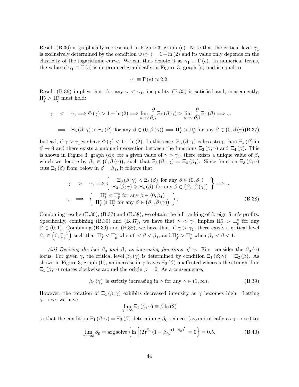Result (B.36) is graphically represented in Figure 3, graph (c). Note that the critical level  $\gamma_1$ is exclusively determined by the condition  $\Phi(\gamma_1) = 1 + \ln(2)$  and its value only depends on the elasticity of the logarithmic curve. We can thus denote it as  $\gamma_1 \equiv \Gamma(e)$ . In numerical terms, the value of  $\gamma_1 \equiv \Gamma(e)$  is determined graphically in Figure 3, graph (c) and is equal to

$$
\gamma_1 \equiv \Gamma(e) \approx 2.2.
$$

Result (B.36) implies that, for any  $\gamma < \gamma_1$ , inequality (B.35) is satisfied and, consequently,  $\Pi_f^* > \Pi_p^*$  must hold:

$$
\gamma < \gamma_1 \Longrightarrow \Phi(\gamma) > 1 + \ln(2) \Longrightarrow \lim_{\beta \to 0} \frac{\partial}{\partial \beta} \Xi_3(\beta; \gamma) > \lim_{\beta \to 0} \frac{\partial}{\partial \beta} \Xi_4(\beta) \Longrightarrow \dots
$$
\n
$$
\Longrightarrow \Xi_3(\beta; \gamma) > \Xi_4(\beta) \text{ for any } \beta \in \left(0, \bar{\beta}(\gamma)\right) \Longrightarrow \Pi_f^{\star} > \Pi_p^{\star} \text{ for any } \beta \in \left(0, \bar{\beta}(\gamma)\right) \Box 37
$$

Instead, if  $\gamma > \gamma_1$ , we have  $\Phi(\gamma) < 1 + \ln(2)$ . In this case,  $\Xi_3(\beta; \gamma)$  is less steep than  $\Xi_4(\beta)$  in  $\beta \to 0$  and there exists a unique intersection between the functions  $\Xi_3(\beta;\gamma)$  and  $\Xi_4(\beta)$ . This is shown in Figure 3, graph (d): for a given value of  $\gamma > \gamma_1$ , there exists a unique value of  $\beta$ , which we denote by  $\beta_1 \in (0, \bar{\beta}(\gamma))$ , such that  $\Xi_3(\beta_1; \gamma) = \Xi_4(\beta_1)$ . Since function  $\Xi_3(\beta; \gamma)$ cuts  $\Xi_4(\beta)$  from below in  $\beta = \beta_1$ , it follows that

$$
\gamma \quad > \quad \gamma_1 \Longrightarrow \left\{ \begin{array}{l} \Xi_3(\beta; \gamma) < \Xi_4(\beta) \text{ for any } \beta \in (0, \beta_1) \\ \Xi_3(\beta; \gamma) > \Xi_4(\beta) \text{ for any } \beta \in (\beta_1, \overline{\beta}(\gamma)) \end{array} \right\} \Longrightarrow \dots
$$
\n
$$
\dots \Longrightarrow \left\{ \begin{array}{l} \Pi_f^{\star} < \Pi_p^{\star} \text{ for any } \beta \in (0, \beta_1) \\ \Pi_f^{\star} > \Pi_p^{\star} \text{ for any } \beta \in (\beta_1, \overline{\beta}(\gamma)) \end{array} \right\}.
$$
\n(B.38)

Combining results  $(B.30)$ ,  $(B.37)$  and  $(B.38)$ , we obtain the full ranking of foreign firm's profits. Specifically, combining (B.30) and (B.37), we have that  $\gamma < \gamma_1$  implies  $\Pi_f^* > \Pi_p^*$  for any  $\beta \in (0, 1)$ . Combining (B.30) and (B.38), we have that, if  $\gamma > \gamma_1$ , there exists a critical level  $\beta_1 \in \left(0, \frac{\gamma-1}{\gamma+1}\right)$  such that  $\Pi_f^{\star} < \Pi_p^{\star}$  when  $0 < \beta < \beta_1$ , and  $\Pi_f^{\star} > \Pi_p^{\star}$  when  $\beta_1 < \beta < 1$ .

(iii) Deriving the loci  $\beta_0$  and  $\beta_1$  as increasing functions of  $\gamma$ . First consider the  $\beta_0(\gamma)$ locus. For given  $\gamma$ , the critical level  $\beta_0(\gamma)$  is determined by condition  $\Xi_1(\beta;\gamma) = \Xi_2(\beta)$ . As shown in Figure 3, graph (b), an increase in  $\gamma$  leaves  $\Xi_2(\beta)$  unaffected whereas the straight line  $\Xi_1(\beta;\gamma)$  rotates clockwise around the origin  $\beta=0$ . As a consequence,

$$
\beta_0(\gamma)
$$
 is strictly increasing in  $\gamma$  for any  $\gamma \in (1, \infty)$ . (B.39)

However, the rotation of  $\Xi_1(\beta;\gamma)$  exhibits decreased intensity as  $\gamma$  becomes high. Letting  $\gamma \to \infty$ , we have

$$
\lim_{\gamma \to \infty} \Xi_1 (\beta; \gamma) \equiv \beta \ln (2)
$$

so that the condition  $\Xi_1(\beta;\gamma) = \Xi_2(\beta)$  determining  $\beta_0$  reduces (asymptotically as  $\gamma \to \infty$ ) to:

$$
\lim_{\gamma \to \infty} \beta_0 = \arg \text{solve} \left\{ \ln \left[ (2)^{\beta_0} \left( 1 - \beta_0 \right)^{(1 - \beta_0)} \right] = 0 \right\} = 0.5. \tag{B.40}
$$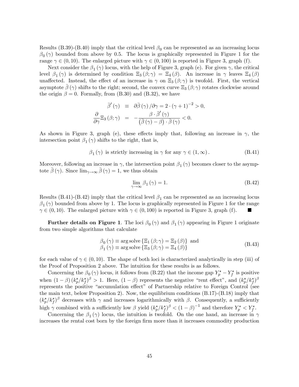Results (B.39)-(B.40) imply that the critical level  $\beta_0$  can be represented as an increasing locus  $\beta_0(\gamma)$  bounded from above by 0.5. The locus is graphically represented in Figure 1 for the range  $\gamma \in (0, 10)$ . The enlarged picture with  $\gamma \in (0, 100)$  is reported in Figure 3, graph (f).

Next consider the  $\beta_1(\gamma)$  locus, with the help of Figure 3, graph (e). For given  $\gamma$ , the critical level  $\beta_1(\gamma)$  is determined by condition  $\Xi_3(\beta;\gamma) = \Xi_4(\beta)$ . An increase in  $\gamma$  leaves  $\Xi_4(\beta)$ unaffected. Instead, the effect of an increase in  $\gamma$  on  $\Xi_3(\beta;\gamma)$  is twofold. First, the vertical asymptote  $\beta(\gamma)$  shifts to the right; second, the convex curve  $\Xi_3(\beta;\gamma)$  rotates clockwise around the origin  $\beta = 0$ . Formally, from (B.30) and (B.32), we have

$$
\bar{\beta}'(\gamma) = \partial \bar{\beta}(\gamma) / \partial \gamma = 2 \cdot (\gamma + 1)^{-2} > 0,
$$
  

$$
\frac{\partial}{\partial \gamma} \Xi_3(\beta; \gamma) = -\frac{\beta \cdot \bar{\beta}'(\gamma)}{(\bar{\beta}(\gamma) - \beta) \cdot \bar{\beta}(\gamma)} < 0.
$$

As shown in Figure 3, graph (e), these effects imply that, following an increase in  $\gamma$ , the intersection point  $\beta_1(\gamma)$  shifts to the right, that is,

$$
\beta_1(\gamma)
$$
 is strictly increasing in  $\gamma$  for any  $\gamma \in (1, \infty)$ . (B.41)

Moreover, following an increase in  $\gamma$ , the intersection point  $\beta_1(\gamma)$  becomes closer to the asymptote  $\bar{\beta}(\gamma)$ . Since  $\lim_{\gamma \to \infty} \bar{\beta}(\gamma) = 1$ , we thus obtain

$$
\lim_{\gamma \to \infty} \beta_1(\gamma) = 1. \tag{B.42}
$$

Results (B.41)-(B.42) imply that the critical level  $\beta_1$  can be represented as an increasing locus  $\beta_1(\gamma)$  bounded from above by 1. The locus is graphically represented in Figure 1 for the range  $\gamma \in (0, 10)$ . The enlarged picture with  $\gamma \in (0, 100)$  is reported in Figure 3, graph (f).

Further details on Figure 1. The loci  $\beta_0(\gamma)$  and  $\beta_1(\gamma)$  appearing in Figure 1 originate from two simple algorithms that calculate

$$
\begin{aligned}\n\beta_0(\gamma) &\equiv \arg \text{solve} \left\{ \Xi_1(\beta; \gamma) = \Xi_2(\beta) \right\} \text{ and} \\
\beta_1(\gamma) &\equiv \arg \text{solve} \left\{ \Xi_3(\beta; \gamma) = \Xi_4(\beta) \right\}\n\end{aligned} \tag{B.43}
$$

for each value of  $\gamma \in (0, 10)$ . The shape of both loci is characterized analytically in step (iii) of the Proof of Proposition 2 above. The intuition for these results is as follows.

Concerning the  $\beta_0(\gamma)$  locus, it follows from (B.22) that the income gap  $Y_p^{\star} - Y_f^{\star}$  is positive when  $(1-\beta)(k_p^{\star}/k_f^{\star})^{\beta} > 1$ . Here,  $(1-\beta)$  represents the negative "rent effect", and  $(k_p^{\star}/k_f^{\star})^{\beta}$ represents the positive "accumulation effect" of Partnership relative to Foreign Control (see the main text, below Proposition 2). Now, the equilibrium conditions (B.17)-(B.18) imply that  $(k_p^{\star}/k_f^{\star})^{\beta}$  decreases with  $\gamma$  and increases logarithmically with  $\beta$ . Consequently, a sufficiently high  $\gamma$  combined with a sufficiently low  $\beta$  yield  $(k_p^{\star}/k_f^{\star})^{\beta} < (1-\beta)^{-1}$  and therefore  $Y_p^{\star} < Y_f^{\star}$ .

Concerning the  $\beta_1(\gamma)$  locus, the intuition is twofold. On the one hand, an increase in  $\gamma$ increases the rental cost born by the foreign firm more than it increases commodity production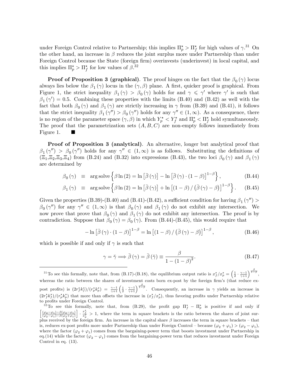under Foreign Control relative to Partnership; this implies  $\Pi_p^* > \Pi_f^*$  for high values of  $\gamma^{.31}$  On the other hand, an increase in  $\beta$  reduces the joint surplus more under Partnership than under Foreign Control because the State (foreign firm) overinvests (underinvest) in local capital, and this implies  $\Pi_p^* > \Pi_f^*$  for low values of  $\beta$ .<sup>32</sup>

**Proof of Proposition 3 (graphical)**. The proof hinges on the fact that the  $\beta_0(\gamma)$  locus always lies below the  $\beta_1(\gamma)$  locus in the  $(\gamma, \beta)$  plane. A first, quicker proof is graphical. From Figure 1, the strict inequality  $\beta_1(\gamma) > \beta_0(\gamma)$  holds for and  $\gamma \leq \gamma'$  where  $\gamma'$  is such that  $\beta_1(\gamma') = 0.5$ . Combining these properties with the limits (B.40) and (B.42) as well with the fact that both  $\beta_0(\gamma)$  and  $\beta_1(\gamma)$  are strictly increasing in  $\gamma$  from (B.39) and (B.41), it follows that the strict inequality  $\beta_1(\gamma'') > \beta_0(\gamma'')$  holds for any  $\gamma'' \in (1,\infty)$ . As a consequence, there is no region of the parameter space  $(\gamma, \beta)$  in which  $Y_p^* \lt Y_f^*$  and  $\Pi_p^* \lt \Pi_f^*$  hold symultaneously. The proof that the parametrization sets  $(A, B, C)$  are non-empty follows immediately from Figure 1.

Proof of Proposition 3 (analytical). An alternative, longer but analytical proof that  $\beta_1(\gamma'') > \beta_0(\gamma'')$  holds for any  $\gamma'' \in (1,\infty)$  is as follows. Substituting the definitions of  $(\Xi_1,\Xi_2,\Xi_3,\Xi_4)$  from (B.24) and (B.32) into expressions (B.43), the two loci  $\beta_0(\gamma)$  and  $\beta_1(\gamma)$ are determined by

$$
\beta_0(\gamma) \equiv \arg \operatorname{solve} \left\{ \beta \ln(2) = \ln \left[ \bar{\beta}(\gamma) \right] - \ln \left[ \bar{\beta}(\gamma) \cdot (1 - \beta) \right]^{1 - \beta} \right\},\tag{B.44}
$$

$$
\beta_1(\gamma) \equiv \arg \operatorname{solve} \left\{ \beta \ln(2) = \ln \left[ \bar{\beta}(\gamma) \right] + \ln \left[ \left( 1 - \beta \right) / \left( \bar{\beta}(\gamma) - \beta \right) \right]^{1-\beta} \right\}.
$$
 (B.45)

Given the properties (B.39)-(B.40) and (B.41)-(B.42), a sufficient condition for having  $\beta_1(\gamma'')$  >  $\beta_0(\gamma'')$  for any  $\gamma'' \in (1,\infty)$  is that  $\beta_0(\gamma)$  and  $\beta_1(\gamma)$  do not exhibit any intersection. We now prove that prove that  $\beta_0(\gamma)$  and  $\beta_1(\gamma)$  do not exhibit any intersection. The proof is by contradiction. Suppose that  $\beta_0(\gamma) = \beta_0(\gamma)$ . From (B.44)-(B.45), this would require that

$$
-\ln\left[\bar{\beta}(\gamma)\cdot(1-\beta)\right]^{1-\beta} = \ln\left[\left(1-\beta\right)/\left(\bar{\beta}(\gamma)-\beta\right)\right]^{1-\beta},\tag{B.46}
$$

which is possible if and only if  $\gamma$  is such that

$$
\gamma = \breve{\gamma} \Longrightarrow \bar{\beta}(\gamma) = \bar{\beta}(\breve{\gamma}) \equiv \frac{\beta}{1 - (1 - \beta)^2}.
$$
 (B.47)

<sup>&</sup>lt;sup>31</sup>To see this formally, note that, from (B.17)-(B.18), the equilibrium output ratio is  $x_f^*/x_p^* = \left(\frac{1}{2} \cdot \frac{\gamma-1}{\gamma+1}\right)^{\frac{\beta}{1-\beta}}$ , whereas the ratio between the shares of investment costs born ex-post by the foreign firm's (that reduce expost profits) is  $(2r_f^*k_f^*)/(r_p^*k_p^*) = \frac{\gamma-1}{\gamma+1} \left(\frac{1}{2} \cdot \frac{\gamma-1}{\gamma+1}\right)^{\frac{\beta}{1-\beta}}$ . Consequently, an increase in  $\gamma$  yields an increase in  $(2r_f^*k_f^*)/(r_p^*k_p^*)$  that more than offsets the increase in  $(x_f^*/x_p^*)$ , thus favoring profits under Partnership relative to profits under Foreign Control.

<sup>&</sup>lt;sup>32</sup>To see this formally, note that, from (B.29), the profit gap  $\Pi_f^* - \Pi_p^*$  is positive if and only if  $\left[\frac{(\varphi_2-\varphi_1)-\beta(\varphi_2-\varphi_1)}{(\varphi_2-\varphi_1)-\beta(\varphi_2+\varphi_1)}\right] \cdot \frac{x_f^*}{x_p^*} > 1$ , where the term in square brackets is the ratio between the shares of joint surplus received by the foreign firm. An increase in the capital share  $\beta$  increases the term in square brackets – that is, reduces ex-post profits more under Partnership than under Foreign Control – because  $(\varphi_2 + \varphi_1) > (\varphi_2 - \varphi_1)$ , where the factor  $(\varphi_2 + \varphi_1)$  comes from the bargaining-power term that boosts investment under Partnership in eq.(14) while the factor  $(\varphi_2 - \varphi_1)$  comes from the bargaining-power term that reduces investment under Foreign Control in eq. (13).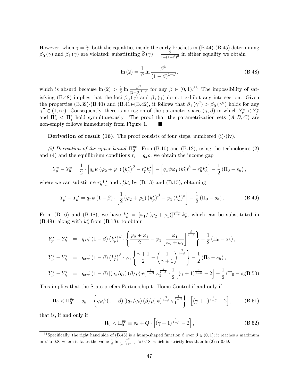However, when  $\gamma = \gamma$ , both the equalities inside the curly brackets in (B.44)-(B.45) determining  $\beta_0(\gamma)$  and  $\beta_1(\gamma)$  are violated: substituting  $\bar{\beta}(\gamma) = \frac{\beta}{1-(1-\beta)^2}$  in either equality we obtain

$$
\ln\left(2\right) = \frac{1}{\beta} \ln \frac{\beta^{\beta}}{\left(1 - \beta\right)^{1 - \beta}},\tag{B.48}
$$

which is absurd because  $\ln(2) > \frac{1}{\beta} \ln \frac{\beta^{\beta}}{(1-\beta)}$  $\frac{\beta^{\rho}}{(1-\beta)^{1-\beta}}$  for any  $\beta \in (0,1).^{33}$  The impossibility of satisfying (B.48) implies that the loci  $\beta_0(\gamma)$  and  $\beta_1(\gamma)$  do not exhibit any intersection. Given the properties (B.39)-(B.40) and (B.41)-(B.42), it follows that  $\beta_1(\gamma'') > \beta_0(\gamma'')$  holds for any  $\gamma'' \in (1,\infty)$ . Consequently, there is no region of the parameter space  $(\gamma,\beta)$  in which  $Y_p^* \leq Y_f^*$ and  $\Pi_p^*$  <  $\Pi_f^*$  hold symultaneously. The proof that the parametrization sets  $(A, B, C)$  are non-empty follows immediately from Figure 1.

**Derivation of result (16)**. The proof consists of four steps, numbered (i)-(iv).

(i) Derivation of the upper bound  $\Pi_0^{yp}$  $_{0}^{yp}$ . From(B.10) and (B.12), using the technologies (2) and (4) and the equilibrium conditions  $r_i = q_z \rho$ , we obtain the income gap

$$
Y_p^{\star} - Y_h^{\star} = \frac{1}{2} \cdot \left[ q_x \psi \left( \varphi_2 + \varphi_1 \right) \left( k_p^{\star} \right)^{\beta} - r_p^{\star} k_p^{\star} \right] - \left[ q_x \psi \varphi_1 \left( k_h^{\star} \right)^{\beta} - r_h^{\star} k_h^{\star} \right] - \frac{1}{2} \left( \Pi_0 - s_h \right),
$$

where we can substitute  $r_h^{\star} k_h^{\star}$  and  $r_p^{\star} k_p^{\star}$  by (B.13) and (B.15), obtaining

$$
Y_p^* - Y_h^* = q_x \psi \left( 1 - \beta \right) \cdot \left[ \frac{1}{2} \left( \varphi_2 + \varphi_1 \right) \left( k_p^* \right)^{\beta} - \varphi_1 \left( k_h^* \right)^{\beta} \right] - \frac{1}{2} \left( \Pi_0 - s_h \right). \tag{B.49}
$$

From (B.16) and (B.18), we have  $k_h^* = [\varphi_1/(\varphi_2 + \varphi_1)]^{\frac{1}{1-\beta}} k_p^*$ , which can be substituted in (B.49), along with  $k_p^{\star}$  from (B.18), to obtain

$$
Y_p^* - Y_h^* = q_x \psi (1 - \beta) (k_p^*)^\beta \cdot \left\{ \frac{\varphi_2 + \varphi_1}{2} - \varphi_1 \left[ \frac{\varphi_1}{\varphi_2 + \varphi_1} \right]^\frac{\beta}{1 - \beta} \right\} - \frac{1}{2} (\Pi_0 - s_h),
$$
  
\n
$$
Y_p^* - Y_h^* = q_x \psi (1 - \beta) (k_p^*)^\beta \cdot \varphi_1 \left\{ \frac{\gamma + 1}{2} - \left( \frac{1}{\gamma + 1} \right)^\frac{\beta}{1 - \beta} \right\} - \frac{1}{2} (\Pi_0 - s_h),
$$
  
\n
$$
Y_p^* - Y_h^* = q_x \psi (1 - \beta) [(q_x/q_z) (\beta/\rho) \psi]^\frac{\beta}{1 - \beta} \varphi_1^\frac{1}{1 - \beta} \cdot \frac{1}{2} [(\gamma + 1)^\frac{1}{1 - \beta} - 2] - \frac{1}{2} (\Pi_0 - s_h)
$$
  
\n
$$
= q_x \psi (1 - \beta) [(\eta_x/q_z) (\beta/\rho) \psi]^\frac{\beta}{1 - \beta} \varphi_1^\frac{1}{1 - \beta} \cdot \frac{1}{2} [(\gamma + 1)^\frac{1}{1 - \beta} - 2] - \frac{1}{2} (\Pi_0 - s_h)
$$

This implies that the State prefers Partnership to Home Control if and only if

$$
\Pi_0 < \Pi_0^{yp} \equiv s_h + \left\{ q_x \psi \left( 1 - \beta \right) \left[ \left( q_x / q_z \right) \left( \beta / \rho \right) \psi \right]_{1-\beta}^{\frac{\beta}{1-\beta}} \varphi_1^{\frac{1}{1-\beta}} \right\} \cdot \left[ \left( \gamma + 1 \right)_{1-\beta}^{\frac{1}{1-\beta}} - 2 \right],\tag{B.51}
$$

that is, if and only if

$$
\Pi_0 < \Pi_0^{yp} \equiv s_h + Q \cdot \left[ (\gamma + 1)^{\frac{1}{1 - \beta}} - 2 \right],\tag{B.52}
$$

<sup>&</sup>lt;sup>33</sup> Specifically, the right hand side of  $(B.48)$  is a hump-shaped function  $\beta$  over  $\beta \in (0,1)$ ; it reaches a maximum in  $\beta \approx 0.8$ , where it takes the value  $\frac{1}{\beta} \ln \frac{\beta^{\beta}}{(1-\beta)}$  $\frac{\beta^{\beta}}{(1-\beta)^{1-\beta}} \approx 0.18$ , which is strictly less than  $\ln(2) \approx 0.69$ .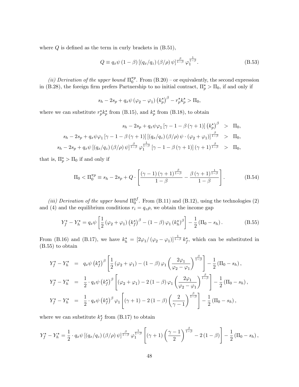where  $Q$  is defined as the term in curly brackets in  $(B.51)$ ,

$$
Q \equiv q_x \psi \left(1 - \beta\right) \left[ \left(q_x/q_z\right) \left(\beta/\rho\right) \psi \right]^{\frac{\beta}{1-\beta}} \varphi_1^{\frac{1}{1-\beta}}.\tag{B.53}
$$

(ii) Derivation of the upper bound  $\Pi_0^{\pi p}$  $_{0}^{\pi p}$ . From  $(B.20)$  – or equivalently, the second expression in (B.28), the foreign firm prefers Partnership to no initial contract,  $\Pi_p^* > \Pi_0$ , if and only if

$$
s_h - 2s_p + q_x \psi (\varphi_2 - \varphi_1) (k_p^{\star})^{\beta} - r_p^{\star} k_p^{\star} > \Pi_0,
$$

where we can substitute  $r_p^{\star} k_p^{\star}$  from (B.15), and  $k_p^{\star}$  from (B.18), to obtain

$$
s_h - 2s_p + q_x \psi \varphi_1 \left[ \gamma - 1 - \beta (\gamma + 1) \right] \left( k_p^{\star} \right)^{\beta} > \Pi_0,
$$
  
\n
$$
s_h - 2s_p + q_x \psi \varphi_1 \left[ \gamma - 1 - \beta (\gamma + 1) \right] \left[ \left( q_x / q_z \right) (\beta / \rho) \psi \cdot (\varphi_2 + \varphi_1) \right]_{1-\beta}^{\beta} > \Pi_0,
$$
  
\n
$$
s_h - 2s_p + q_x \psi \left[ \left( q_x / q_z \right) (\beta / \rho) \psi \right]_{1-\beta}^{\beta} \varphi_1^{\frac{1}{1-\beta}} \left[ \gamma - 1 - \beta (\gamma + 1) \right] (\gamma + 1)^{\frac{\beta}{1-\beta}} > \Pi_0,
$$

that is,  $\Pi_p^* > \Pi_0$  if and only if

$$
\Pi_0 < \Pi_0^{\pi p} \equiv s_h - 2s_p + Q \cdot \left[ \frac{(\gamma - 1)(\gamma + 1)^{\frac{\beta}{1 - \beta}}}{1 - \beta} - \frac{\beta (\gamma + 1)^{\frac{1}{1 - \beta}}}{1 - \beta} \right]. \tag{B.54}
$$

(iii) Derivation of the upper bound  $\Pi_0^{yf}$  $_{0}^{y_{J}}$ . From (B.11) and (B.12), using the technologies (2) and (4) and the equilibrium conditions  $r_i = q_z \rho$ , we obtain the income gap

$$
Y_f^{\star} - Y_h^{\star} = q_x \psi \left[ \frac{1}{2} \left( \varphi_2 + \varphi_1 \right) \left( k_f^{\star} \right)^{\beta} - (1 - \beta) \varphi_1 \left( k_h^{\star} \right)^{\beta} \right] - \frac{1}{2} \left( \Pi_0 - s_h \right). \tag{B.55}
$$

From (B.16) and (B.17), we have  $k_h^* = \left[2\varphi_1/(\varphi_2 - \varphi_1)\right]_{1-\beta}^{\beta} k_f^*$ , which can be substituted in (B.55) to obtain

$$
Y_f^* - Y_h^* = q_x \psi (k_f^*)^\beta \left[ \frac{1}{2} (\varphi_2 + \varphi_1) - (1 - \beta) \varphi_1 \left( \frac{2\varphi_1}{\varphi_2 - \varphi_1} \right)^{\frac{\beta}{1 - \beta}} \right] - \frac{1}{2} (\Pi_0 - s_h),
$$
  
\n
$$
Y_f^* - Y_h^* = \frac{1}{2} \cdot q_x \psi (k_f^*)^\beta \left[ (\varphi_2 + \varphi_1) - 2 (1 - \beta) \varphi_1 \left( \frac{2\varphi_1}{\varphi_2 - \varphi_1} \right)^{\frac{\beta}{1 - \beta}} \right] - \frac{1}{2} (\Pi_0 - s_h),
$$
  
\n
$$
Y_f^* - Y_h^* = \frac{1}{2} \cdot q_x \psi (k_f^*)^\beta \varphi_1 \left[ (\gamma + 1) - 2 (1 - \beta) \left( \frac{2}{\gamma - 1} \right)^{\frac{\beta}{1 - \beta}} \right] - \frac{1}{2} (\Pi_0 - s_h),
$$

where we can substitute  $k_f^{\star}$  from (B.17) to obtain

$$
Y_f^{\star} - Y_h^{\star} = \frac{1}{2} \cdot q_x \psi \left[ \left( q_x / q_z \right) \left( \beta / \rho \right) \psi \right]^{\frac{\beta}{1-\beta}} \varphi_1^{\frac{1}{1-\beta}} \left[ \left( \gamma + 1 \right) \left( \frac{\gamma - 1}{2} \right)^{\frac{\beta}{1-\beta}} - 2 \left( 1 - \beta \right) \right] - \frac{1}{2} \left( \Pi_0 - s_h \right),
$$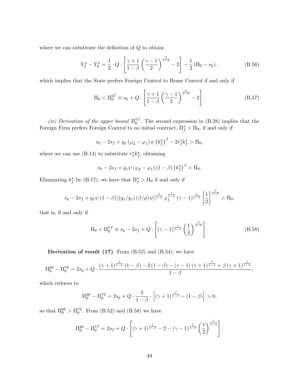where we can substitute the definition of  $Q$  to obtain

$$
Y_f^* - Y_h^* = \frac{1}{2} \cdot Q \cdot \left[ \frac{\gamma + 1}{1 - \beta} \left( \frac{\gamma - 1}{2} \right)^{\frac{\beta}{1 - \beta}} - 2 \right] - \frac{1}{2} (\Pi_0 - s_h), \tag{B.56}
$$

which implies that the State prefers Foreign Control to Home Control if and only if

$$
\Pi_0 < \Pi_0^{yf} \equiv s_h + Q \cdot \left[ \frac{\gamma + 1}{1 - \beta} \left( \frac{\gamma - 1}{2} \right)^{\frac{\beta}{1 - \beta}} - 2 \right]. \tag{B.57}
$$

(iv) Derivation of the upper bound  $\Pi_0^{\pi f}$  $_{0}^{\pi_{J}}$ . The second expression in (B.28) implies that the Foreign Firm prefers Foreign Control to no initial contract,  $\Pi_f^* > \Pi_0$ , if and only if

$$
s_h - 2s_f + q_x (\varphi_2 - \varphi_1) \psi (k_f^{\star})^{\beta} - 2r_f^{\star} k_f^{\star} > \Pi_0,
$$

where we can use (B.14) to substitute  $r_f^* k_f^*$ , obtaining

$$
s_h - 2s_f + q_x \psi (\varphi_2 - \varphi_1) (1 - \beta) (k_f^{\star})^{\beta} > \Pi_0.
$$

Eliminating  $k_f^*$  by (B.17), we have that  $\Pi_f^* > \Pi_0$  if and only if

$$
s_h - 2s_f + q_x \psi (1 - \beta) \left[ \left( q_x/q_z \right) (\beta/\rho) \psi \right]^{\frac{\beta}{1-\beta}} \varphi_1^{\frac{1}{1-\beta}} (\gamma - 1)^{\frac{1}{1-\beta}} \left[ \frac{1}{2} \right]^{\frac{\beta}{1-\beta}} > \Pi_0,
$$

that is, if and only if

$$
\Pi_0 < \Pi_0^{\pi f} \equiv s_h - 2s_f + Q \cdot \left[ (\gamma - 1)^{\frac{1}{1 - \beta}} \left( \frac{1}{2} \right)^{\frac{\beta}{1 - \beta}} \right]. \tag{B.58}
$$

**Derivation of result (17).** From  $(B.52)$  and  $(B.54)$ , we have

$$
\Pi_0^{yp} - \Pi_0^{\pi p} = 2s_p + Q \cdot \frac{(\gamma + 1)^{\frac{1}{1-\beta}} (1-\beta) - 2(1-\beta) - (\gamma - 1)(\gamma + 1)^{\frac{\beta}{1-\beta}} + \beta(\gamma + 1)^{\frac{1}{1-\beta}}}{1-\beta},
$$

which reduces to

$$
\Pi_0^{yp} - \Pi_0^{\pi p} = 2s_p + Q \cdot \frac{2}{1-\beta} \cdot \left[ (\gamma + 1)^{\frac{\beta}{1-\beta}} - (1-\beta) \right] > 0,
$$

so that  $\Pi_0^{yp} > \Pi_0^{\pi p}$  $_{0}^{\pi p}$ . From (B.52) and (B.58) we have

$$
\Pi_0^{yp} - \Pi_0^{\pi f} = 2s_f + Q \cdot \left[ (\gamma + 1)^{\frac{1}{1-\beta}} - 2 - (\gamma - 1)^{\frac{1}{1-\beta}} \left( \frac{1}{2} \right)^{\frac{\beta}{1-\beta}} \right],
$$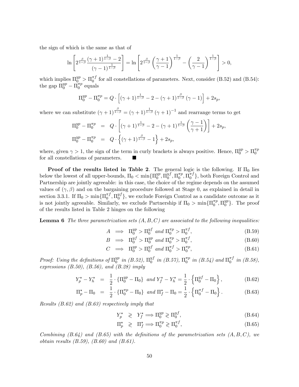the sign of which is the same as that of

$$
\ln\left[2^{\frac{\beta}{1-\beta}}\frac{(\gamma+1)^{\frac{1}{1-\beta}}-2}{(\gamma-1)^{\frac{1}{1-\beta}}}\right] = \ln\left[2^{\frac{\beta}{1-\beta}}\left(\frac{\gamma+1}{\gamma-1}\right)^{\frac{1}{1-\beta}} - \left(\frac{2}{\gamma-1}\right)^{\frac{1}{1-\beta}}\right] > 0,
$$

which implies  $\Pi_0^{yp} > \Pi_0^{\pi f}$  $_{0}^{\pi}$  for all constellations of parameters. Next, consider (B.52) and (B.54): the gap  $\Pi_0^{yp} - \tilde{\Pi_0^{np}}$  $_0^{\pi p}$  equals

$$
\Pi_0^{yp} - \Pi_0^{\pi p} = Q \cdot \left[ (\gamma + 1)^{\frac{1}{1-\beta}} - 2 - (\gamma + 1)^{\frac{\beta}{1-\beta}} (\gamma - 1) \right] + 2s_p,
$$

where we can substitute  $(\gamma + 1)^{\frac{\beta}{1-\beta}} = (\gamma + 1)^{\frac{1}{1-\beta}} (\gamma + 1)^{-1}$  and rearrange terms to get

$$
\Pi_0^{yp} - \Pi_0^{\pi p} = Q \cdot \left[ (\gamma + 1)^{\frac{1}{1-\beta}} - 2 - (\gamma + 1)^{\frac{1}{1-\beta}} \left( \frac{\gamma - 1}{\gamma + 1} \right) \right] + 2s_p,
$$
  

$$
\Pi_0^{yp} - \Pi_0^{\pi p} = Q \cdot \left\{ (\gamma + 1)^{\frac{\beta}{1-\beta}} - 1 \right\} + 2s_p,
$$

where, given  $\gamma > 1$ , the sign of the term in curly brackets is always positive. Hence,  $\Pi_0^{yp} > \Pi_0^{\pi p}$  $\boldsymbol{0}$ for all constellations of parameters.

**Proof of the results listed in Table 2.** The general logic is the following. If  $\Pi_0$  lies below the lowest of all upper-bounds,  $\Pi_0 < \min\{\Pi_0^{yp}$  $_0^{yp}, \Pi_0^{yf}$  $_{0}^{y f}, \Pi_{0}^{\pi p}$  $_{0}^{\pi p},\Pi_{0}^{\pi f}$  $_{0}^{\pi J}$ , both Foreign Control and Partnership are jointly agreeable: in this case, the choice of the regime depends on the assumed values of  $(\gamma, \beta)$  and on the bargaining procedure followed at Stage 0, as explained in detail in section 3.3.1. If  $\Pi_0 > \min\{\Pi_0^{\pi f}$  $_{0}^{\pi f},\Pi_{0}^{y f}$  $_{0}^{y_{J}}$ , we exclude Foreign Control as a candidate outcome as it is not jointly agreeable. Similarly, we exclude Partnership if  $\Pi_0 > \min\{\Pi_0^{\pi p}$  $\mathbb{Z}_0^{np}, \Pi_0^{yp}$  $_{0}^{yp}$ . The proof of the results listed in Table 2 hinges on the following

**Lemma 6** The three parametrization sets  $(A, B, C)$  are associated to the following inequalities:

$$
A \implies \Pi_0^{yp} > \Pi_0^{yf} \text{ and } \Pi_0^{\pi p} > \Pi_0^{\pi f}, \tag{B.59}
$$

$$
B \implies \Pi_0^{yf} > \Pi_0^{yp} \text{ and } \Pi_0^{\pi p} > \Pi_0^{\pi f}, \tag{B.60}
$$

$$
C \implies \Pi_0^{yp} > \Pi_0^{yf} \text{ and } \Pi_0^{\pi f} > \Pi_0^{\pi p}, \tag{B.61}
$$

Proof: Using the definitions of  $\Pi_0^{yp}$  $_{0}^{yp}$  in (B.52),  $\Pi_{0}^{yf}$  $_{0}^{yf}$  in (B.57),  $\Pi_{0}^{\pi p}$  $_{0}^{\pi p}$  in (B.54) and  $\Pi_{0}^{\pi f}$  $_{0}^{\pi J}$  in (B.58), expressions  $(B.50)$ ,  $(B.56)$ , and  $(B.28)$  imply

$$
Y_p^{\star} - Y_h^{\star} = \frac{1}{2} \cdot \{ \Pi_0^{yp} - \Pi_0 \} \text{ and } Y_f^{\star} - Y_h^{\star} = \frac{1}{2} \cdot \{ \Pi_0^{yf} - \Pi_0 \}, \tag{B.62}
$$

$$
\Pi_p^* - \Pi_0 = \frac{1}{2} \cdot \{ \Pi_0^{\pi p} - \Pi_0 \} \text{ and } \Pi_f^* - \Pi_0 = \frac{1}{2} \cdot \{ \Pi_0^{\pi f} - \Pi_0 \}.
$$
 (B.63)

Results (B.62) and (B.63) respectively imply that

$$
Y_p^{\star} \geqslant Y_f^{\star} \Longrightarrow \Pi_0^{yp} \geqslant \Pi_0^{yf},\tag{B.64}
$$

$$
\Pi_p^{\star} \geqslant \Pi_f^{\star} \Longrightarrow \Pi_0^{\pi p} \geqslant \Pi_0^{\pi f},\tag{B.65}
$$

Combining  $(B.64)$  and  $(B.65)$  with the definitions of the parametrization sets  $(A, B, C)$ , we obtain results  $(B.59)$ ,  $(B.60)$  and  $(B.61)$ .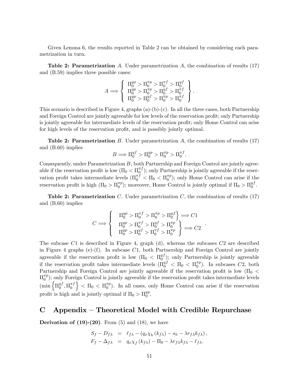Given Lemma 6, the results reported in Table 2 can be obtained by considering each parametrization in turn.

**Table 2: Parametrization** A. Under parametrization A, the combination of results  $(17)$ and (B.59) implies three possible cases:

$$
A \Longrightarrow \left\{ \begin{array}{l} \Pi^{yp}_0 > \Pi^{ \pi p}_0 > \Pi^{ \pi f}_0 > \Pi^{y f}_0 \\ \Pi^{yp}_0 > \Pi^{ \pi p}_0 > \Pi^{y f}_0 > \Pi^{ \pi f}_0 \\ \Pi^{yp}_0 > \Pi^{y f}_0 > \Pi^{ \pi p}_0 > \Pi^{ \pi f}_0 \end{array} \right\}
$$

:

:

This scenario is described in Figure 4, graphs  $(a)-(b)-(c)$ . In all the three cases, both Partnership and Foreign Control are jointly agreeable for low levels of the reservation profit; only Partnership is jointly agreeable for intermediate levels of the reservation profit; only Home Control can arise for high levels of the reservation profit, and is possibly jointly optimal.

**Table 2: Parametrization** B. Under parametrization A, the combination of results  $(17)$ and (B.60) implies

$$
B \Longrightarrow \Pi_0^{yf} > \Pi_0^{yp} > \Pi_0^{\pi p} > \Pi_0^{\pi f}.
$$

Consequently, under Parametrization B, both Partnership and Foreign Control are jointly agreeable if the reservation profit is low  $(\Pi_0 < \Pi_0^{\pi f})$  $\binom{n}{0}$ ; only Partnership is jointly agreeable if the reservation profit takes intermediate levels  $(\Pi_0^{\pi f} < \Pi_0 < \Pi_0^{\pi p}$  $\binom{n p}{0}$ ; only Home Control can arise if the reservation profit is high  $(\Pi_0 > \Pi_0^{\pi p})$  $\binom{\pi p}{0}$ ; moreover, Home Control is jointly optimal if  $\Pi_0 > \Pi_0^{yf}$  $\begin{smallmatrix} y_J\ 0 \end{smallmatrix}$ .

**Table 2: Parametrization** C. Under parametrization C, the combination of results  $(17)$ and (B.60) implies

$$
C \Longrightarrow \left\{ \begin{array}{c} \Pi_0^{yp} > \Pi_0^{\pi f} > \Pi_0^{\pi p} > \Pi_0^{y f} \\ \Pi_0^{yp} > \Pi_0^{\pi f} > \Pi_0^{y f} > \Pi_0^{\pi p} \\ \Pi_0^{yp} > \Pi_0^{y f} > \Pi_0^{\pi f} > \Pi_0^{\pi p} \end{array} \right\} \Longrightarrow C2
$$

The subcase C1 is described in Figure 4, graph (d), whereas the subcases C2 are described in Figure 4 graphs (e)-(f). In subcase  $C1$ , both Partnership and Foreign Control are jointly agreeable if the reservation profit is low  $(\Pi_0 \ < \Pi_0^{yf})$  $\binom{y_j}{0}$ ; only Partnership is jointly agreeable if the reservation profit takes intermediate levels  $(\Pi_0^{yf} < \Pi_0 < \Pi_0^{\pi p}$  $\binom{n}{0}$ . In subcases  $C2$ , both Partnership and Foreign Control are jointly agreeable if the reservation profit is low  $(\Pi_0$  <  $\Pi_0^{\pi p}$  $\binom{n}{0}$ ; only Foreign Control is jointly agreeable if the reservation profit takes intermediate levels  $\begin{pmatrix} \min \begin{cases} \Pi_0^{yf} \end{cases} \end{pmatrix}$  $_{0}^{y f}, \Pi_{0}^{\pi f}$ 0  $\Big\} < \Pi_0 < \Pi_0^{\pi p}$  $_{0}^{\pi p}$ ). In all cases, only Home Control can arise if the reservation profit is high and is jointly optimal if  $\Pi_0 > \Pi_0^{yp}$  $_{0}^{yp}.$ 

## $C$  Appendix – Theoretical Model with Credible Repurchase

**Derivation of (19)-(20)**. From  $(5)$  and  $(18)$ , we have

$$
S_f - D_{f\lambda} = \ell_{f\lambda} - (q_x \chi_h (k_{f\lambda}) - s_h - \lambda r_{f\lambda} k_{f\lambda}),
$$
  

$$
F_f - \Delta_{f\lambda} = q_x \chi_f (k_{f\lambda}) - \Pi_0 - \lambda r_{f\lambda} k_{f\lambda} - \ell_{f\lambda}.
$$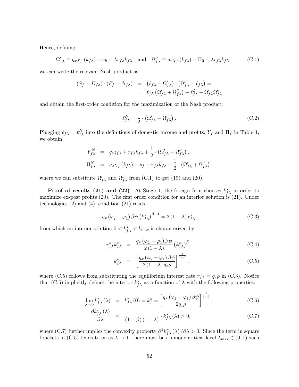Hence, defining

$$
\Omega'_{f\lambda} \equiv q_x \chi_h (k_{f\lambda}) - s_h - \lambda r_{f\lambda} k_{f\lambda} \quad \text{and} \quad \Omega''_{f\lambda} \equiv q_x \chi_f (k_{f\lambda}) - \Pi_0 - \lambda r_{f\lambda} k_{f\lambda}, \tag{C.1}
$$

we can write the relevant Nash product as

$$
(S_f - D_{f\lambda}) \cdot (F_f - \Delta_{f\lambda}) = (\ell_{f\lambda} - \Omega'_{f\lambda}) \cdot (\Omega''_{f\lambda} - \ell_{f\lambda}) =
$$
  
=  $\ell_{f\lambda} (\Omega'_{f\lambda} + \Omega''_{f\lambda}) - \ell_{f\lambda}^2 - \Omega'_{f\lambda} \Omega''_{f\lambda}$ 

and obtain the first-order condition for the maximization of the Nash product:

$$
\ell_{f\lambda}^N = \frac{1}{2} \cdot \left( \Omega_{f\lambda}' + \Omega_{f\lambda}'' \right). \tag{C.2}
$$

Plugging  $\ell_{f\lambda} = \ell_{f\lambda}^N$  into the definitions of domestic income and profits,  $Y_f$  and  $\Pi_f$  in Table 1, we obtain

$$
Y_{f\lambda}^N = q_z z_{f\lambda} + r_{f\lambda} k_{f\lambda} + \frac{1}{2} \cdot (\Omega_{f\lambda}' + \Omega_{f\lambda}''),
$$
  
\n
$$
\Pi_{f\lambda}^N = q_x \chi_f (k_{f\lambda}) - s_f - r_{f\lambda} k_{f\lambda} - \frac{1}{2} \cdot (\Omega_{f\lambda}' + \Omega_{f\lambda}''),
$$

where we can substitute  $\Omega'_{f\lambda}$  and  $\Omega''_{f\lambda}$  from (C.1) to get (19) and (20).

**Proof of results (21) and (22).** At Stage 1, the foreign firm chooses  $k_{f\lambda}^{\star}$  in order to maximize ex-post profits  $(20)$ . The first order condition for an interior solution is  $(21)$ . Under technologies  $(2)$  and  $(4)$ , condition  $(21)$  reads

$$
q_x \left(\varphi_2 - \varphi_1\right) \beta \psi \left(k_{f\lambda}^{\star}\right)^{\beta - 1} = 2 \left(1 - \lambda\right) r_{f\lambda}^{\star},\tag{C.3}
$$

from which an interior solution  $0 < k_{f\lambda}^{\star} < k_{\text{max}}$  is characterized by

$$
r_{f\lambda}^{\star}k_{f\lambda}^{\star} = \frac{q_x(\varphi_2 - \varphi_1)\beta\psi}{2(1-\lambda)}\left(k_{f\lambda}^{\star}\right)^{\beta},\tag{C.4}
$$

$$
k_{f\lambda}^* = \left[ \frac{q_x (\varphi_2 - \varphi_1) \beta \psi}{2 (1 - \lambda) q_z \rho} \right]^{\frac{1}{1 - \beta}}, \qquad (C.5)
$$

where (C.5) follows from substituting the equilibrium interest rate  $r_{f\lambda} = q_z \rho$  in (C.3). Notice that (C.5) implicitly defines the interior  $k_{f\lambda}^{\star}$  as a function of  $\lambda$  with the following properties:

$$
\lim_{\lambda \to 0} k_{f\lambda}^{\star}(\lambda) = k_{f\lambda}^{\star}(0) = k_{f}^{\star} = \left[ \frac{q_{x} (\varphi_{2} - \varphi_{1}) \beta \psi}{2q_{z}\rho} \right]^{\frac{1}{1-\beta}}, \tag{C.6}
$$

$$
\frac{\partial k_{f\lambda}^{\star}(\lambda)}{\partial \lambda} = \frac{1}{(1-\beta)(1-\lambda)} \cdot k_{f\lambda}^{\star}(\lambda) > 0, \tag{C.7}
$$

where (C.7) further implies the convexity property  $\partial^2 k_{f\lambda}^*(\lambda)/\partial \lambda > 0$ . Since the term in square brackets in (C.5) tends to  $\infty$  as  $\lambda \to 1$ , there must be a unique critical level  $\lambda_{\max} \in (0, 1)$  such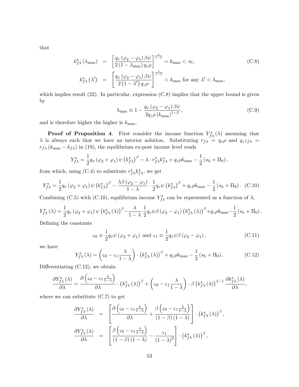that

$$
k_{f\lambda}^{\star}(\lambda_{\max}) = \left[\frac{q_x(\varphi_2 - \varphi_1)\beta\psi}{2(1 - \lambda_{\max})q_z\rho}\right]^{\frac{1}{1-\beta}} = k_{\max} < \infty,
$$
\n(C.8)\n
$$
k_{f\lambda}^{\star}(\lambda') = \left[\frac{q_x(\varphi_2 - \varphi_1)\beta\psi}{2(1 - \lambda')q_z\rho}\right]^{\frac{1}{1-\beta}} < k_{\max} \text{ for any } \lambda' < \lambda_{\max},
$$

which implies result  $(22)$ . In particular, expression  $(C.8)$  implies that the upper bound is given by

$$
\lambda_{\text{max}} \equiv 1 - \frac{q_x \left(\varphi_2 - \varphi_1\right) \beta \psi}{2q_z \rho \left(k_{\text{max}}\right)^{1-\beta}},\tag{C.9}
$$

and is therefore higher the higher is  $k_{\text{max}}$ .

**Proof of Proposition 4.** First consider the income function  $Y_{f\lambda}^{\star}(\lambda)$  assuming that  $\lambda$  is always such that we have an interior solution. Substituting  $r_{f\lambda} = q_z \rho$  and  $q_z z_{f\lambda} =$  $r_{f\lambda} \left(k_{\text{max}} - k_{f\lambda}\right)$  in (19), the equilibrium ex-post income level reads

$$
Y_{f\lambda}^{\star} = \frac{1}{2} q_x \left( \varphi_2 + \varphi_1 \right) \psi \left( k_{f\lambda}^{\star} \right)^{\beta} - \lambda \cdot r_{f\lambda}^{\star} k_{f\lambda}^{\star} + q_z \rho k_{\text{max}} - \frac{1}{2} \left( s_h + \Pi_0 \right),
$$

from which, using (C.4) to substitute  $r^*_{f\lambda} k^*_{f\lambda}$ , we get

$$
Y_{f\lambda}^* = \frac{1}{2} q_x \left( \varphi_2 + \varphi_1 \right) \psi \left( k_{f\lambda}^* \right)^{\beta} - \frac{\lambda \beta \left( \varphi_2 - \varphi_1 \right)}{1 - \lambda} \cdot \frac{1}{2} q_x \psi \left( k_{f\lambda}^* \right)^{\beta} + q_z \rho k_{\text{max}} - \frac{1}{2} \left( s_h + \Pi_0 \right). \tag{C.10}
$$

Combining (C.5) with (C.10), equilibrium income  $Y_{f\lambda}^{\star}$  can be represented as a function of  $\lambda$ ,

$$
Y_{f\lambda}^{\star}(\lambda) = \frac{1}{2}q_x(\varphi_2 + \varphi_1)\,\psi\left(k_{f\lambda}^{\star}(\lambda)\right)^{\beta} - \frac{\lambda}{1-\lambda}\cdot\frac{1}{2}q_x\psi\beta\left(\varphi_2 - \varphi_1\right)\left(k_{f\lambda}^{\star}(\lambda)\right)^{\beta} + q_z\rho k_{\max} - \frac{1}{2}\left(s_h + \Pi_0\right).
$$

DeÖning the constants

$$
\varsigma_0 \equiv \frac{1}{2} q_x \psi (\varphi_2 + \varphi_1) \text{ and } \varsigma_1 \equiv \frac{1}{2} q_x \psi \beta (\varphi_2 - \varphi_1), \tag{C.11}
$$

we have

$$
Y_{f\lambda}^{\star}(\lambda) = \left(s_0 - s_1 \frac{\lambda}{1-\lambda}\right) \cdot \left(k_{f\lambda}^{\star}(\lambda)\right)^{\beta} + q_z \rho k_{\max} - \frac{1}{2}\left(s_h + \Pi_0\right). \tag{C.12}
$$

Differentiating  $(C.12)$ , we obtain

$$
\frac{\partial Y_{f\lambda}^{\star}(\lambda)}{\partial\lambda} = \frac{\partial (\varsigma_0 - \varsigma_1 \frac{\lambda}{1-\lambda})}{\partial\lambda} \cdot (k_{f\lambda}^{\star}(\lambda))^{\beta} + (\varsigma_0 - \varsigma_1 \frac{\lambda}{1-\lambda}) \cdot \beta (k_{f\lambda}^{\star}(\lambda))^{\beta-1} \frac{\partial k_{f\lambda}^{\star}(\lambda)}{\partial\lambda},
$$

where we can substitute  $(C.7)$  to get

$$
\frac{\partial Y_{f\lambda}^{\star}(\lambda)}{\partial \lambda} = \left[ \frac{\partial \left( \varsigma_{0} - \varsigma_{1} \frac{\lambda}{1-\lambda} \right)}{\partial \lambda} + \frac{\partial \left( \varsigma_{0} - \varsigma_{1} \frac{\lambda}{1-\lambda} \right)}{(1-\beta)(1-\lambda)} \right] \cdot \left( k_{f\lambda}^{\star}(\lambda) \right)^{\beta},
$$

$$
\frac{\partial Y_{f\lambda}^{\star}(\lambda)}{\partial \lambda} = \left[ \frac{\partial \left( \varsigma_{0} - \varsigma_{1} \frac{\lambda}{1-\lambda} \right)}{(1-\beta)(1-\lambda)} - \frac{\varsigma_{1}}{(1-\lambda)^{2}} \right] \cdot \left( k_{f\lambda}^{\star}(\lambda) \right)^{\beta},
$$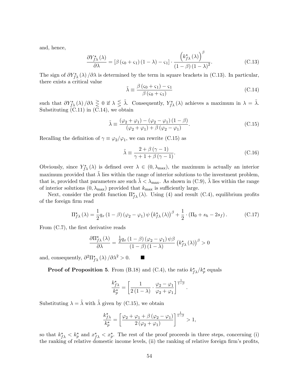and, hence,

$$
\frac{\partial Y_{f\lambda}^{\star}(\lambda)}{\partial \lambda} = [\beta(\varsigma_0 + \varsigma_1)(1 - \lambda) - \varsigma_1] \cdot \frac{\left(k_{f\lambda}^{\star}(\lambda)\right)^{\beta}}{\left(1 - \beta\right)\left(1 - \lambda\right)^2}.
$$
\n(C.13)

The sign of  $\partial Y^*_{f\lambda}(\lambda)/\partial \lambda$  is determined by the term in square brackets in (C.13). In particular, there exists a critical value

$$
\tilde{\lambda} \equiv \frac{\beta (s_0 + s_1) - s_1}{\beta (s_0 + s_1)}\tag{C.14}
$$

such that  $\partial Y^{\star}_{f\lambda}(\lambda)/\partial\lambda \geq 0$  if  $\lambda \leq \tilde{\lambda}$ . Consequently,  $Y^{\star}_{f\lambda}(\lambda)$  achieves a maximum in  $\lambda = \tilde{\lambda}$ . Substituting (C.11) in (C.14), we obtain

$$
\tilde{\lambda} \equiv \frac{(\varphi_2 + \varphi_1) - (\varphi_2 - \varphi_1)(1 - \beta)}{(\varphi_2 + \varphi_1) + \beta(\varphi_2 - \varphi_1)}.
$$
\n(C.15)

Recalling the definition of  $\gamma \equiv \varphi_2/\varphi_1$ , we can rewrite (C.15) as

$$
\tilde{\lambda} \equiv \frac{2 + \beta (\gamma - 1)}{\gamma + 1 + \beta (\gamma - 1)}.
$$
\n(C.16)

:

Obviously, since  $Y_{f\lambda}^{\star}(\lambda)$  is defined over  $\lambda \in (0, \lambda_{\max})$ , the maximum is actually an interior maximum provided that  $\lambda$  lies within the range of interior solutions to the investment problem, that is, provided that parameters are such  $\lambda < \lambda_{\text{max}}$ . As shown in (C.9),  $\lambda$  lies within the range of interior solutions  $(0, \lambda_{\text{max}})$  provided that  $k_{\text{max}}$  is sufficiently large.

Next, consider the profit function  $\Pi_{f\lambda}^{\star}(\lambda)$ . Using (4) and result (C.4), equilibrium profits of the foreign firm read

$$
\Pi_{f\lambda}^{\star}(\lambda) = \frac{1}{2}q_x(1-\beta)(\varphi_2-\varphi_1)\,\psi\left(k_{f\lambda}^{\star}(\lambda)\right)^{\beta} + \frac{1}{2}\cdot\left(\Pi_0 + s_h - 2s_f\right). \tag{C.17}
$$

From  $(C.7)$ , the first derivative reads

$$
\frac{\partial \Pi_{f\lambda}^{\star}(\lambda)}{\partial \lambda} = \frac{\frac{1}{2}q_x(1-\beta)(\varphi_2 - \varphi_1)\psi}{(1-\beta)(1-\lambda)} \left(k_{f\lambda}^{\star}(\lambda)\right)^{\beta} > 0
$$

and, consequently,  $\partial^2 \Pi_{f\lambda}^* (\lambda) / \partial \lambda^2 > 0$ .

**Proof of Proposition 5.** From (B.18) and (C.4), the ratio  $k_{f\lambda}^{\star}/k_p^{\star}$  equals

$$
\frac{k_{f\lambda}^{\star}}{k_p^{\star}} = \left[\frac{1}{2\left(1-\lambda\right)} \cdot \frac{\varphi_2 - \varphi_1}{\varphi_2 + \varphi_1}\right]^{\frac{1}{1-\beta}}
$$

Substituting  $\lambda = \tilde{\lambda}$  with  $\tilde{\lambda}$  given by (C.15), we obtain

$$
\frac{k_{f\lambda}^{\star}}{k_p^{\star}} = \left[ \frac{\varphi_2 + \varphi_1 + \beta (\varphi_2 - \varphi_1)}{2(\varphi_2 + \varphi_1)} \right]^{\frac{1}{1-\beta}} > 1,
$$

so that  $k_{f\lambda}^* < k_p^*$  and  $x_{f\lambda}^* < x_p^*$ . The rest of the proof proceeds in three steps, concerning (i) the ranking of relative domestic income levels, (ii) the ranking of relative foreign firm's profits,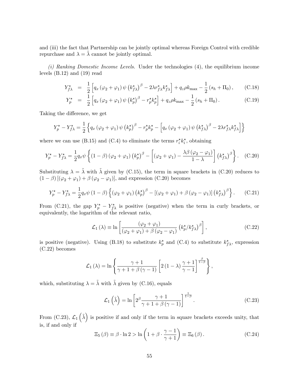and (iii) the fact that Partnership can be jointly optimal whereas Foreign Control with credible repurchase and  $\lambda = \lambda$  cannot be jointly optimal.

(i) Ranking Domestic Income Levels. Under the technologies (4), the equilibrium income levels (B.12) and (19) read

$$
Y_{f\lambda}^{\star} = \frac{1}{2} \left[ q_x \left( \varphi_2 + \varphi_1 \right) \psi \left( k_{f\lambda}^{\star} \right)^{\beta} - 2\lambda r_{f\lambda}^{\star} k_{f\lambda}^{\star} \right] + q_z \rho k_{\text{max}} - \frac{1}{2} \left( s_h + \Pi_0 \right), \qquad \text{(C.18)}
$$

$$
Y_p^{\star} = \frac{1}{2} \left[ q_x \left( \varphi_2 + \varphi_1 \right) \psi \left( k_p^{\star} \right)^{\beta} - r_p^{\star} k_p^{\star} \right] + q_z \rho k_{\text{max}} - \frac{1}{2} \left( s_h + \Pi_0 \right). \tag{C.19}
$$

Taking the difference, we get

$$
Y_p^{\star} - Y_{f\lambda}^{\star} = \frac{1}{2} \left\{ q_x \left( \varphi_2 + \varphi_1 \right) \psi \left( k_p^{\star} \right)^{\beta} - r_p^{\star} k_p^{\star} - \left[ q_x \left( \varphi_2 + \varphi_1 \right) \psi \left( k_{f\lambda}^{\star} \right)^{\beta} - 2\lambda r_{f\lambda}^{\star} k_{f\lambda}^{\star} \right] \right\}
$$

where we can use (B.15) and (C.4) to eliminate the terms  $r_i^* k_i^*$ , obtaining

$$
Y_p^* - Y_{f\lambda}^* = \frac{1}{2} q_x \psi \left\{ (1 - \beta) \left( \varphi_2 + \varphi_1 \right) \left( k_p^* \right)^{\beta} - \left[ \left( \varphi_2 + \varphi_1 \right) - \frac{\lambda \beta \left( \varphi_2 - \varphi_1 \right)}{1 - \lambda} \right] \left( k_{f\lambda}^* \right)^{\beta} \right\}.
$$
 (C.20)

Substituting  $\lambda = \tilde{\lambda}$  with  $\tilde{\lambda}$  given by (C.15), the term in square brackets in (C.20) reduces to  $(1 - \beta)$  [( $\varphi_2 + \varphi_1$ ) +  $\beta$  ( $\varphi_2 - \varphi_1$ )], and expression (C.20) becomes

$$
Y_p^{\star} - Y_{f\lambda}^{\star} = \frac{1}{2} q_x \psi \left( 1 - \beta \right) \left\{ \left( \varphi_2 + \varphi_1 \right) \left( k_p^{\star} \right)^{\beta} - \left[ \left( \varphi_2 + \varphi_1 \right) + \beta \left( \varphi_2 - \varphi_1 \right) \right] \left( k_{f\lambda}^{\star} \right)^{\beta} \right\}.
$$
 (C.21)

From (C.21), the gap  $Y_p^* - Y_{f\lambda}^*$  is positive (negative) when the term in curly brackets, or equivalently, the logarithm of the relevant ratio,

$$
\mathcal{L}_1(\lambda) \equiv \ln \left[ \frac{(\varphi_2 + \varphi_1)}{(\varphi_2 + \varphi_1) + \beta (\varphi_2 - \varphi_1)} \left( k_p^{\star} / k_{f\lambda}^{\star} \right)^{\beta} \right], \tag{C.22}
$$

is positive (negative). Using (B.18) to substitute  $k_p^*$  and (C.4) to substitute  $k_{f\lambda}^*$ , expression (C.22) becomes

$$
\mathcal{L}_1(\lambda) = \ln \left\{ \frac{\gamma + 1}{\gamma + 1 + \beta (\gamma - 1)} \left[ 2(1 - \lambda) \frac{\gamma + 1}{\gamma - 1} \right]^{\frac{\beta}{1 - \beta}} \right\},\,
$$

which, substituting  $\lambda = \tilde{\lambda}$  with  $\tilde{\lambda}$  given by (C.16), equals

$$
\mathcal{L}_1\left(\tilde{\lambda}\right) = \ln\left[2^{\beta} \frac{\gamma + 1}{\gamma + 1 + \beta(\gamma - 1)}\right]^{\frac{1}{1 - \beta}}.\tag{C.23}
$$

From (C.23),  $\mathcal{L}_1(\tilde{\lambda})$  is positive if and only if the term in square brackets exceeds unity, that is, if and only if

$$
\Xi_5(\beta) \equiv \beta \cdot \ln 2 > \ln \left( 1 + \beta \cdot \frac{\gamma - 1}{\gamma + 1} \right) \equiv \Xi_6(\beta). \tag{C.24}
$$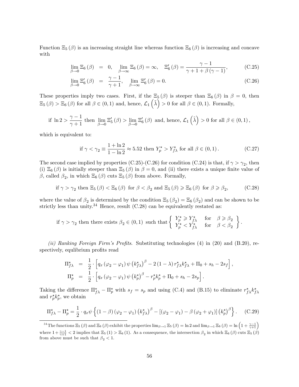Function  $\Xi_5(\beta)$  is an increasing straight line whereas function  $\Xi_6(\beta)$  is increasing and concave with

$$
\lim_{\beta \to 0} \Xi_6(\beta) = 0, \quad \lim_{\beta \to \infty} \Xi_6(\beta) = \infty, \quad \Xi'_6(\beta) = \frac{\gamma - 1}{\gamma + 1 + \beta(\gamma - 1)}, \tag{C.25}
$$

$$
\lim_{\beta \to 0} \Xi_6'(\beta) = \frac{\gamma - 1}{\gamma + 1}, \quad \lim_{\beta \to \infty} \Xi_6'(\beta) = 0.
$$
\n(C.26)

These properties imply two cases. First, if the  $\Xi_5(\beta)$  is steeper than  $\Xi_6(\beta)$  in  $\beta = 0$ , then  $\Xi_5(\beta) > \Xi_6(\beta)$  for all  $\beta \in (0,1)$  and, hence,  $\mathcal{L}_1(\tilde{\lambda}) > 0$  for all  $\beta \in (0,1)$ . Formally,

$$
\text{if } \ln 2 > \frac{\gamma - 1}{\gamma + 1} \text{ then } \lim_{\beta \to 0} \Xi_5'(\beta) > \lim_{\beta \to 0} \Xi_6'(\beta) \text{ and, hence, } \mathcal{L}_1\left(\tilde{\lambda}\right) > 0 \text{ for all } \beta \in (0, 1),
$$

which is equivalent to:

if 
$$
\gamma < \gamma_2 \equiv \frac{1 + \ln 2}{1 - \ln 2} \approx 5.52
$$
 then  $Y_p^* > Y_{f\lambda}^*$  for all  $\beta \in (0, 1)$ . 
$$
(C.27)
$$

The second case implied by properties (C.25)-(C.26) for condition (C.24) is that, if  $\gamma > \gamma_2$ , then (i)  $\Xi_6(\beta)$  is initially steeper than  $\Xi_5(\beta)$  in  $\beta=0$ , and (ii) there exists a unique finite value of  $\beta$ , called  $\beta_2$ , in which  $\Xi_6(\beta)$  cuts  $\Xi_5(\beta)$  from above. Formally,

if 
$$
\gamma > \gamma_2
$$
 then  $\Xi_5(\beta) < \Xi_6(\beta)$  for  $\beta < \beta_2$  and  $\Xi_5(\beta) \ge \Xi_6(\beta)$  for  $\beta \ge \beta_2$ , (C.28)

where the value of  $\beta_2$  is determined by the condition  $\Xi_5(\beta_2) = \Xi_6(\beta_2)$  and can be shown to be strictly less than unity.<sup>34</sup> Hence, result  $(C.28)$  can be equivalently restated as:

$$
\text{if } \gamma > \gamma_2 \text{ then there exists } \beta_2 \in (0,1) \text{ such that } \left\{ \begin{array}{ll} Y_p^\star \geqslant Y_{f\lambda}^\star & \text{for } \beta \geqslant \beta_2 \\ Y_p^\star < Y_{f\lambda}^\star & \text{for } \beta < \beta_2 \end{array} \right\}.
$$

(ii) Ranking Foreign Firm's Profits. Substituting technologies  $(4)$  in  $(20)$  and  $(B.20)$ , respectively, equilibrium profits read

$$
\Pi_{f\lambda}^{\star} = \frac{1}{2} \cdot \left[ q_x \left( \varphi_2 - \varphi_1 \right) \psi \left( k_{f\lambda}^{\star} \right)^{\beta} - 2 \left( 1 - \lambda \right) r_{f\lambda}^{\star} k_{f\lambda}^{\star} + \Pi_0 + s_h - 2s_f \right],
$$
  

$$
\Pi_p^{\star} = \frac{1}{2} \cdot \left[ q_x \left( \varphi_2 - \varphi_1 \right) \psi \left( k_p^{\star} \right)^{\beta} - r_p^{\star} k_p^{\star} + \Pi_0 + s_h - 2s_p \right].
$$

Taking the difference  $\Pi_{f\lambda}^* - \Pi_p^*$  with  $s_f = s_p$  and using (C.4) and (B.15) to eliminate  $r_{f\lambda}^* k_{f\lambda}^*$ and  $r_p^{\star} k_p^{\star}$ , we obtain

$$
\Pi_{f\lambda}^{\star} - \Pi_{p}^{\star} = \frac{1}{2} \cdot q_{x} \psi \left\{ (1 - \beta) \left( \varphi_{2} - \varphi_{1} \right) \left( k_{f\lambda}^{\star} \right)^{\beta} - \left[ \left( \varphi_{2} - \varphi_{1} \right) - \beta \left( \varphi_{2} + \varphi_{1} \right) \right] \left( k_{p}^{\star} \right)^{\beta} \right\}.
$$
 (C.29)

<sup>&</sup>lt;sup>34</sup>The functions  $\Xi_5(\beta)$  and  $\Xi_6(\beta)$  exhibit the properties  $\lim_{\beta\to 1}\Xi_5(\beta) = \ln 2$  and  $\lim_{\beta\to 1}\Xi_6(\beta) = \ln \left(1 + \frac{\gamma-1}{\gamma+1}\right)$ where  $1+\frac{\gamma-1}{\gamma+1}$  < 2 implies that  $\Xi_5(1) > \Xi_6(1)$ . As a consequence, the intersection  $\beta_2$  in which  $\Xi_6(\beta)$  cuts  $\Xi_5(\beta)$ from above must be such that  $\beta_2 < 1$ .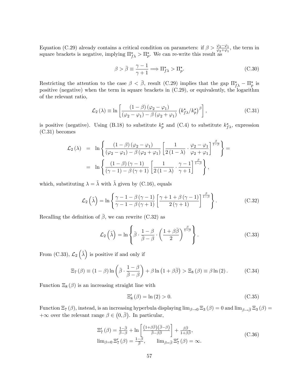Equation (C.29) already contains a critical condition on parameters: if  $\beta > \frac{\varphi_2 - \varphi_1}{\varphi_2 + \varphi_1}$ , the term in square brackets is negative, implying  $\Pi_{f\lambda}^* > \Pi_p^*$ . We can re-write this result as

$$
\beta > \bar{\beta} \equiv \frac{\gamma - 1}{\gamma + 1} \Longrightarrow \Pi_{f\lambda}^{\star} > \Pi_p^{\star}.
$$
 (C.30)

Restricting the attention to the case  $\beta < \bar{\beta}$ , result (C.29) implies that the gap  $\Pi_{f\lambda}^* - \Pi_p^*$  is positive (negative) when the term in square brackets in (C.29), or equivalently, the logarithm of the relevant ratio,

$$
\mathcal{L}_2(\lambda) \equiv \ln \left[ \frac{(1-\beta)(\varphi_2 - \varphi_1)}{(\varphi_2 - \varphi_1) - \beta(\varphi_2 + \varphi_1)} \left( k_f^* \lambda / k_p^* \right)^{\beta} \right], \tag{C.31}
$$

is positive (negative). Using (B.18) to substitute  $k_p^*$  and (C.4) to substitute  $k_{f\lambda}^*$ , expression (C.31) becomes

$$
\mathcal{L}_2(\lambda) = \ln \left\{ \frac{(1-\beta)(\varphi_2 - \varphi_1)}{(\varphi_2 - \varphi_1) - \beta(\varphi_2 + \varphi_1)} \left[ \frac{1}{2(1-\lambda)} \cdot \frac{\varphi_2 - \varphi_1}{\varphi_2 + \varphi_1} \right]^{\frac{\beta}{1-\beta}} \right\} =
$$

$$
= \ln \left\{ \frac{(1-\beta)(\gamma-1)}{(\gamma-1) - \beta(\gamma+1)} \left[ \frac{1}{2(1-\lambda)} \cdot \frac{\gamma-1}{\gamma+1} \right]^{\frac{\beta}{1-\beta}} \right\},
$$

which, substituting  $\lambda = \tilde{\lambda}$  with  $\tilde{\lambda}$  given by (C.16), equals

$$
\mathcal{L}_2\left(\tilde{\lambda}\right) = \ln\left\{\frac{\gamma - 1 - \beta(\gamma - 1)}{\gamma - 1 - \beta(\gamma + 1)} \left[\frac{\gamma + 1 + \beta(\gamma - 1)}{2(\gamma + 1)}\right]^{\frac{\beta}{1 - \beta}}\right\}.
$$
\n(C.32)

Recalling the definition of  $\bar{\beta}$ , we can rewrite (C.32) as

$$
\mathcal{L}_2\left(\tilde{\lambda}\right) = \ln\left\{\bar{\beta}\cdot\frac{1-\beta}{\bar{\beta}-\beta}\cdot\left(\frac{1+\beta\bar{\beta}}{2}\right)^{\frac{\beta}{1-\beta}}\right\}.
$$
\n(C.33)

From (C.33),  $\mathcal{L}_2(\tilde{\lambda})$  is positive if and only if

$$
\Xi_7(\beta) \equiv (1 - \beta) \ln \left( \bar{\beta} \cdot \frac{1 - \beta}{\bar{\beta} - \beta} \right) + \beta \ln \left( 1 + \beta \bar{\beta} \right) > \Xi_8(\beta) \equiv \beta \ln (2). \tag{C.34}
$$

Function  $\Xi_8(\beta)$  is an increasing straight line with

$$
\Xi_8'(\beta) = \ln(2) > 0. \tag{C.35}
$$

Function  $\Xi_7(\beta)$ , instead, is an increasing hyperbula displaying  $\lim_{\beta\to 0}\Xi_3(\beta)=0$  and  $\lim_{\beta\to\bar{\beta}}\Xi_3(\beta)=0$  $+\infty$  over the relevant range  $\beta \in (0,\bar{\beta})$ . In particular,

$$
\Xi_{7}'(\beta) = \frac{1-\bar{\beta}}{\beta-\beta} + \ln \left[ \frac{(1+\beta\bar{\beta})(\bar{\beta}-\beta)}{\bar{\beta}-\beta\bar{\beta}} \right] + \frac{\beta\bar{\beta}}{1+\beta\bar{\beta}},
$$
  
\n
$$
\lim_{\beta=0} \Xi_{7}'(\beta) = \frac{1-\beta}{\beta}, \qquad \lim_{\beta=\bar{\beta}} \Xi_{7}'(\beta) = \infty.
$$
\n(C.36)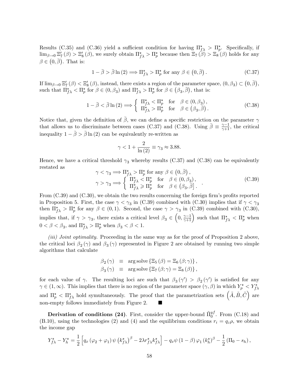Results (C.35) and (C.36) yield a sufficient condition for having  $\Pi_{f\lambda}^* > \Pi_p^*$ . Specifically, if  $\lim_{\beta\to 0} \Xi_7'(\beta) > \Xi_8'(\beta)$ , we surely obtain  $\Pi_{f\lambda}^* > \Pi_p^*$  because then  $\Xi_7(\beta) > \Xi_8(\beta)$  holds for any  $\beta \in (0, \bar{\beta})$ . That is:

$$
1 - \bar{\beta} > \bar{\beta} \ln(2) \Longrightarrow \Pi_{f\lambda}^{\star} > \Pi_p^{\star} \text{ for any } \beta \in (0, \bar{\beta}). \tag{C.37}
$$

If  $\lim_{\beta\to 0} \Xi_7'(\beta) < \Xi_8'(\beta)$ , instead, there exists a region of the parameter space,  $(0, \beta_3) \subset (0, \bar{\beta})$ , such that  $\Pi_{f\lambda}^{\star} < \Pi_p^{\star}$  for  $\beta \in (0, \beta_3)$  and  $\Pi_{f\lambda}^{\star} > \Pi_p^{\star}$  for  $\beta \in (\beta_3, \overline{\beta})$ , that is:

$$
1 - \bar{\beta} < \bar{\beta} \ln(2) \Longrightarrow \left\{ \begin{array}{ll} \Pi_{f\lambda}^{\star} < \Pi_p^{\star} \quad \text{for} \quad \beta \in (0, \beta_3), \\ \Pi_{f\lambda}^{\star} > \Pi_p^{\star} \quad \text{for} \quad \beta \in (\beta_3, \bar{\beta}). \end{array} \right. \tag{C.38}
$$

Notice that, given the definition of  $\bar{\beta}$ , we can define a specific restriction on the parameter  $\gamma$ that allows us to discriminate between cases (C.37) and (C.38). Using  $\bar{\beta} \equiv \frac{\gamma-1}{\gamma+1}$ , the critical inequality  $1 - \bar{\beta} > \bar{\beta} \ln(2)$  can be equivalently re-written as

$$
\gamma < 1 + \frac{2}{\ln(2)} \equiv \gamma_3 \approx 3.88.
$$

Hence, we have a critical threshold  $\gamma_3$  whereby results (C.37) and (C.38) can be equivalently restated as

$$
\gamma < \gamma_3 \Longrightarrow \Pi_{f\lambda}^{\star} > \Pi_p^{\star} \text{ for any } \beta \in (0, \bar{\beta}),
$$
\n
$$
\gamma > \gamma_3 \Longrightarrow \left\{ \begin{array}{ll} \Pi_{f\lambda}^{\star} < \Pi_p^{\star} \quad \text{for} \quad \beta \in (0, \beta_3), \\ \Pi_{f\lambda}^{\star} > \Pi_p^{\star} \quad \text{for} \quad \beta \in (\beta_3, \bar{\beta}]. \end{array} \right. \tag{C.39}
$$

From  $(C.39)$  and  $(C.30)$ , we obtain the two results concerning the foreign firm's profits reported in Proposition 5. First, the case  $\gamma < \gamma_3$  in (C.39) combined with (C.30) implies that if  $\gamma < \gamma_3$ then  $\Pi_{f\lambda}^* > \Pi_p^*$  for any  $\beta \in (0,1)$ . Second, the case  $\gamma > \gamma_3$  in (C.39) combined with (C.30), implies that, if  $\gamma > \gamma_3$ , there exists a critical level  $\beta_3 \in \left(0, \frac{\gamma-1}{\gamma+1}\right)$  such that  $\Pi_{f\lambda}^{\star} < \Pi_p^{\star}$  when  $0 < \beta < \beta_3$ , and  $\Pi_{f\lambda}^{\star} > \Pi_p^{\star}$  when  $\beta_3 < \beta < 1$ .

(iii) Joint optimality. Proceeding in the same way as for the proof of Proposition 2 above, the critical loci  $\beta_2(\gamma)$  and  $\beta_3(\gamma)$  represented in Figure 2 are obtained by running two simple algorithms that calculate

$$
\beta_2(\gamma) \equiv \arg \text{solve} \left\{ \Xi_5(\beta) = \Xi_6(\beta; \gamma) \right\}, \n\beta_3(\gamma) \equiv \arg \text{solve} \left\{ \Xi_7(\beta; \gamma) = \Xi_8(\beta) \right\},
$$

for each value of  $\gamma$ . The resulting loci are such that  $\beta_3(\gamma') > \beta_2(\gamma')$  is satisfied for any  $\gamma \in (1,\infty)$ . This implies that there is no region of the parameter space  $(\gamma,\beta)$  in which  $Y_p^* \lt Y_{f\lambda}^*$ and  $\Pi_p^{\star} < \Pi_{f\lambda}^{\star}$  hold symultaneously. The proof that the parametrization sets  $(\tilde{A}, \tilde{B}, \tilde{C})$  are non-empty follows immediately from Figure 2. ■

**Derivation of conditions (24)**. First, consider the upper-bound  $\tilde{\Pi}_{0}^{yf}$ . From (C.18) and (B.10), using the technologies (2) and (4) and the equilibrium conditions  $r_i = q_z \rho$ , we obtain the income gap

$$
Y_{f\lambda}^{\star} - Y_{h}^{\star} = \frac{1}{2} \left[ q_x \left( \varphi_2 + \varphi_1 \right) \psi \left( k_{f\lambda}^{\star} \right)^{\beta} - 2\lambda r_{f\lambda}^{\star} k_{f\lambda}^{\star} \right] - q_x \psi \left( 1 - \beta \right) \varphi_1 \left( k_{h}^{\star} \right)^{\beta} - \frac{1}{2} \left( \Pi_0 - s_h \right),
$$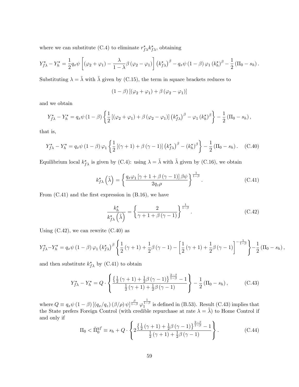where we can substitute (C.4) to eliminate  $r^*_{f\lambda} k^*_{f\lambda}$ , obtaining

$$
Y_{f\lambda}^{\star} - Y_{h}^{\star} = \frac{1}{2} q_{x} \psi \left[ (\varphi_{2} + \varphi_{1}) - \frac{\lambda}{1-\lambda} \beta (\varphi_{2} - \varphi_{1}) \right] (k_{f\lambda}^{\star})^{\beta} - q_{x} \psi (1-\beta) \varphi_{1} (k_{h}^{\star})^{\beta} - \frac{1}{2} (\Pi_{0} - s_{h}).
$$

Substituting  $\lambda = \tilde{\lambda}$  with  $\tilde{\lambda}$  given by (C.15), the term in square brackets reduces to

$$
(1 - \beta) [(\varphi_2 + \varphi_1) + \beta (\varphi_2 - \varphi_1)]
$$

and we obtain

$$
Y_{f\lambda}^{\star} - Y_h^{\star} = q_x \psi \left( 1 - \beta \right) \left\{ \frac{1}{2} \left[ \left( \varphi_2 + \varphi_1 \right) + \beta \left( \varphi_2 - \varphi_1 \right) \right] \left( k_{f\lambda}^{\star} \right)^{\beta} - \varphi_1 \left( k_h^{\star} \right)^{\beta} \right\} - \frac{1}{2} \left( \Pi_0 - s_h \right),
$$

that is,

$$
Y_{f\lambda}^{\star} - Y_h^{\star} = q_x \psi \left( 1 - \beta \right) \varphi_1 \left\{ \frac{1}{2} \left[ (\gamma + 1) + \beta \left( \gamma - 1 \right) \right] \left( k_{f\lambda}^{\star} \right)^{\beta} - \left( k_h^{\star} \right)^{\beta} \right\} - \frac{1}{2} \left( \Pi_0 - s_h \right). \tag{C.40}
$$

Equilibrium local  $k_{f\lambda}^{\star}$  is given by (C.4): using  $\lambda = \tilde{\lambda}$  with  $\tilde{\lambda}$  given by (C.16), we obtain

$$
k_{f\lambda}^{\star}\left(\tilde{\lambda}\right) = \left\{\frac{q_x\varphi_1\left[\gamma+1+\beta\left(\gamma-1\right)\right]\beta\psi}{2q_z\rho}\right\}^{\frac{1}{1-\beta}}.\tag{C.41}
$$

From  $(C.41)$  and the first expression in  $(B.16)$ , we have

$$
\frac{k_h^*}{k_{f\lambda}^*\left(\tilde{\lambda}\right)} = \left\{\frac{2}{\gamma + 1 + \beta(\gamma - 1)}\right\}^{\frac{1}{1-\beta}}.\tag{C.42}
$$

Using  $(C.42)$ , we can rewrite  $(C.40)$  as

$$
Y_{f\lambda}^{\star} - Y_{h}^{\star} = q_{x}\psi (1 - \beta) \varphi_{1} (k_{f\lambda}^{\star})^{\beta} \left\{ \frac{1}{2} (\gamma + 1) + \frac{1}{2} \beta (\gamma - 1) - \left[ \frac{1}{2} (\gamma + 1) + \frac{1}{2} \beta (\gamma - 1) \right]^{-\frac{1}{1 - \beta}} \right\} - \frac{1}{2} (\Pi_{0} - s_{h}),
$$

and then substitute  $k_{f\lambda}^{\star}$  by (C.41) to obtain

$$
Y_{f\lambda}^{\star} - Y_{h}^{\star} = Q \cdot \left\{ \frac{\left\{ \frac{1}{2} \left( \gamma + 1 \right) + \frac{1}{2} \beta \left( \gamma - 1 \right) \right\}^{\frac{2-\beta}{1-\beta}} - 1}{\frac{1}{2} \left( \gamma + 1 \right) + \frac{1}{2} \beta \left( \gamma - 1 \right)} \right\} - \frac{1}{2} \left( \Pi_{0} - s_{h} \right), \tag{C.43}
$$

where  $Q \equiv q_x \psi (1 - \beta) [(q_x/q_z) (\beta/\rho) \psi]^{1-\beta \over 1-\beta} \varphi$  $\frac{1}{1-\beta}$  is defined in (B.53). Result (C.43) implies that the State prefers Foreign Control (with credible repurchase at rate  $\lambda = \tilde{\lambda}$ ) to Home Control if and only if

$$
\Pi_0 < \tilde{\Pi}_0^{yf} \equiv s_h + Q \cdot \left\{ 2 \frac{\left\{ \frac{1}{2} \left( \gamma + 1 \right) + \frac{1}{2} \beta \left( \gamma - 1 \right) \right\}^{\frac{2-\beta}{1-\beta}} - 1}{\frac{1}{2} \left( \gamma + 1 \right) + \frac{1}{2} \beta \left( \gamma - 1 \right)} \right\} . \tag{C.44}
$$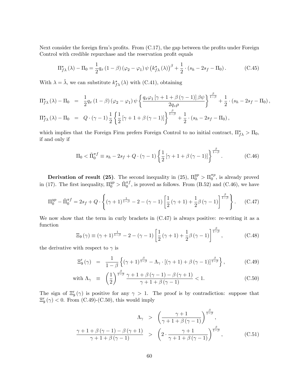Next consider the foreign firm's profits. From  $(C.17)$ , the gap between the profits under Foreign Control with credible repurchase and the reservation profit equals

$$
\Pi_{f\lambda}^{\star}(\lambda) - \Pi_0 = \frac{1}{2} q_x \left(1 - \beta\right) \left(\varphi_2 - \varphi_1\right) \psi \left(k_{f\lambda}^{\star}(\lambda)\right)^{\beta} + \frac{1}{2} \cdot \left(s_h - 2s_f - \Pi_0\right). \tag{C.45}
$$

With  $\lambda = \tilde{\lambda}$ , we can substitute  $k_{f\lambda}^{\star}(\lambda)$  with (C.41), obtaining

$$
\Pi_{f\lambda}^{\star}(\lambda) - \Pi_0 = \frac{1}{2} q_x (1-\beta) (\varphi_2 - \varphi_1) \psi \left\{ \frac{q_x \varphi_1 \left[ \gamma + 1 + \beta (\gamma - 1) \right] \beta \psi}{2q_z \rho} \right\}^{\frac{\beta}{1-\beta}} + \frac{1}{2} \cdot (s_h - 2s_f - \Pi_0),
$$

$$
\Pi_{f\lambda}^{\star}(\lambda) - \Pi_0 = Q \cdot (\gamma - 1) \frac{1}{2} \left\{ \frac{1}{2} \left[ \gamma + 1 + \beta (\gamma - 1) \right] \right\}^{\frac{\beta}{1-\beta}} + \frac{1}{2} \cdot (s_h - 2s_f - \Pi_0),
$$

which implies that the Foreign Firm prefers Foreign Control to no initial contract,  $\Pi_{f\lambda}^* > \Pi_0$ , if and only if

$$
\Pi_0 < \tilde{\Pi}_0^{\pi f} \equiv s_h - 2s_f + Q \cdot (\gamma - 1) \left\{ \frac{1}{2} \left[ \gamma + 1 + \beta (\gamma - 1) \right] \right\}^{\frac{\beta}{1 - \beta}}. \tag{C.46}
$$

**Derivation of result (25)**. The second inequality in (25),  $\Pi_0^{yp} > \Pi_0^{\pi p}$  $_{0}^{\pi p}$ , is already proved in (17). The first inequality,  $\Pi_0^{yp} > \tilde{\Pi}_0^{\pi f}$ , is proved as follows. From (B.52) and (C.46), we have

$$
\Pi_0^{yp} - \tilde{\Pi}_0^{\pi f} = 2s_f + Q \cdot \left\{ (\gamma + 1)^{\frac{1}{1-\beta}} - 2 - (\gamma - 1) \left[ \frac{1}{2} (\gamma + 1) + \frac{1}{2} \beta (\gamma - 1) \right]^{\frac{\beta}{1-\beta}} \right\}.
$$
 (C.47)

We now show that the term in curly brackets in  $(C.47)$  is always positive: re-writing it as a function

$$
\Xi_9(\gamma) \equiv (\gamma + 1)^{\frac{1}{1-\beta}} - 2 - (\gamma - 1) \left[ \frac{1}{2} (\gamma + 1) + \frac{1}{2} \beta (\gamma - 1) \right]^{\frac{\beta}{1-\beta}}, \tag{C.48}
$$

the derivative with respect to  $\gamma$  is

$$
\Xi_9'(\gamma) = \frac{1}{1-\beta} \left\{ (\gamma+1)^{\frac{\beta}{1-\beta}} - \Lambda_\gamma \cdot [(\gamma+1) + \beta (\gamma-1)]^{\frac{\beta}{1-\beta}} \right\},\tag{C.49}
$$

with 
$$
\Lambda_{\gamma} \equiv \left(\frac{1}{2}\right)^{\frac{\beta}{1-\beta}} \frac{\gamma+1+\beta(\gamma-1)-\beta(\gamma+1)}{\gamma+1+\beta(\gamma-1)} < 1.
$$
 (C.50)

The sign of  $\Xi_9'(\gamma)$  is positive for any  $\gamma > 1$ . The proof is by contradiction: suppose that  $\Xi_9'(\gamma) < 0$ . From (C.49)-(C.50), this would imply

$$
\Lambda_{\gamma} > \left(\frac{\gamma+1}{\gamma+1+\beta(\gamma-1)}\right)^{\frac{\beta}{1-\beta}},
$$
\n
$$
\frac{\gamma+1+\beta(\gamma-1)-\beta(\gamma+1)}{\gamma+1+\beta(\gamma-1)} > \left(2 \cdot \frac{\gamma+1}{\gamma+1+\beta(\gamma-1)}\right)^{\frac{\beta}{1-\beta}},
$$
\n(C.51)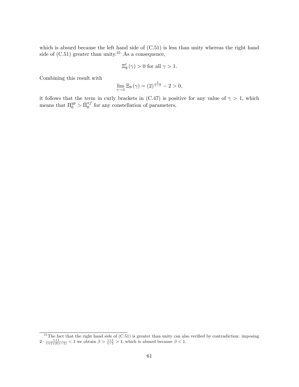which is absurd because the left hand side of (C.51) is less than unity whereas the right hand side of  $(C.51)$  greater than unity.<sup>35</sup> As a consequence,

$$
\Xi_9'\left(\gamma\right) > 0 \text{ for all } \gamma > 1.
$$

Combining this result with

$$
\lim_{\gamma \to 1} \Xi_9(\gamma) = (2)^{\frac{1}{1-\beta}} - 2 > 0,
$$

it follows that the term in curly brackets in (C.47) is positive for any value of  $\gamma > 1$ , which means that  $\Pi_0^{yp} > \tilde{\Pi}_0^{\pi f}$  for any constellation of parameters.

 $35$ The fact that the right hand side of (C.51) is greater than unity can also verified by contradiction: imposing  $2 \cdot \frac{\gamma+1}{\gamma+1+\beta(\gamma-1)} < 1$  we obtain  $\beta > \frac{\gamma+1}{\gamma-1} > 1$ , which is absurd because  $\beta < 1$ .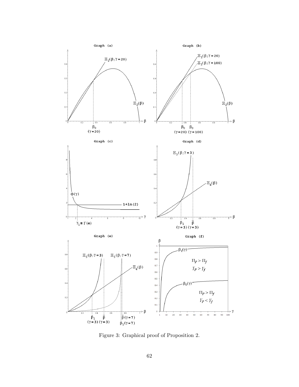

Figure 3: Graphical proof of Proposition 2.